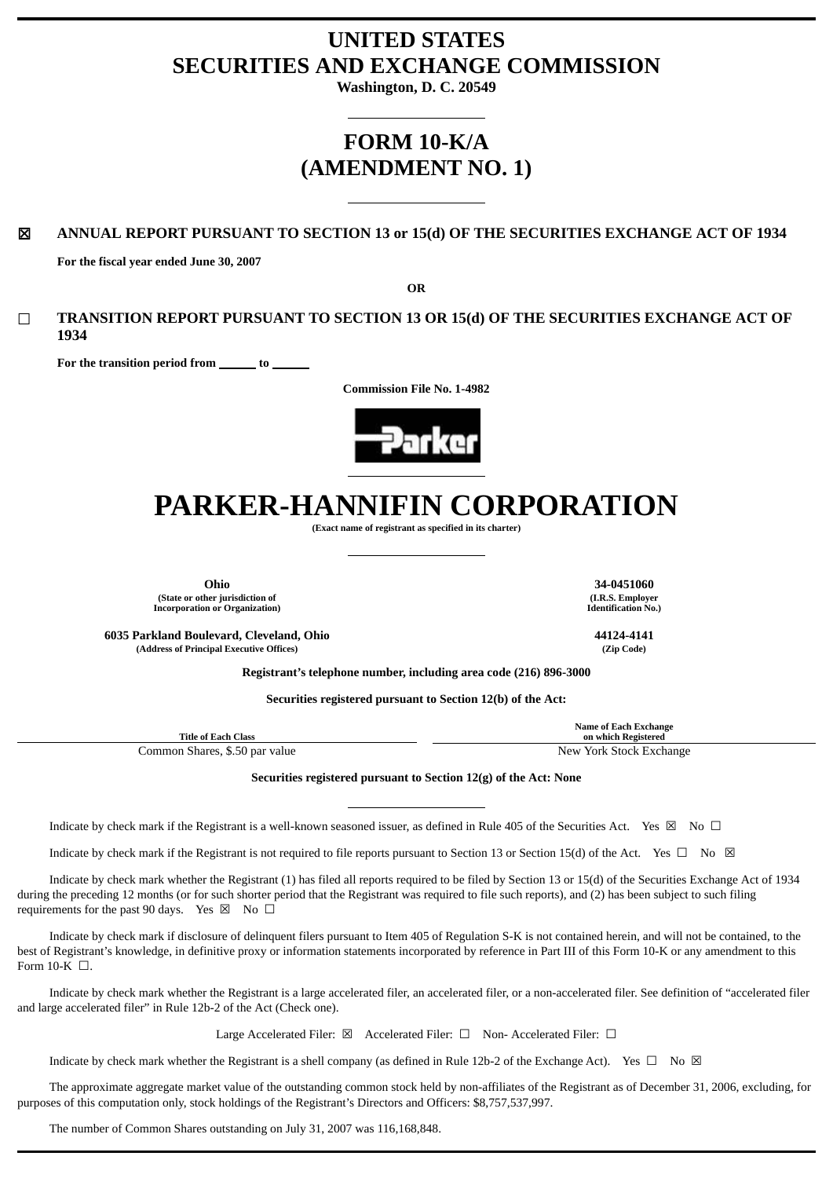## **UNITED STATES SECURITIES AND EXCHANGE COMMISSION**

**Washington, D. C. 20549**

# **FORM 10-K/A (AMENDMENT NO. 1)**

## ☒ **ANNUAL REPORT PURSUANT TO SECTION 13 or 15(d) OF THE SECURITIES EXCHANGE ACT OF 1934**

**For the fiscal year ended June 30, 2007**

**OR**

## ☐ **TRANSITION REPORT PURSUANT TO SECTION 13 OR 15(d) OF THE SECURITIES EXCHANGE ACT OF 1934**

For the transition period from \_\_\_\_\_\_\_ to

**Commission File No. 1-4982**



# **PARKER-HANNIFIN CORPORATION**

**(Exact name of registrant as specified in its charter)**

**Ohio 34-0451060 (State or other jurisdiction of Incorporation or Organization)**

**6035 Parkland Boulevard, Cleveland, Ohio 44124-4141 (Address of Principal Executive Offices) (Zip Code)**

**Registrant's telephone number, including area code (216) 896-3000**

**Securities registered pursuant to Section 12(b) of the Act:**

**Title of Each Class** Common Shares, \$.50 par value  $\qquad \qquad$  New York Stock Exchange

**Securities registered pursuant to Section 12(g) of the Act: None**

Indicate by check mark if the Registrant is a well-known seasoned issuer, as defined in Rule 405 of the Securities Act. Yes  $\boxtimes$  No  $\Box$ 

Indicate by check mark if the Registrant is not required to file reports pursuant to Section 13 or Section 15(d) of the Act. Yes  $\Box$  No  $\boxtimes$ 

Indicate by check mark whether the Registrant (1) has filed all reports required to be filed by Section 13 or 15(d) of the Securities Exchange Act of 1934 during the preceding 12 months (or for such shorter period that the Registrant was required to file such reports), and (2) has been subject to such filing requirements for the past 90 days. Yes  $\boxtimes$  No  $\Box$ 

Indicate by check mark if disclosure of delinquent filers pursuant to Item 405 of Regulation S-K is not contained herein, and will not be contained, to the best of Registrant's knowledge, in definitive proxy or information statements incorporated by reference in Part III of this Form 10-K or any amendment to this Form 10-K  $\Box$ .

Indicate by check mark whether the Registrant is a large accelerated filer, an accelerated filer, or a non-accelerated filer. See definition of "accelerated filer and large accelerated filer" in Rule 12b-2 of the Act (Check one).

Large Accelerated Filer: ⊠ Accelerated Filer: □ Non-Accelerated Filer: □

Indicate by check mark whether the Registrant is a shell company (as defined in Rule 12b-2 of the Exchange Act). Yes  $\Box$  No  $\boxtimes$ 

The approximate aggregate market value of the outstanding common stock held by non-affiliates of the Registrant as of December 31, 2006, excluding, for purposes of this computation only, stock holdings of the Registrant's Directors and Officers: \$8,757,537,997.

The number of Common Shares outstanding on July 31, 2007 was 116,168,848.

**(I.R.S. Employer Identification No.)**

**Name of Each Exchange on which Registered**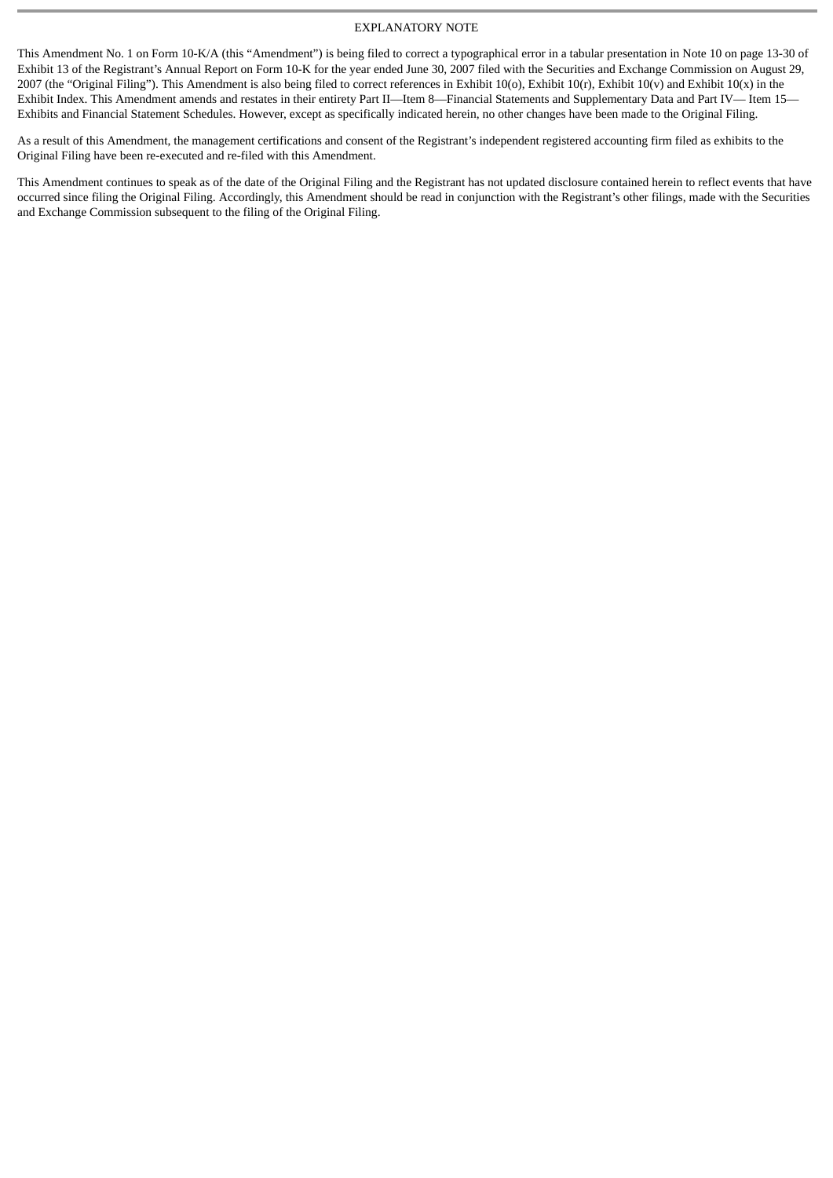#### EXPLANATORY NOTE

This Amendment No. 1 on Form 10-K/A (this "Amendment") is being filed to correct a typographical error in a tabular presentation in Note 10 on page 13-30 of Exhibit 13 of the Registrant's Annual Report on Form 10-K for the year ended June 30, 2007 filed with the Securities and Exchange Commission on August 29, 2007 (the "Original Filing"). This Amendment is also being filed to correct references in Exhibit 10(o), Exhibit 10(r), Exhibit 10(v) and Exhibit 10(x) in the Exhibit Index. This Amendment amends and restates in their entirety Part II—Item 8—Financial Statements and Supplementary Data and Part IV— Item 15— Exhibits and Financial Statement Schedules. However, except as specifically indicated herein, no other changes have been made to the Original Filing.

As a result of this Amendment, the management certifications and consent of the Registrant's independent registered accounting firm filed as exhibits to the Original Filing have been re-executed and re-filed with this Amendment.

This Amendment continues to speak as of the date of the Original Filing and the Registrant has not updated disclosure contained herein to reflect events that have occurred since filing the Original Filing. Accordingly, this Amendment should be read in conjunction with the Registrant's other filings, made with the Securities and Exchange Commission subsequent to the filing of the Original Filing.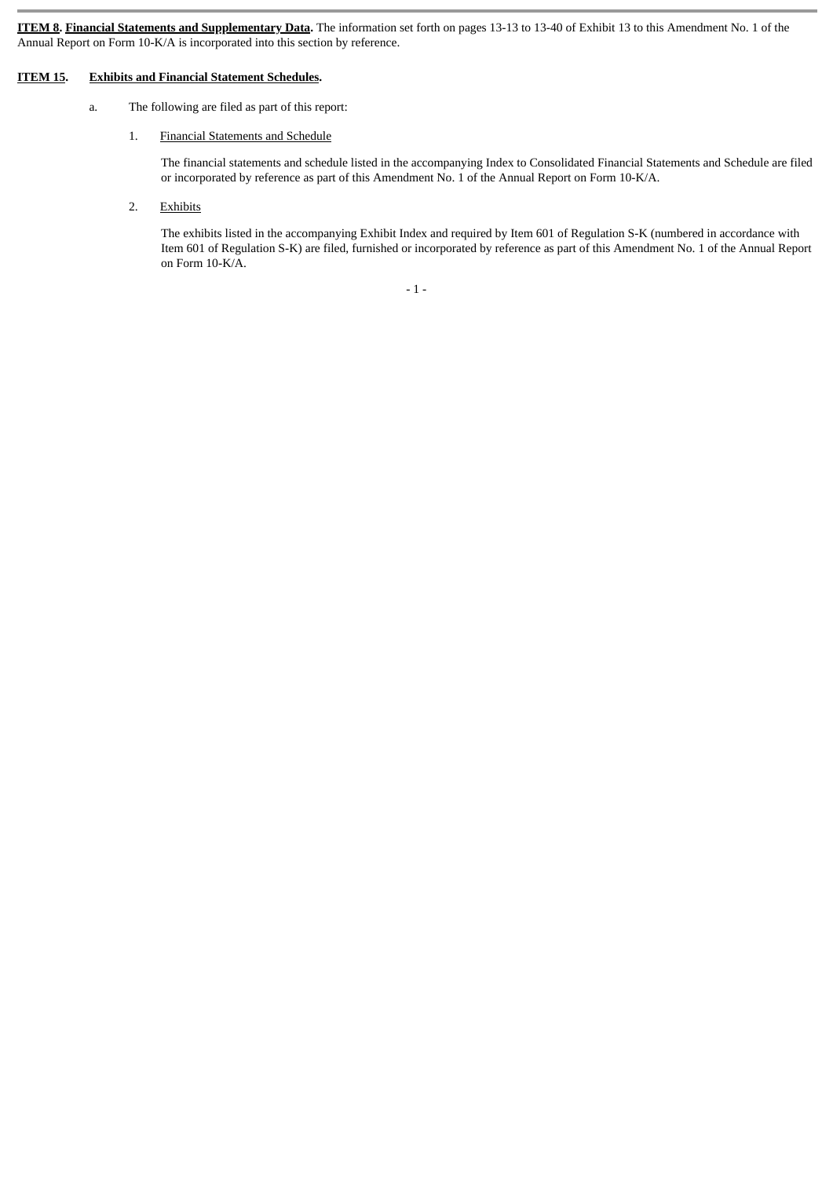**ITEM 8. Financial Statements and Supplementary Data.** The information set forth on pages 13-13 to 13-40 of Exhibit 13 to this Amendment No. 1 of the Annual Report on Form 10-K/A is incorporated into this section by reference.

#### **ITEM 15. Exhibits and Financial Statement Schedules.**

## a. The following are filed as part of this report:

## 1. Financial Statements and Schedule

The financial statements and schedule listed in the accompanying Index to Consolidated Financial Statements and Schedule are filed or incorporated by reference as part of this Amendment No. 1 of the Annual Report on Form 10-K/A.

2. Exhibits

The exhibits listed in the accompanying Exhibit Index and required by Item 601 of Regulation S-K (numbered in accordance with Item 601 of Regulation S-K) are filed, furnished or incorporated by reference as part of this Amendment No. 1 of the Annual Report on Form 10-K/A.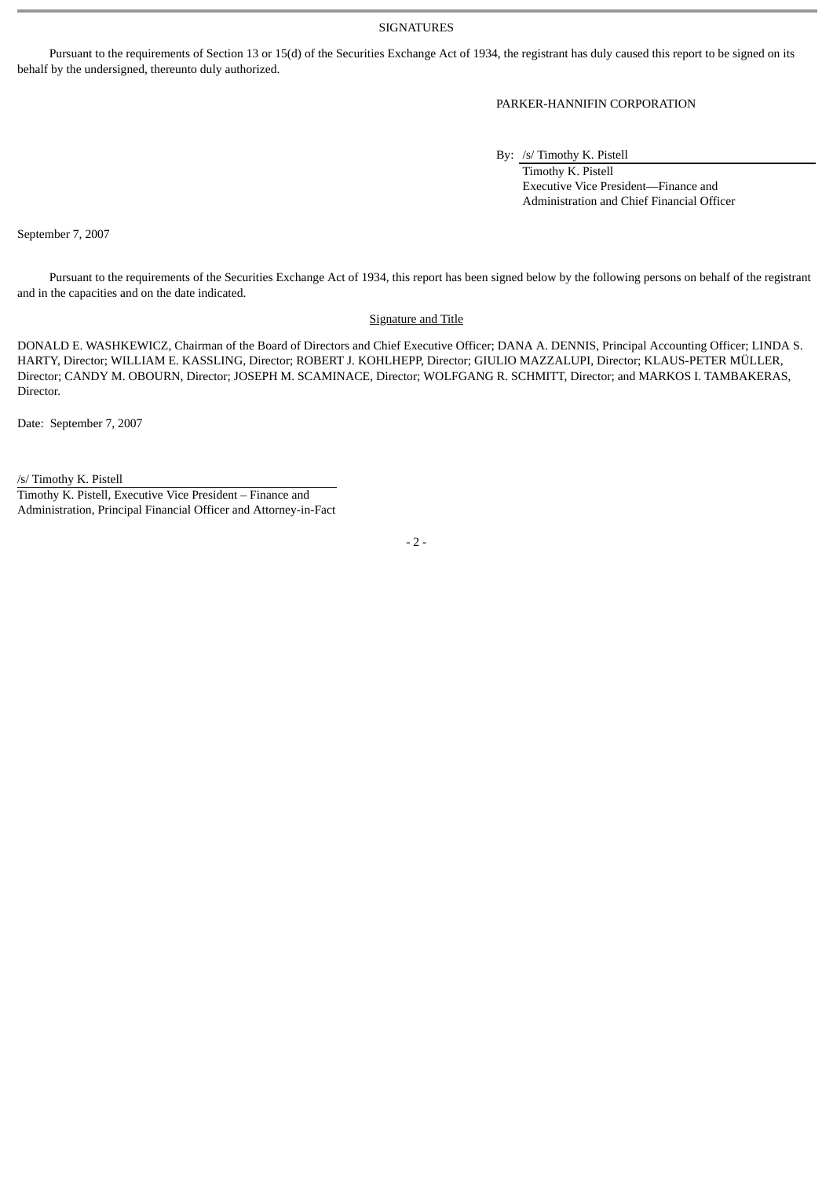**SIGNATURES** 

Pursuant to the requirements of Section 13 or 15(d) of the Securities Exchange Act of 1934, the registrant has duly caused this report to be signed on its behalf by the undersigned, thereunto duly authorized.

## PARKER-HANNIFIN CORPORATION

By: /s/ Timothy K. Pistell

Timothy K. Pistell Executive Vice President—Finance and Administration and Chief Financial Officer

September 7, 2007

Pursuant to the requirements of the Securities Exchange Act of 1934, this report has been signed below by the following persons on behalf of the registrant and in the capacities and on the date indicated.

## Signature and Title

DONALD E. WASHKEWICZ, Chairman of the Board of Directors and Chief Executive Officer; DANA A. DENNIS, Principal Accounting Officer; LINDA S. HARTY, Director; WILLIAM E. KASSLING, Director; ROBERT J. KOHLHEPP, Director; GIULIO MAZZALUPI, Director; KLAUS-PETER MÜLLER, Director; CANDY M. OBOURN, Director; JOSEPH M. SCAMINACE, Director; WOLFGANG R. SCHMITT, Director; and MARKOS I. TAMBAKERAS, Director.

Date: September 7, 2007

/s/ Timothy K. Pistell

Timothy K. Pistell, Executive Vice President – Finance and Administration, Principal Financial Officer and Attorney-in-Fact

- 2 -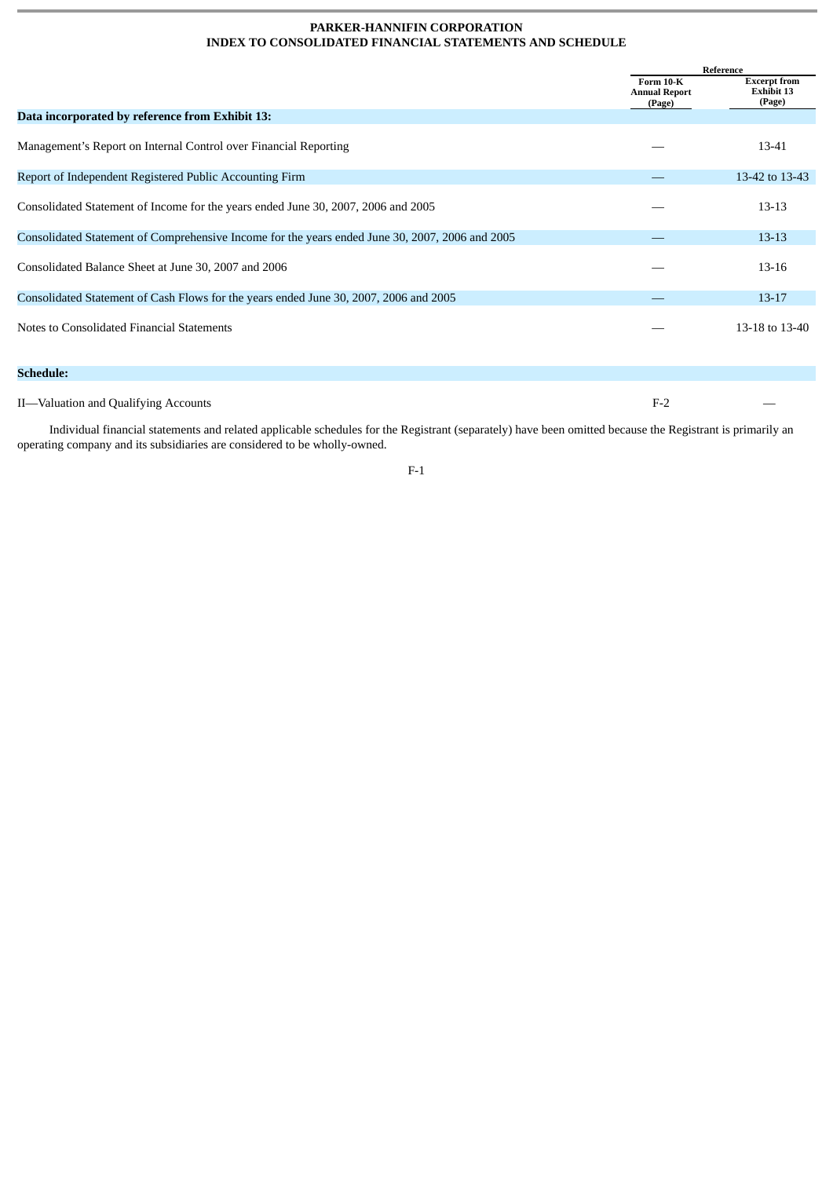## **PARKER-HANNIFIN CORPORATION INDEX TO CONSOLIDATED FINANCIAL STATEMENTS AND SCHEDULE**

|                                                                                                 | Reference                                   |                                                    |
|-------------------------------------------------------------------------------------------------|---------------------------------------------|----------------------------------------------------|
|                                                                                                 | Form 10-K<br><b>Annual Report</b><br>(Page) | <b>Excerpt from</b><br><b>Exhibit 13</b><br>(Page) |
| Data incorporated by reference from Exhibit 13:                                                 |                                             |                                                    |
| Management's Report on Internal Control over Financial Reporting                                |                                             | 13-41                                              |
| Report of Independent Registered Public Accounting Firm                                         |                                             | 13-42 to 13-43                                     |
| Consolidated Statement of Income for the years ended June 30, 2007, 2006 and 2005               |                                             | 13-13                                              |
| Consolidated Statement of Comprehensive Income for the years ended June 30, 2007, 2006 and 2005 |                                             | $13 - 13$                                          |
| Consolidated Balance Sheet at June 30, 2007 and 2006                                            |                                             | 13-16                                              |
| Consolidated Statement of Cash Flows for the years ended June 30, 2007, 2006 and 2005           |                                             | $13 - 17$                                          |
| Notes to Consolidated Financial Statements                                                      |                                             | 13-18 to 13-40                                     |
| <b>Schedule:</b>                                                                                |                                             |                                                    |
|                                                                                                 |                                             |                                                    |

II—Valuation and Qualifying Accounts F-2

Individual financial statements and related applicable schedules for the Registrant (separately) have been omitted because the Registrant is primarily an operating company and its subsidiaries are considered to be wholly-owned.

F-1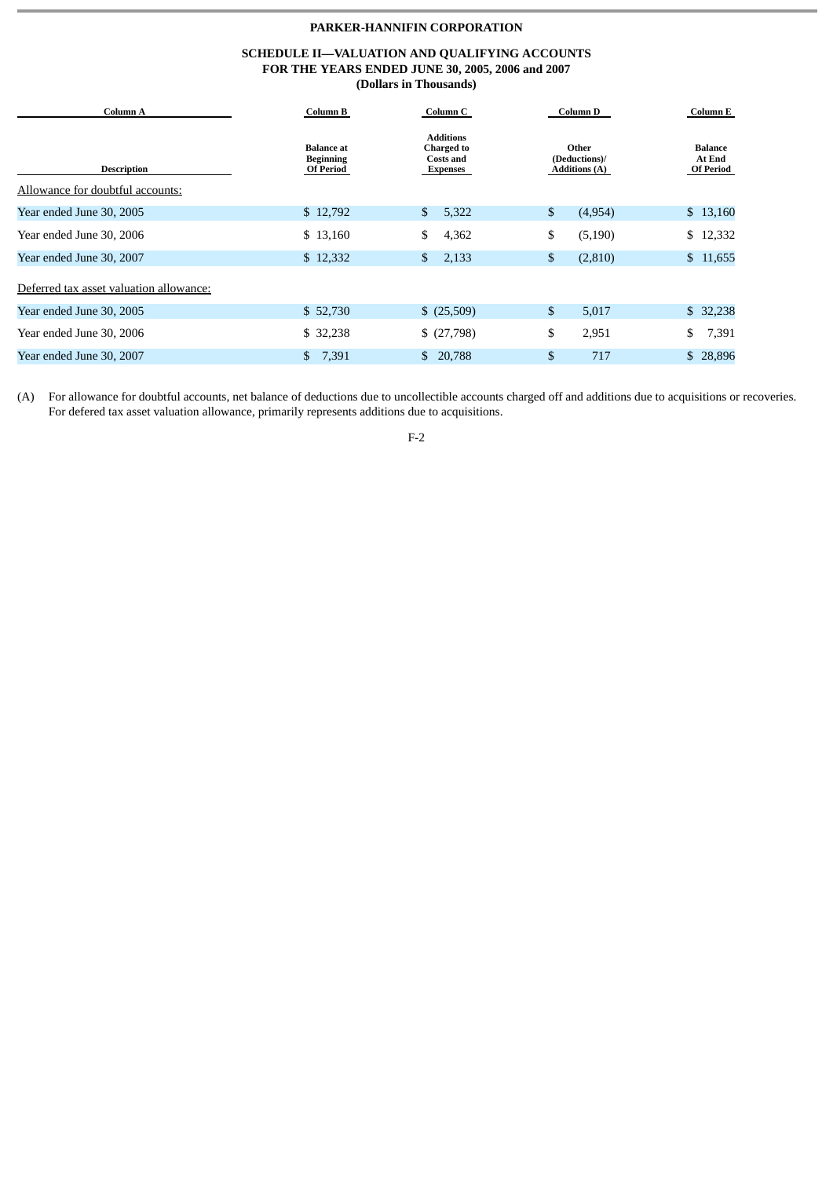## **PARKER-HANNIFIN CORPORATION**

## **SCHEDULE II—VALUATION AND QUALIFYING ACCOUNTS FOR THE YEARS ENDED JUNE 30, 2005, 2006 and 2007 (Dollars in Thousands)**

| Column A                                | Column B                                                  | Column C                                                                     | Column D                                       | Column E                              |
|-----------------------------------------|-----------------------------------------------------------|------------------------------------------------------------------------------|------------------------------------------------|---------------------------------------|
| <b>Description</b>                      | <b>Balance</b> at<br><b>Beginning</b><br><b>Of Period</b> | <b>Additions</b><br><b>Charged to</b><br><b>Costs and</b><br><b>Expenses</b> | Other<br>(Deductions)/<br><b>Additions (A)</b> | <b>Balance</b><br>At End<br>Of Period |
| Allowance for doubtful accounts:        |                                                           |                                                                              |                                                |                                       |
| Year ended June 30, 2005                | \$12,792                                                  | $\mathbb{S}^-$<br>5,322                                                      | \$<br>(4,954)                                  | \$13,160                              |
| Year ended June 30, 2006                | \$13,160                                                  | \$<br>4,362                                                                  | \$<br>(5, 190)                                 | \$12,332                              |
| Year ended June 30, 2007                | \$12,332                                                  | 2,133<br>\$                                                                  | \$<br>(2,810)                                  | \$11,655                              |
| Deferred tax asset valuation allowance: |                                                           |                                                                              |                                                |                                       |
| Year ended June 30, 2005                | \$52,730                                                  | \$(25,509)                                                                   | \$<br>5,017                                    | \$32,238                              |
| Year ended June 30, 2006                | \$32,238                                                  | \$(27,798)                                                                   | \$<br>2,951                                    | \$<br>7,391                           |
| Year ended June 30, 2007                | 7,391<br>$\mathbb{S}^-$                                   | 20,788<br>\$                                                                 | \$<br>717                                      | 28,896<br>\$                          |

(A) For allowance for doubtful accounts, net balance of deductions due to uncollectible accounts charged off and additions due to acquisitions or recoveries. For defered tax asset valuation allowance, primarily represents additions due to acquisitions.

F-2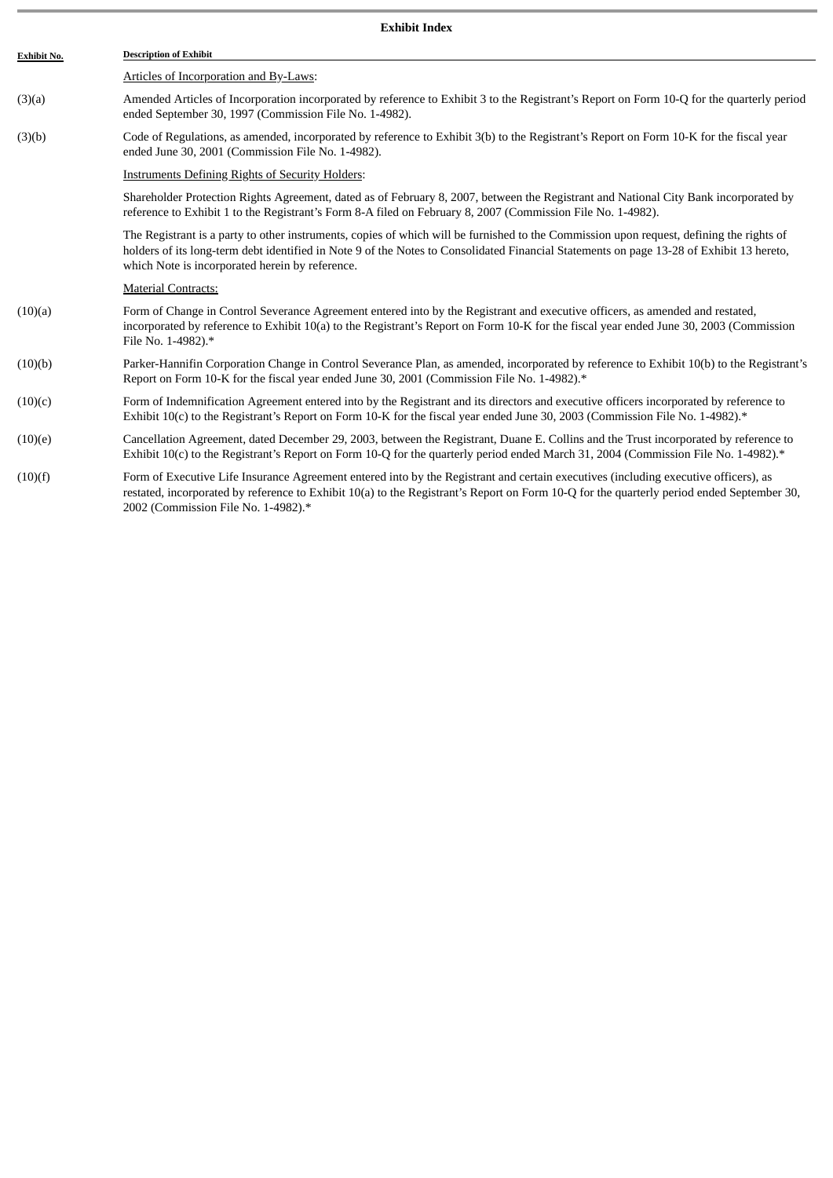| <b>Exhibit Index</b> |                                                                                                                                                                                                                                                                                                                                         |  |  |
|----------------------|-----------------------------------------------------------------------------------------------------------------------------------------------------------------------------------------------------------------------------------------------------------------------------------------------------------------------------------------|--|--|
| Exhibit No.          | <b>Description of Exhibit</b>                                                                                                                                                                                                                                                                                                           |  |  |
|                      | Articles of Incorporation and By-Laws:                                                                                                                                                                                                                                                                                                  |  |  |
| (3)(a)               | Amended Articles of Incorporation incorporated by reference to Exhibit 3 to the Registrant's Report on Form 10-Q for the quarterly period<br>ended September 30, 1997 (Commission File No. 1-4982).                                                                                                                                     |  |  |
| (3)(b)               | Code of Regulations, as amended, incorporated by reference to Exhibit 3(b) to the Registrant's Report on Form 10-K for the fiscal year<br>ended June 30, 2001 (Commission File No. 1-4982).                                                                                                                                             |  |  |
|                      | <b>Instruments Defining Rights of Security Holders:</b>                                                                                                                                                                                                                                                                                 |  |  |
|                      | Shareholder Protection Rights Agreement, dated as of February 8, 2007, between the Registrant and National City Bank incorporated by<br>reference to Exhibit 1 to the Registrant's Form 8-A filed on February 8, 2007 (Commission File No. 1-4982).                                                                                     |  |  |
|                      | The Registrant is a party to other instruments, copies of which will be furnished to the Commission upon request, defining the rights of<br>holders of its long-term debt identified in Note 9 of the Notes to Consolidated Financial Statements on page 13-28 of Exhibit 13 hereto,<br>which Note is incorporated herein by reference. |  |  |
|                      | <b>Material Contracts:</b>                                                                                                                                                                                                                                                                                                              |  |  |
| (10)(a)              | Form of Change in Control Severance Agreement entered into by the Registrant and executive officers, as amended and restated,<br>incorporated by reference to Exhibit 10(a) to the Registrant's Report on Form 10-K for the fiscal year ended June 30, 2003 (Commission<br>File No. 1-4982).*                                           |  |  |
| (10)(b)              | Parker-Hannifin Corporation Change in Control Severance Plan, as amended, incorporated by reference to Exhibit 10(b) to the Registrant's<br>Report on Form 10-K for the fiscal year ended June 30, 2001 (Commission File No. 1-4982).*                                                                                                  |  |  |
| (10)(c)              | Form of Indemnification Agreement entered into by the Registrant and its directors and executive officers incorporated by reference to<br>Exhibit 10(c) to the Registrant's Report on Form 10-K for the fiscal year ended June 30, 2003 (Commission File No. 1-4982).*                                                                  |  |  |
| (10)(e)              | Cancellation Agreement, dated December 29, 2003, between the Registrant, Duane E. Collins and the Trust incorporated by reference to<br>Exhibit 10(c) to the Registrant's Report on Form 10-Q for the quarterly period ended March 31, 2004 (Commission File No. 1-4982).*                                                              |  |  |
| (10)(f)              | Form of Executive Life Insurance Agreement entered into by the Registrant and certain executives (including executive officers), as<br>restated, incorporated by reference to Exhibit 10(a) to the Registrant's Report on Form 10-Q for the quarterly period ended September 30,<br>2002 (Commission File No. 1-4982).*                 |  |  |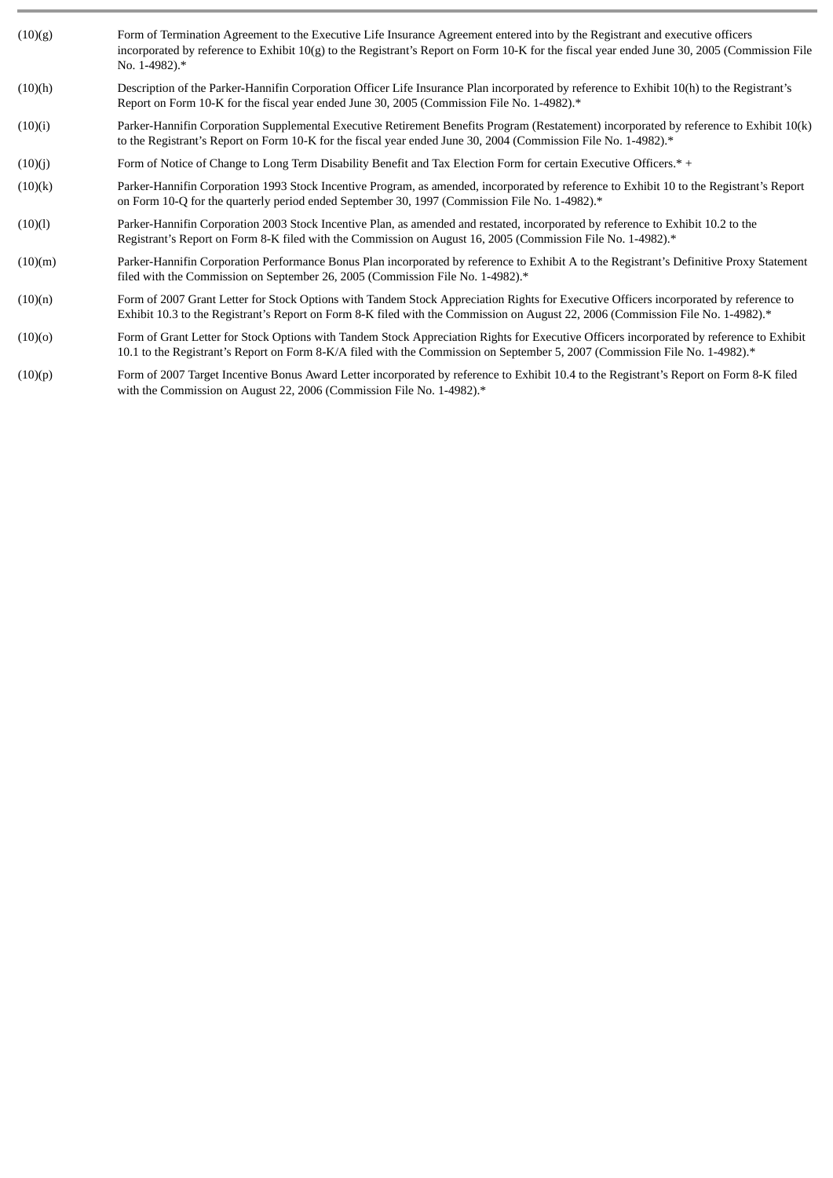| (10)(g) | Form of Termination Agreement to the Executive Life Insurance Agreement entered into by the Registrant and executive officers<br>incorporated by reference to Exhibit 10(g) to the Registrant's Report on Form 10-K for the fiscal year ended June 30, 2005 (Commission File<br>No. 1-4982). $*$ |
|---------|--------------------------------------------------------------------------------------------------------------------------------------------------------------------------------------------------------------------------------------------------------------------------------------------------|
| (10)(h) | Description of the Parker-Hannifin Corporation Officer Life Insurance Plan incorporated by reference to Exhibit 10(h) to the Registrant's<br>Report on Form 10-K for the fiscal year ended June 30, 2005 (Commission File No. 1-4982).*                                                          |
| (10)(i) | Parker-Hannifin Corporation Supplemental Executive Retirement Benefits Program (Restatement) incorporated by reference to Exhibit 10(k)<br>to the Registrant's Report on Form 10-K for the fiscal year ended June 30, 2004 (Commission File No. 1-4982).*                                        |
| (10)(j) | Form of Notice of Change to Long Term Disability Benefit and Tax Election Form for certain Executive Officers.* +                                                                                                                                                                                |
| (10)(k) | Parker-Hannifin Corporation 1993 Stock Incentive Program, as amended, incorporated by reference to Exhibit 10 to the Registrant's Report<br>on Form 10-Q for the quarterly period ended September 30, 1997 (Commission File No. 1-4982).*                                                        |
| (10)(l) | Parker-Hannifin Corporation 2003 Stock Incentive Plan, as amended and restated, incorporated by reference to Exhibit 10.2 to the<br>Registrant's Report on Form 8-K filed with the Commission on August 16, 2005 (Commission File No. 1-4982).*                                                  |
| (10)(m) | Parker-Hannifin Corporation Performance Bonus Plan incorporated by reference to Exhibit A to the Registrant's Definitive Proxy Statement<br>filed with the Commission on September 26, 2005 (Commission File No. 1-4982). <sup>*</sup>                                                           |
| (10)(n) | Form of 2007 Grant Letter for Stock Options with Tandem Stock Appreciation Rights for Executive Officers incorporated by reference to<br>Exhibit 10.3 to the Registrant's Report on Form 8-K filed with the Commission on August 22, 2006 (Commission File No. 1-4982).*                         |
| (10)(0) | Form of Grant Letter for Stock Options with Tandem Stock Appreciation Rights for Executive Officers incorporated by reference to Exhibit<br>10.1 to the Registrant's Report on Form 8-K/A filed with the Commission on September 5, 2007 (Commission File No. 1-4982).*                          |
| (10)(p) | Form of 2007 Target Incentive Bonus Award Letter incorporated by reference to Exhibit 10.4 to the Registrant's Report on Form 8-K filed<br>with the Commission on August 22, 2006 (Commission File No. 1-4982).*                                                                                 |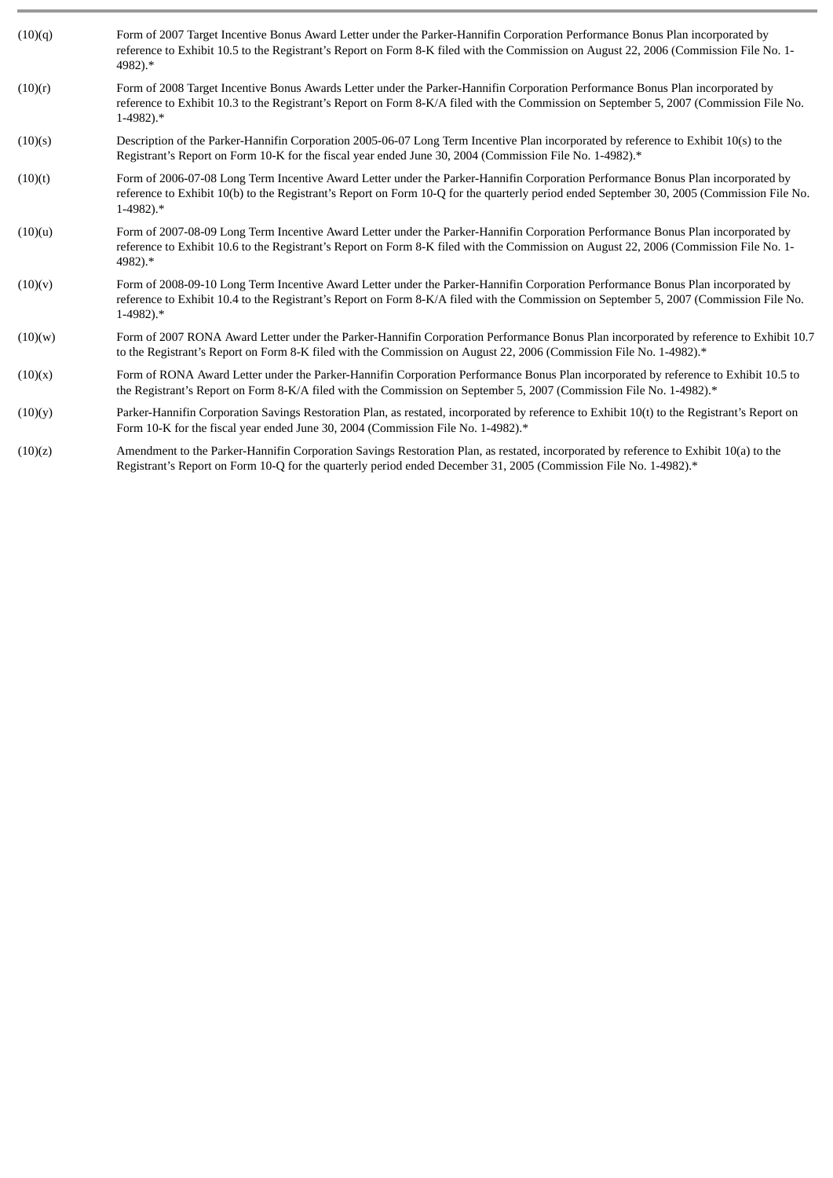| (10)(q) | Form of 2007 Target Incentive Bonus Award Letter under the Parker-Hannifin Corporation Performance Bonus Plan incorporated by<br>reference to Exhibit 10.5 to the Registrant's Report on Form 8-K filed with the Commission on August 22, 2006 (Commission File No. 1-<br>4982).*             |
|---------|-----------------------------------------------------------------------------------------------------------------------------------------------------------------------------------------------------------------------------------------------------------------------------------------------|
| (10)(r) | Form of 2008 Target Incentive Bonus Awards Letter under the Parker-Hannifin Corporation Performance Bonus Plan incorporated by<br>reference to Exhibit 10.3 to the Registrant's Report on Form 8-K/A filed with the Commission on September 5, 2007 (Commission File No.<br>$1-4982$ ).*      |
| (10)(s) | Description of the Parker-Hannifin Corporation 2005-06-07 Long Term Incentive Plan incorporated by reference to Exhibit 10(s) to the<br>Registrant's Report on Form 10-K for the fiscal year ended June 30, 2004 (Commission File No. 1-4982).*                                               |
| (10)(t) | Form of 2006-07-08 Long Term Incentive Award Letter under the Parker-Hannifin Corporation Performance Bonus Plan incorporated by<br>reference to Exhibit 10(b) to the Registrant's Report on Form 10-Q for the quarterly period ended September 30, 2005 (Commission File No.<br>$1-4982$ ).* |
| (10)(u) | Form of 2007-08-09 Long Term Incentive Award Letter under the Parker-Hannifin Corporation Performance Bonus Plan incorporated by<br>reference to Exhibit 10.6 to the Registrant's Report on Form 8-K filed with the Commission on August 22, 2006 (Commission File No. 1-<br>4982).*          |
| (10)(v) | Form of 2008-09-10 Long Term Incentive Award Letter under the Parker-Hannifin Corporation Performance Bonus Plan incorporated by<br>reference to Exhibit 10.4 to the Registrant's Report on Form 8-K/A filed with the Commission on September 5, 2007 (Commission File No.<br>$1-4982$ ).*    |
| (10)(w) | Form of 2007 RONA Award Letter under the Parker-Hannifin Corporation Performance Bonus Plan incorporated by reference to Exhibit 10.7<br>to the Registrant's Report on Form 8-K filed with the Commission on August 22, 2006 (Commission File No. 1-4982).*                                   |
| (10)(x) | Form of RONA Award Letter under the Parker-Hannifin Corporation Performance Bonus Plan incorporated by reference to Exhibit 10.5 to<br>the Registrant's Report on Form 8-K/A filed with the Commission on September 5, 2007 (Commission File No. 1-4982).*                                    |
| (10)(y) | Parker-Hannifin Corporation Savings Restoration Plan, as restated, incorporated by reference to Exhibit 10(t) to the Registrant's Report on<br>Form 10-K for the fiscal year ended June 30, 2004 (Commission File No. 1-4982).*                                                               |
| (10)(z) | Amendment to the Parker-Hannifin Corporation Savings Restoration Plan, as restated, incorporated by reference to Exhibit 10(a) to the<br>Registrant's Report on Form 10-Q for the quarterly period ended December 31, 2005 (Commission File No. 1-4982).*                                     |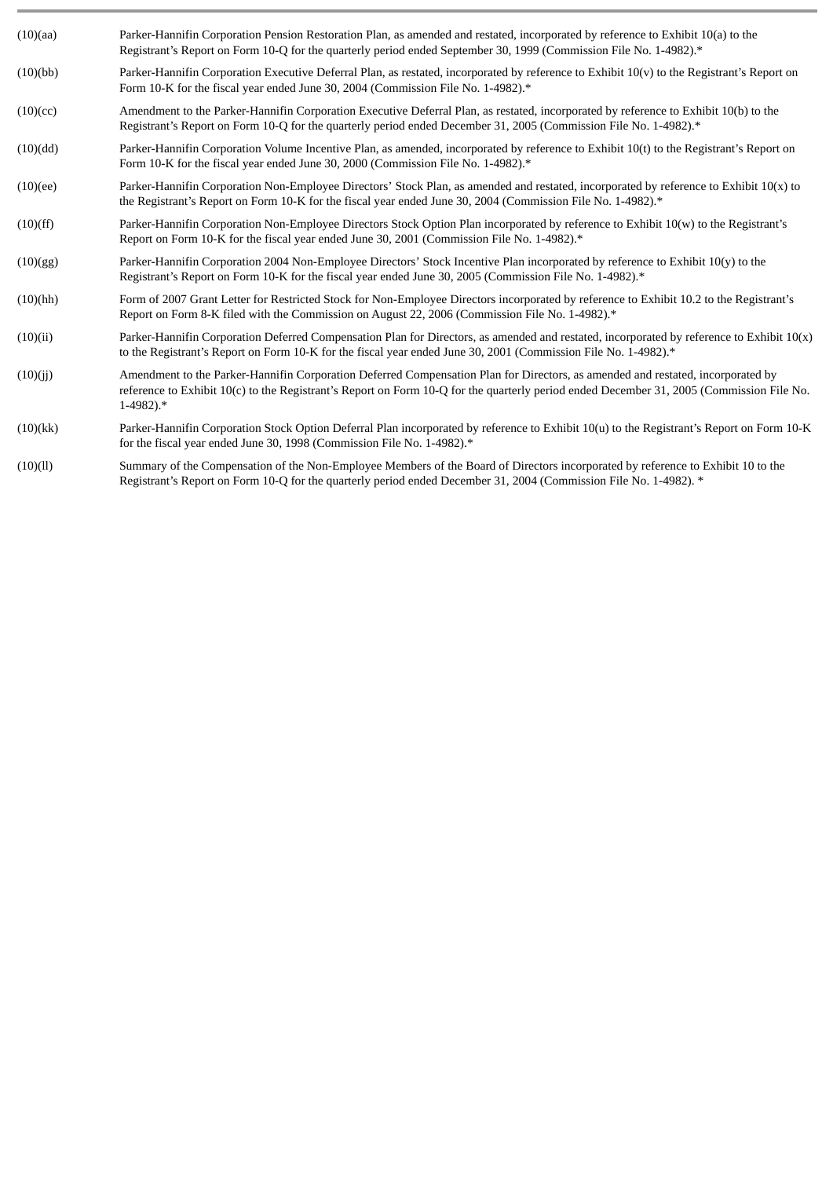| (10)(aa) | Parker-Hannifin Corporation Pension Restoration Plan, as amended and restated, incorporated by reference to Exhibit 10(a) to the<br>Registrant's Report on Form 10-Q for the quarterly period ended September 30, 1999 (Commission File No. 1-4982).*                                       |
|----------|---------------------------------------------------------------------------------------------------------------------------------------------------------------------------------------------------------------------------------------------------------------------------------------------|
| (10)(bb) | Parker-Hannifin Corporation Executive Deferral Plan, as restated, incorporated by reference to Exhibit 10(v) to the Registrant's Report on<br>Form 10-K for the fiscal year ended June 30, 2004 (Commission File No. 1-4982).*                                                              |
| (10)(cc) | Amendment to the Parker-Hannifin Corporation Executive Deferral Plan, as restated, incorporated by reference to Exhibit 10(b) to the<br>Registrant's Report on Form 10-Q for the quarterly period ended December 31, 2005 (Commission File No. 1-4982).*                                    |
| (10)(dd) | Parker-Hannifin Corporation Volume Incentive Plan, as amended, incorporated by reference to Exhibit 10(t) to the Registrant's Report on<br>Form 10-K for the fiscal year ended June 30, 2000 (Commission File No. 1-4982).*                                                                 |
| (10)(ee) | Parker-Hannifin Corporation Non-Employee Directors' Stock Plan, as amended and restated, incorporated by reference to Exhibit $10(x)$ to<br>the Registrant's Report on Form 10-K for the fiscal year ended June 30, 2004 (Commission File No. 1-4982).*                                     |
| (10)(ff) | Parker-Hannifin Corporation Non-Employee Directors Stock Option Plan incorporated by reference to Exhibit 10(w) to the Registrant's<br>Report on Form 10-K for the fiscal year ended June 30, 2001 (Commission File No. 1-4982).*                                                           |
| (10)(gg) | Parker-Hannifin Corporation 2004 Non-Employee Directors' Stock Incentive Plan incorporated by reference to Exhibit 10(y) to the<br>Registrant's Report on Form 10-K for the fiscal year ended June 30, 2005 (Commission File No. 1-4982).*                                                  |
| (10)(hh) | Form of 2007 Grant Letter for Restricted Stock for Non-Employee Directors incorporated by reference to Exhibit 10.2 to the Registrant's<br>Report on Form 8-K filed with the Commission on August 22, 2006 (Commission File No. 1-4982).*                                                   |
| (10)(ii) | Parker-Hannifin Corporation Deferred Compensation Plan for Directors, as amended and restated, incorporated by reference to Exhibit 10(x)<br>to the Registrant's Report on Form 10-K for the fiscal year ended June 30, 2001 (Commission File No. 1-4982).*                                 |
| (10)(jj) | Amendment to the Parker-Hannifin Corporation Deferred Compensation Plan for Directors, as amended and restated, incorporated by<br>reference to Exhibit 10(c) to the Registrant's Report on Form 10-Q for the quarterly period ended December 31, 2005 (Commission File No.<br>$1-4982$ ).* |
| (10)(kk) | Parker-Hannifin Corporation Stock Option Deferral Plan incorporated by reference to Exhibit 10(u) to the Registrant's Report on Form 10-K<br>for the fiscal year ended June 30, 1998 (Commission File No. 1-4982).*                                                                         |
|          |                                                                                                                                                                                                                                                                                             |

(10)(ll) Summary of the Compensation of the Non-Employee Members of the Board of Directors incorporated by reference to Exhibit 10 to the Registrant's Report on Form 10-Q for the quarterly period ended December 31, 2004 (Commission File No. 1-4982). \*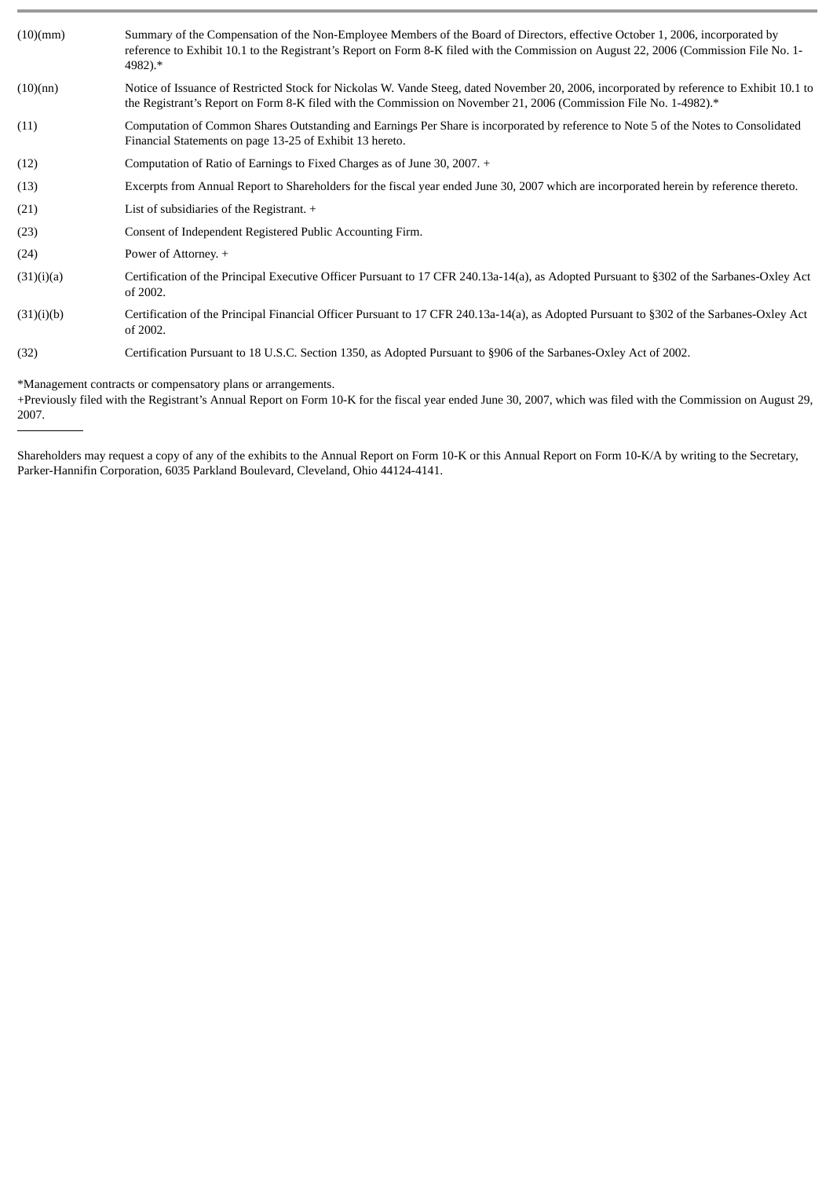| (10)(mm)   | Summary of the Compensation of the Non-Employee Members of the Board of Directors, effective October 1, 2006, incorporated by<br>reference to Exhibit 10.1 to the Registrant's Report on Form 8-K filed with the Commission on August 22, 2006 (Commission File No. 1-<br>4982).* |
|------------|-----------------------------------------------------------------------------------------------------------------------------------------------------------------------------------------------------------------------------------------------------------------------------------|
| (10)(nn)   | Notice of Issuance of Restricted Stock for Nickolas W. Vande Steeg, dated November 20, 2006, incorporated by reference to Exhibit 10.1 to<br>the Registrant's Report on Form 8-K filed with the Commission on November 21, 2006 (Commission File No. 1-4982).*                    |
| (11)       | Computation of Common Shares Outstanding and Earnings Per Share is incorporated by reference to Note 5 of the Notes to Consolidated<br>Financial Statements on page 13-25 of Exhibit 13 hereto.                                                                                   |
| (12)       | Computation of Ratio of Earnings to Fixed Charges as of June 30, 2007. +                                                                                                                                                                                                          |
| (13)       | Excerpts from Annual Report to Shareholders for the fiscal year ended June 30, 2007 which are incorporated herein by reference thereto.                                                                                                                                           |
| (21)       | List of subsidiaries of the Registrant. $+$                                                                                                                                                                                                                                       |
| (23)       | Consent of Independent Registered Public Accounting Firm.                                                                                                                                                                                                                         |
| (24)       | Power of Attorney. +                                                                                                                                                                                                                                                              |
| (31)(i)(a) | Certification of the Principal Executive Officer Pursuant to 17 CFR 240.13a-14(a), as Adopted Pursuant to §302 of the Sarbanes-Oxley Act<br>of 2002.                                                                                                                              |
| (31)(i)(b) | Certification of the Principal Financial Officer Pursuant to 17 CFR 240.13a-14(a), as Adopted Pursuant to §302 of the Sarbanes-Oxley Act<br>of 2002.                                                                                                                              |
| (32)       | Certification Pursuant to 18 U.S.C. Section 1350, as Adopted Pursuant to §906 of the Sarbanes-Oxley Act of 2002.                                                                                                                                                                  |

\*Management contracts or compensatory plans or arrangements.

+Previously filed with the Registrant's Annual Report on Form 10-K for the fiscal year ended June 30, 2007, which was filed with the Commission on August 29, 2007.

Shareholders may request a copy of any of the exhibits to the Annual Report on Form 10-K or this Annual Report on Form 10-K/A by writing to the Secretary, Parker-Hannifin Corporation, 6035 Parkland Boulevard, Cleveland, Ohio 44124-4141.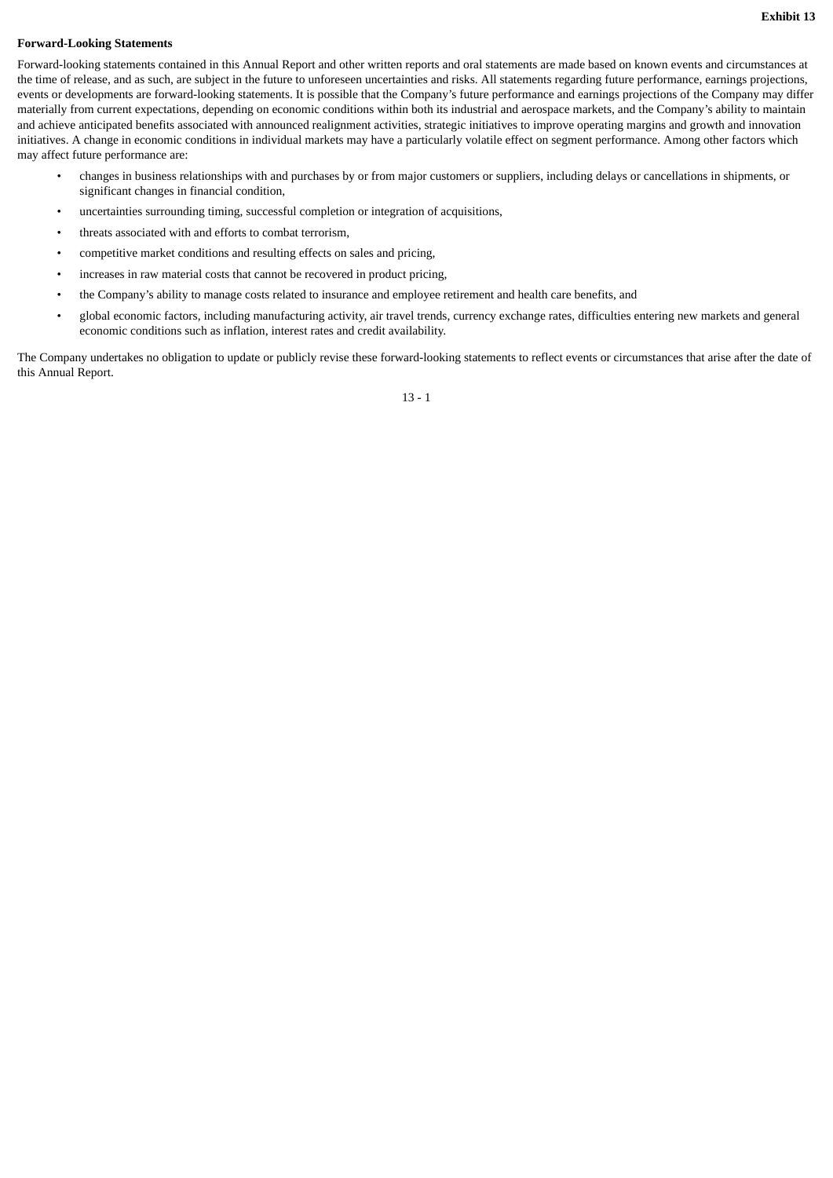## **Forward-Looking Statements**

Forward-looking statements contained in this Annual Report and other written reports and oral statements are made based on known events and circumstances at the time of release, and as such, are subject in the future to unforeseen uncertainties and risks. All statements regarding future performance, earnings projections, events or developments are forward-looking statements. It is possible that the Company's future performance and earnings projections of the Company may differ materially from current expectations, depending on economic conditions within both its industrial and aerospace markets, and the Company's ability to maintain and achieve anticipated benefits associated with announced realignment activities, strategic initiatives to improve operating margins and growth and innovation initiatives. A change in economic conditions in individual markets may have a particularly volatile effect on segment performance. Among other factors which may affect future performance are:

- changes in business relationships with and purchases by or from major customers or suppliers, including delays or cancellations in shipments, or significant changes in financial condition,
- uncertainties surrounding timing, successful completion or integration of acquisitions,
- threats associated with and efforts to combat terrorism,
- competitive market conditions and resulting effects on sales and pricing,
- increases in raw material costs that cannot be recovered in product pricing,
- the Company's ability to manage costs related to insurance and employee retirement and health care benefits, and
- global economic factors, including manufacturing activity, air travel trends, currency exchange rates, difficulties entering new markets and general economic conditions such as inflation, interest rates and credit availability.

The Company undertakes no obligation to update or publicly revise these forward-looking statements to reflect events or circumstances that arise after the date of this Annual Report.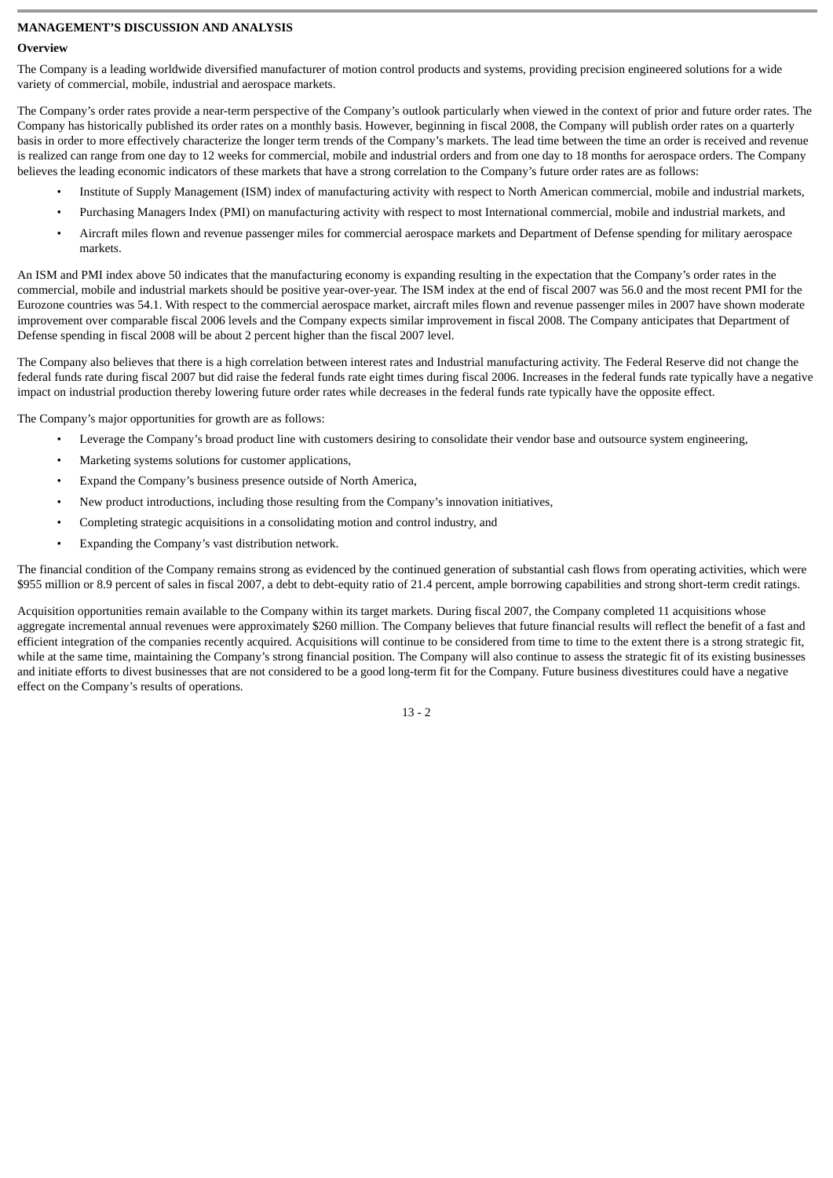## **MANAGEMENT'S DISCUSSION AND ANALYSIS**

## **Overview**

The Company is a leading worldwide diversified manufacturer of motion control products and systems, providing precision engineered solutions for a wide variety of commercial, mobile, industrial and aerospace markets.

The Company's order rates provide a near-term perspective of the Company's outlook particularly when viewed in the context of prior and future order rates. The Company has historically published its order rates on a monthly basis. However, beginning in fiscal 2008, the Company will publish order rates on a quarterly basis in order to more effectively characterize the longer term trends of the Company's markets. The lead time between the time an order is received and revenue is realized can range from one day to 12 weeks for commercial, mobile and industrial orders and from one day to 18 months for aerospace orders. The Company believes the leading economic indicators of these markets that have a strong correlation to the Company's future order rates are as follows:

- Institute of Supply Management (ISM) index of manufacturing activity with respect to North American commercial, mobile and industrial markets,
- Purchasing Managers Index (PMI) on manufacturing activity with respect to most International commercial, mobile and industrial markets, and
- Aircraft miles flown and revenue passenger miles for commercial aerospace markets and Department of Defense spending for military aerospace markets.

An ISM and PMI index above 50 indicates that the manufacturing economy is expanding resulting in the expectation that the Company's order rates in the commercial, mobile and industrial markets should be positive year-over-year. The ISM index at the end of fiscal 2007 was 56.0 and the most recent PMI for the Eurozone countries was 54.1. With respect to the commercial aerospace market, aircraft miles flown and revenue passenger miles in 2007 have shown moderate improvement over comparable fiscal 2006 levels and the Company expects similar improvement in fiscal 2008. The Company anticipates that Department of Defense spending in fiscal 2008 will be about 2 percent higher than the fiscal 2007 level.

The Company also believes that there is a high correlation between interest rates and Industrial manufacturing activity. The Federal Reserve did not change the federal funds rate during fiscal 2007 but did raise the federal funds rate eight times during fiscal 2006. Increases in the federal funds rate typically have a negative impact on industrial production thereby lowering future order rates while decreases in the federal funds rate typically have the opposite effect.

The Company's major opportunities for growth are as follows:

- Leverage the Company's broad product line with customers desiring to consolidate their vendor base and outsource system engineering,
- Marketing systems solutions for customer applications,
- Expand the Company's business presence outside of North America,
- New product introductions, including those resulting from the Company's innovation initiatives,
- Completing strategic acquisitions in a consolidating motion and control industry, and
- Expanding the Company's vast distribution network.

The financial condition of the Company remains strong as evidenced by the continued generation of substantial cash flows from operating activities, which were \$955 million or 8.9 percent of sales in fiscal 2007, a debt to debt-equity ratio of 21.4 percent, ample borrowing capabilities and strong short-term credit ratings.

Acquisition opportunities remain available to the Company within its target markets. During fiscal 2007, the Company completed 11 acquisitions whose aggregate incremental annual revenues were approximately \$260 million. The Company believes that future financial results will reflect the benefit of a fast and efficient integration of the companies recently acquired. Acquisitions will continue to be considered from time to time to the extent there is a strong strategic fit, while at the same time, maintaining the Company's strong financial position. The Company will also continue to assess the strategic fit of its existing businesses and initiate efforts to divest businesses that are not considered to be a good long-term fit for the Company. Future business divestitures could have a negative effect on the Company's results of operations.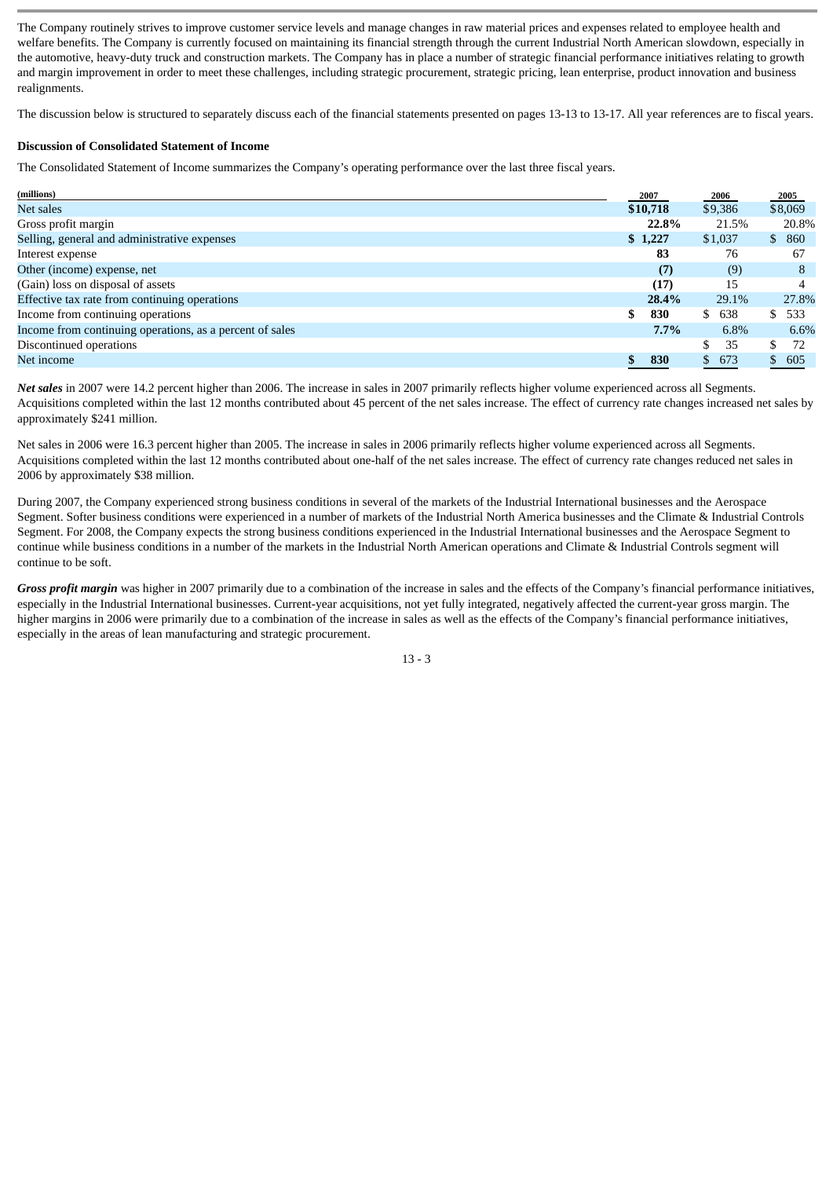The Company routinely strives to improve customer service levels and manage changes in raw material prices and expenses related to employee health and welfare benefits. The Company is currently focused on maintaining its financial strength through the current Industrial North American slowdown, especially in the automotive, heavy-duty truck and construction markets. The Company has in place a number of strategic financial performance initiatives relating to growth and margin improvement in order to meet these challenges, including strategic procurement, strategic pricing, lean enterprise, product innovation and business realignments.

The discussion below is structured to separately discuss each of the financial statements presented on pages 13-13 to 13-17. All year references are to fiscal years.

## **Discussion of Consolidated Statement of Income**

The Consolidated Statement of Income summarizes the Company's operating performance over the last three fiscal years.

| (millions)                                               | 2007     | 2006      | 2005       |
|----------------------------------------------------------|----------|-----------|------------|
| Net sales                                                | \$10,718 | \$9,386   | \$8,069    |
| Gross profit margin                                      | 22.8%    | 21.5%     | 20.8%      |
| Selling, general and administrative expenses             | \$1,227  | \$1,037   | \$860      |
| Interest expense                                         | 83       | 76        | 67         |
| Other (income) expense, net                              | (7)      | (9)       | 8          |
| (Gain) loss on disposal of assets                        | (17)     | 15        |            |
| Effective tax rate from continuing operations            | 28.4%    | 29.1%     | 27.8%      |
| Income from continuing operations                        | 830      | 638<br>S. | 533<br>\$  |
| Income from continuing operations, as a percent of sales | 7.7%     | 6.8%      | 6.6%       |
| Discontinued operations                                  |          | 35<br>\$  | \$.<br>-72 |
| Net income                                               | 830      | \$673     | 605<br>\$  |

*Net sales* in 2007 were 14.2 percent higher than 2006. The increase in sales in 2007 primarily reflects higher volume experienced across all Segments. Acquisitions completed within the last 12 months contributed about 45 percent of the net sales increase. The effect of currency rate changes increased net sales by approximately \$241 million.

Net sales in 2006 were 16.3 percent higher than 2005. The increase in sales in 2006 primarily reflects higher volume experienced across all Segments. Acquisitions completed within the last 12 months contributed about one-half of the net sales increase. The effect of currency rate changes reduced net sales in 2006 by approximately \$38 million.

During 2007, the Company experienced strong business conditions in several of the markets of the Industrial International businesses and the Aerospace Segment. Softer business conditions were experienced in a number of markets of the Industrial North America businesses and the Climate & Industrial Controls Segment. For 2008, the Company expects the strong business conditions experienced in the Industrial International businesses and the Aerospace Segment to continue while business conditions in a number of the markets in the Industrial North American operations and Climate & Industrial Controls segment will continue to be soft.

Gross profit margin was higher in 2007 primarily due to a combination of the increase in sales and the effects of the Company's financial performance initiatives, especially in the Industrial International businesses. Current-year acquisitions, not yet fully integrated, negatively affected the current-year gross margin. The higher margins in 2006 were primarily due to a combination of the increase in sales as well as the effects of the Company's financial performance initiatives, especially in the areas of lean manufacturing and strategic procurement.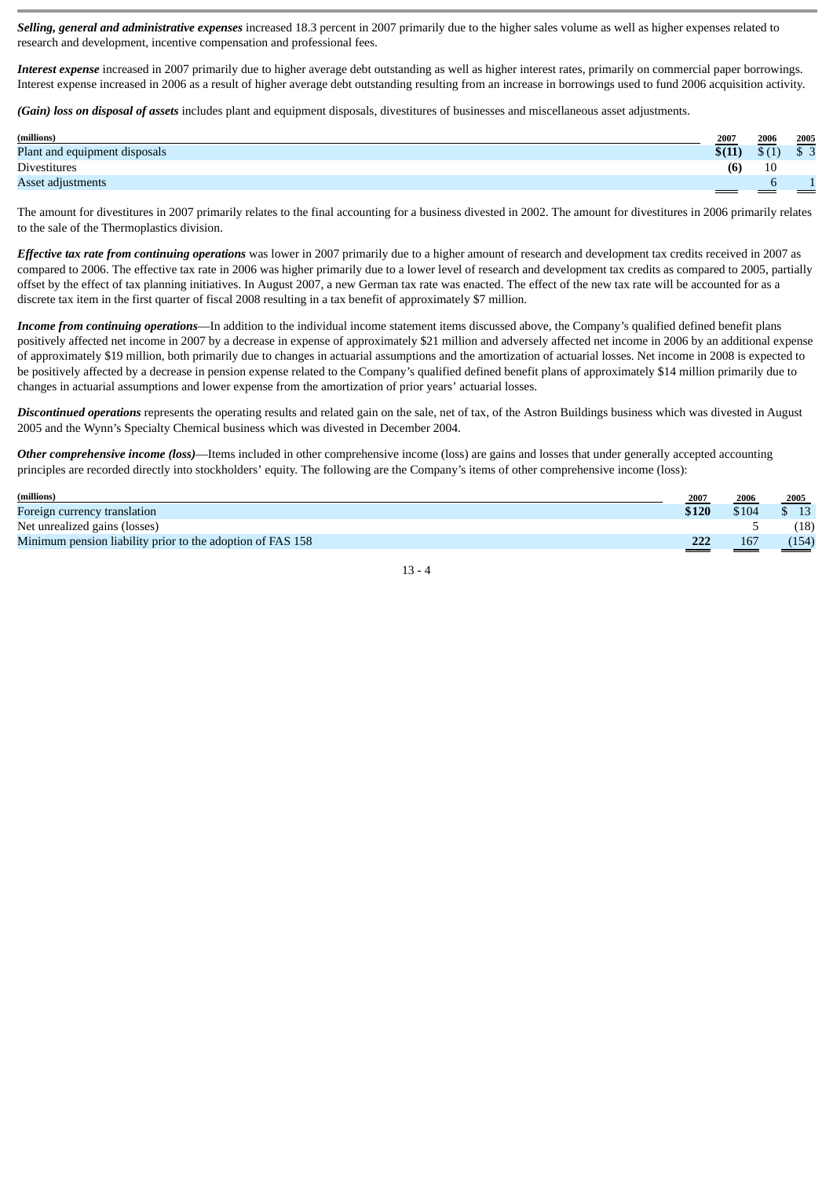*Selling, general and administrative expenses* increased 18.3 percent in 2007 primarily due to the higher sales volume as well as higher expenses related to research and development, incentive compensation and professional fees.

*Interest expense* increased in 2007 primarily due to higher average debt outstanding as well as higher interest rates, primarily on commercial paper borrowings. Interest expense increased in 2006 as a result of higher average debt outstanding resulting from an increase in borrowings used to fund 2006 acquisition activity.

*(Gain) loss on disposal of assets* includes plant and equipment disposals, divestitures of businesses and miscellaneous asset adjustments.

| (millions)                    | 2007   | 2006                | 2005                  |
|-------------------------------|--------|---------------------|-----------------------|
| Plant and equipment disposals | \$(11) | <b>ሮ</b> (1)<br>ъı. | $\uparrow$ $\uparrow$ |
| Divestitures                  | (6)    | 10                  |                       |
| Asset adjustments             |        |                     |                       |
|                               |        |                     |                       |

The amount for divestitures in 2007 primarily relates to the final accounting for a business divested in 2002. The amount for divestitures in 2006 primarily relates to the sale of the Thermoplastics division.

*Effective tax rate from continuing operations* was lower in 2007 primarily due to a higher amount of research and development tax credits received in 2007 as compared to 2006. The effective tax rate in 2006 was higher primarily due to a lower level of research and development tax credits as compared to 2005, partially offset by the effect of tax planning initiatives. In August 2007, a new German tax rate was enacted. The effect of the new tax rate will be accounted for as a discrete tax item in the first quarter of fiscal 2008 resulting in a tax benefit of approximately \$7 million.

*Income from continuing operations*—In addition to the individual income statement items discussed above, the Company's qualified defined benefit plans positively affected net income in 2007 by a decrease in expense of approximately \$21 million and adversely affected net income in 2006 by an additional expense of approximately \$19 million, both primarily due to changes in actuarial assumptions and the amortization of actuarial losses. Net income in 2008 is expected to be positively affected by a decrease in pension expense related to the Company's qualified defined benefit plans of approximately \$14 million primarily due to changes in actuarial assumptions and lower expense from the amortization of prior years' actuarial losses.

*Discontinued operations* represents the operating results and related gain on the sale, net of tax, of the Astron Buildings business which was divested in August 2005 and the Wynn's Specialty Chemical business which was divested in December 2004.

*Other comprehensive income (loss)—Items included in other comprehensive income (loss) are gains and losses that under generally accepted accounting* principles are recorded directly into stockholders' equity. The following are the Company's items of other comprehensive income (loss):

| (millions)                                                 | 2007  | 2006  | 2005  |
|------------------------------------------------------------|-------|-------|-------|
| Foreign currency translation                               | \$120 | \$104 |       |
| Net unrealized gains (losses)                              |       |       | (18)  |
| Minimum pension liability prior to the adoption of FAS 158 |       | 167   | (154) |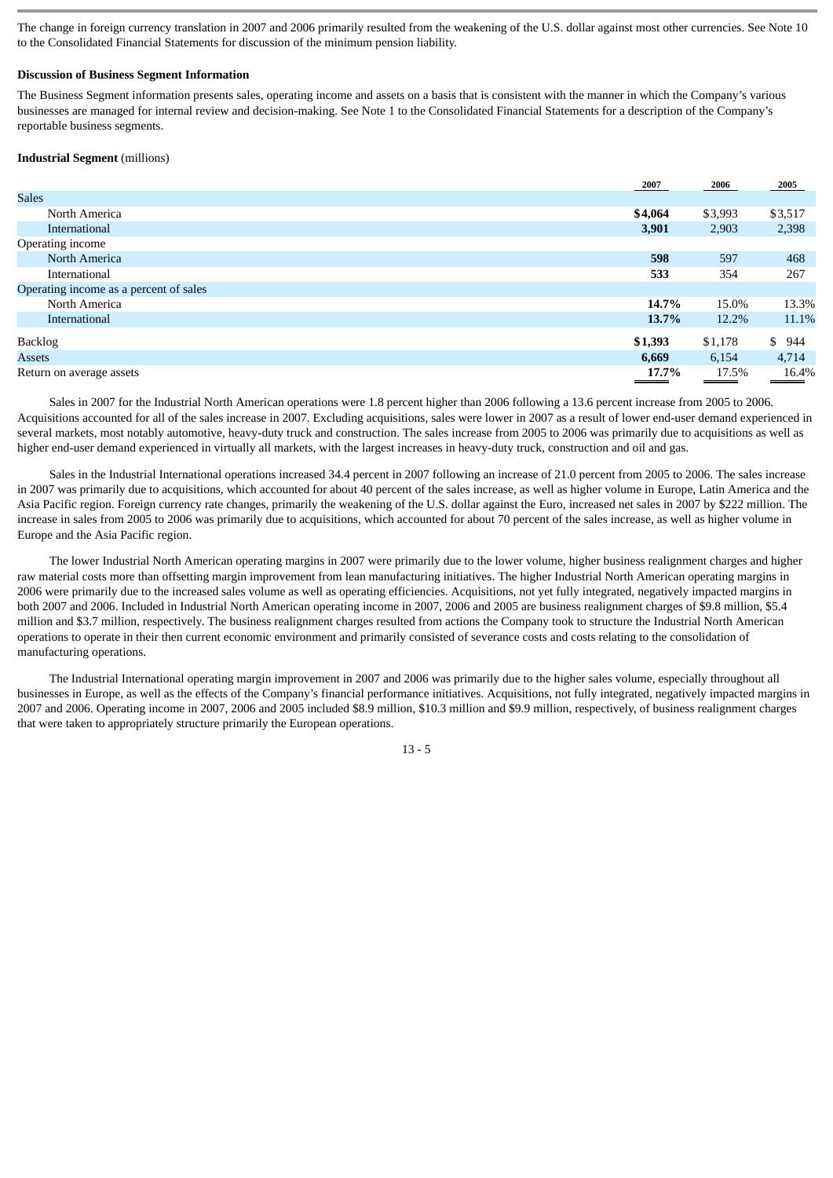The change in foreign currency translation in 2007 and 2006 primarily resulted from the weakening of the U.S. dollar against most other currencies. See Note 10 to the Consolidated Financial Statements for discussion of the minimum pension liability.

#### **Discussion of Business Segment Information**

The Business Segment information presents sales, operating income and assets on a basis that is consistent with the manner in which the Company's various businesses are managed for internal review and decision-making. See Note 1 to the Consolidated Financial Statements for a description of the Company's reportable business segments.

#### **Industrial Segment** (millions)

|                                        | 2007    | 2006    | 2005    |
|----------------------------------------|---------|---------|---------|
| <b>Sales</b>                           |         |         |         |
| North America                          | \$4,064 | \$3,993 | \$3,517 |
| International                          | 3,901   | 2,903   | 2,398   |
| Operating income                       |         |         |         |
| North America                          | 598     | 597     | 468     |
| International                          | 533     | 354     | 267     |
| Operating income as a percent of sales |         |         |         |
| North America                          | 14.7%   | 15.0%   | 13.3%   |
| International                          | 13.7%   | 12.2%   | 11.1%   |
| <b>Backlog</b>                         | \$1,393 | \$1,178 | \$944   |
| <b>Assets</b>                          | 6,669   | 6,154   | 4,714   |
| Return on average assets               | 17.7%   | 17.5%   | 16.4%   |

Sales in 2007 for the Industrial North American operations were 1.8 percent higher than 2006 following a 13.6 percent increase from 2005 to 2006. Acquisitions accounted for all of the sales increase in 2007. Excluding acquisitions, sales were lower in 2007 as a result of lower end-user demand experienced in several markets, most notably automotive, heavy-duty truck and construction. The sales increase from 2005 to 2006 was primarily due to acquisitions as well as higher end-user demand experienced in virtually all markets, with the largest increases in heavy-duty truck, construction and oil and gas.

Sales in the Industrial International operations increased 34.4 percent in 2007 following an increase of 21.0 percent from 2005 to 2006. The sales increase in 2007 was primarily due to acquisitions, which accounted for about 40 percent of the sales increase, as well as higher volume in Europe, Latin America and the Asia Pacific region. Foreign currency rate changes, primarily the weakening of the U.S. dollar against the Euro, increased net sales in 2007 by \$222 million. The increase in sales from 2005 to 2006 was primarily due to acquisitions, which accounted for about 70 percent of the sales increase, as well as higher volume in Europe and the Asia Pacific region.

The lower Industrial North American operating margins in 2007 were primarily due to the lower volume, higher business realignment charges and higher raw material costs more than offsetting margin improvement from lean manufacturing initiatives. The higher Industrial North American operating margins in 2006 were primarily due to the increased sales volume as well as operating efficiencies. Acquisitions, not yet fully integrated, negatively impacted margins in both 2007 and 2006. Included in Industrial North American operating income in 2007, 2006 and 2005 are business realignment charges of \$9.8 million, \$5.4 million and \$3.7 million, respectively. The business realignment charges resulted from actions the Company took to structure the Industrial North American operations to operate in their then current economic environment and primarily consisted of severance costs and costs relating to the consolidation of manufacturing operations.

The Industrial International operating margin improvement in 2007 and 2006 was primarily due to the higher sales volume, especially throughout all businesses in Europe, as well as the effects of the Company's financial performance initiatives. Acquisitions, not fully integrated, negatively impacted margins in 2007 and 2006. Operating income in 2007, 2006 and 2005 included \$8.9 million, \$10.3 million and \$9.9 million, respectively, of business realignment charges that were taken to appropriately structure primarily the European operations.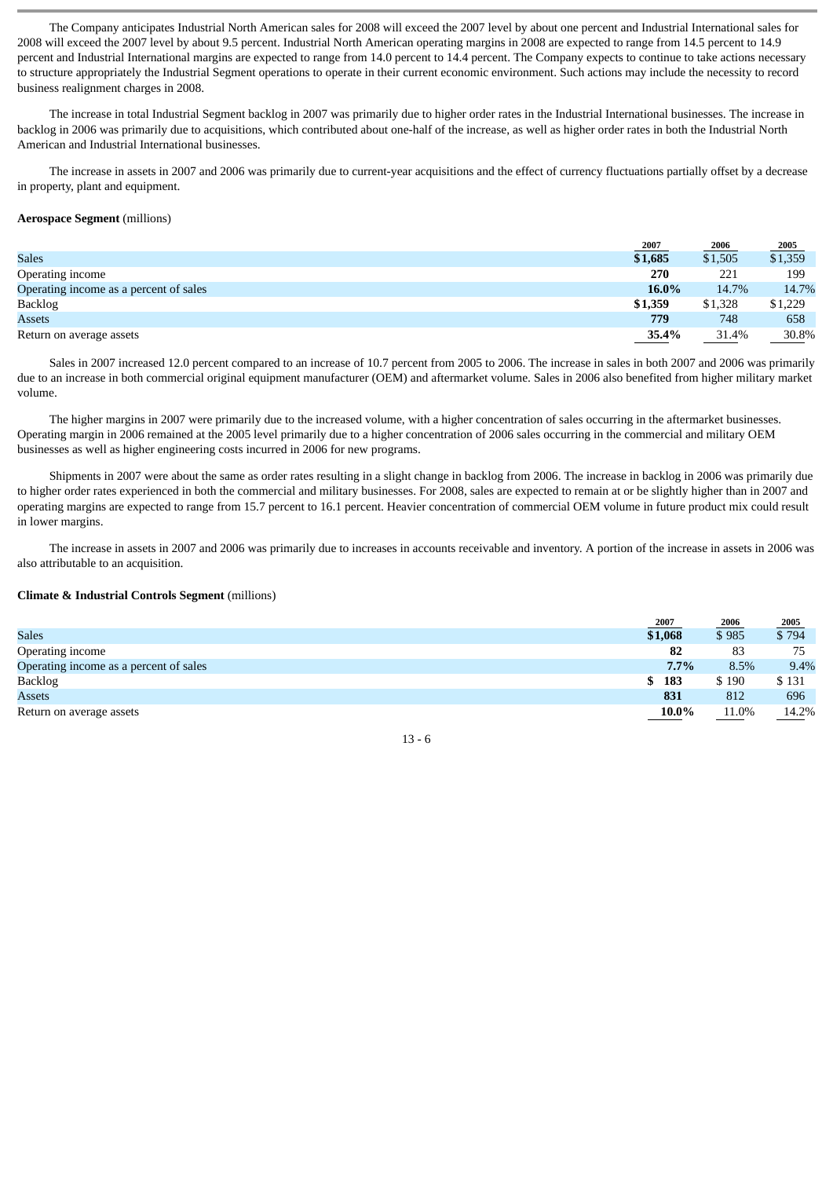The Company anticipates Industrial North American sales for 2008 will exceed the 2007 level by about one percent and Industrial International sales for 2008 will exceed the 2007 level by about 9.5 percent. Industrial North American operating margins in 2008 are expected to range from 14.5 percent to 14.9 percent and Industrial International margins are expected to range from 14.0 percent to 14.4 percent. The Company expects to continue to take actions necessary to structure appropriately the Industrial Segment operations to operate in their current economic environment. Such actions may include the necessity to record business realignment charges in 2008.

The increase in total Industrial Segment backlog in 2007 was primarily due to higher order rates in the Industrial International businesses. The increase in backlog in 2006 was primarily due to acquisitions, which contributed about one-half of the increase, as well as higher order rates in both the Industrial North American and Industrial International businesses.

The increase in assets in 2007 and 2006 was primarily due to current-year acquisitions and the effect of currency fluctuations partially offset by a decrease in property, plant and equipment.

#### **Aerospace Segment** (millions)

|                                        | 2007    | 2006    | 2005    |
|----------------------------------------|---------|---------|---------|
| <b>Sales</b>                           | \$1,685 | \$1,505 | \$1,359 |
| Operating income                       | 270     | 221     | 199     |
| Operating income as a percent of sales | 16.0%   | 14.7%   | 14.7%   |
| <b>Backlog</b>                         | \$1,359 | \$1,328 | \$1,229 |
| Assets                                 | 779     | 748     | 658     |
| Return on average assets               | 35.4%   | 31.4%   | 30.8%   |

Sales in 2007 increased 12.0 percent compared to an increase of 10.7 percent from 2005 to 2006. The increase in sales in both 2007 and 2006 was primarily due to an increase in both commercial original equipment manufacturer (OEM) and aftermarket volume. Sales in 2006 also benefited from higher military market volume.

The higher margins in 2007 were primarily due to the increased volume, with a higher concentration of sales occurring in the aftermarket businesses. Operating margin in 2006 remained at the 2005 level primarily due to a higher concentration of 2006 sales occurring in the commercial and military OEM businesses as well as higher engineering costs incurred in 2006 for new programs.

Shipments in 2007 were about the same as order rates resulting in a slight change in backlog from 2006. The increase in backlog in 2006 was primarily due to higher order rates experienced in both the commercial and military businesses. For 2008, sales are expected to remain at or be slightly higher than in 2007 and operating margins are expected to range from 15.7 percent to 16.1 percent. Heavier concentration of commercial OEM volume in future product mix could result in lower margins.

The increase in assets in 2007 and 2006 was primarily due to increases in accounts receivable and inventory. A portion of the increase in assets in 2006 was also attributable to an acquisition.

#### **Climate & Industrial Controls Segment** (millions)

|                                        | 2007    | 2006  | 2005          |
|----------------------------------------|---------|-------|---------------|
| <b>Sales</b>                           | \$1,068 | \$985 | $\sqrt{5794}$ |
| Operating income                       | 82      | 83    | 75            |
| Operating income as a percent of sales | 7.7%    | 8.5%  | 9.4%          |
| <b>Backlog</b>                         | 183     | \$190 | \$131         |
| Assets                                 | 831     | 812   | 696           |
| Return on average assets               | 10.0%   | 11.0% | 14.2%         |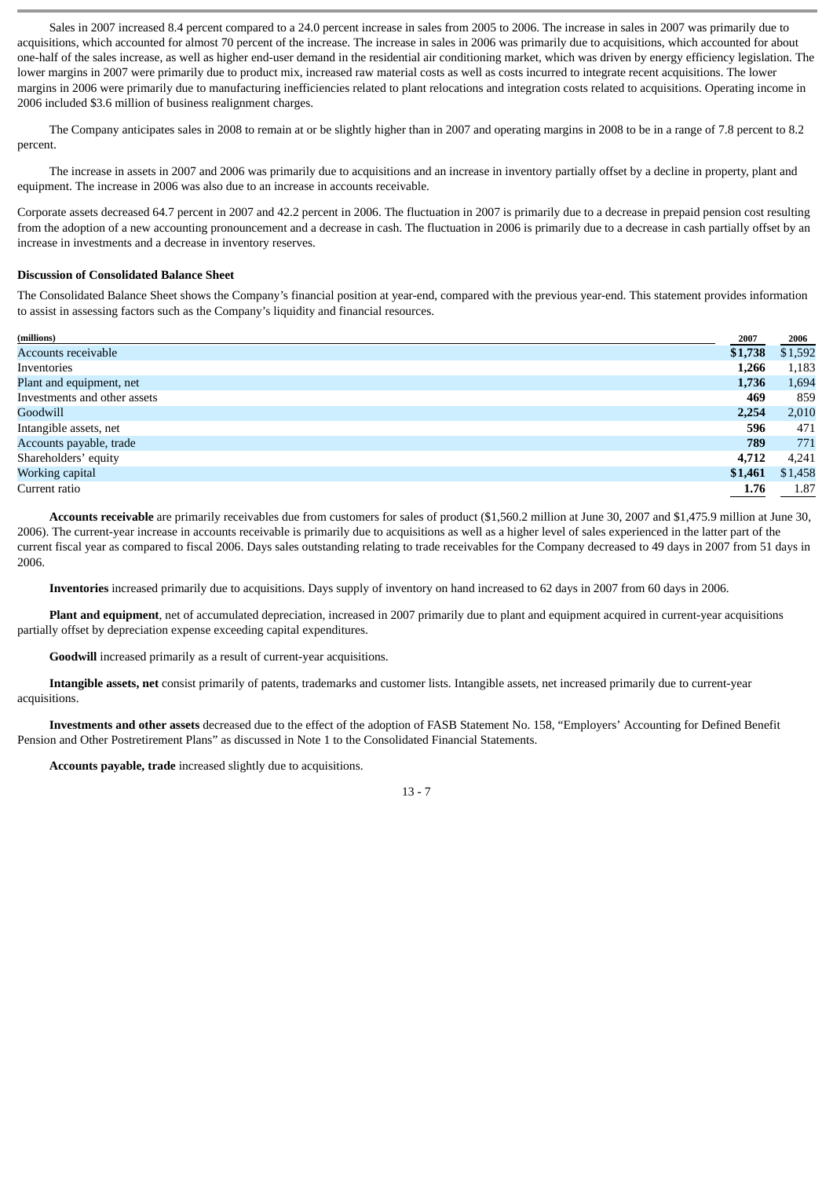Sales in 2007 increased 8.4 percent compared to a 24.0 percent increase in sales from 2005 to 2006. The increase in sales in 2007 was primarily due to acquisitions, which accounted for almost 70 percent of the increase. The increase in sales in 2006 was primarily due to acquisitions, which accounted for about one-half of the sales increase, as well as higher end-user demand in the residential air conditioning market, which was driven by energy efficiency legislation. The lower margins in 2007 were primarily due to product mix, increased raw material costs as well as costs incurred to integrate recent acquisitions. The lower margins in 2006 were primarily due to manufacturing inefficiencies related to plant relocations and integration costs related to acquisitions. Operating income in 2006 included \$3.6 million of business realignment charges.

The Company anticipates sales in 2008 to remain at or be slightly higher than in 2007 and operating margins in 2008 to be in a range of 7.8 percent to 8.2 percent.

The increase in assets in 2007 and 2006 was primarily due to acquisitions and an increase in inventory partially offset by a decline in property, plant and equipment. The increase in 2006 was also due to an increase in accounts receivable.

Corporate assets decreased 64.7 percent in 2007 and 42.2 percent in 2006. The fluctuation in 2007 is primarily due to a decrease in prepaid pension cost resulting from the adoption of a new accounting pronouncement and a decrease in cash. The fluctuation in 2006 is primarily due to a decrease in cash partially offset by an increase in investments and a decrease in inventory reserves.

## **Discussion of Consolidated Balance Sheet**

The Consolidated Balance Sheet shows the Company's financial position at year-end, compared with the previous year-end. This statement provides information to assist in assessing factors such as the Company's liquidity and financial resources.

| (millions)                   | 2007    | 2006    |
|------------------------------|---------|---------|
| <b>Accounts receivable</b>   | \$1,738 | \$1,592 |
| Inventories                  | 1,266   | 1,183   |
| Plant and equipment, net     | 1,736   | 1,694   |
| Investments and other assets | 469     | 859     |
| Goodwill                     | 2,254   | 2,010   |
| Intangible assets, net       | 596     | 471     |
| Accounts payable, trade      | 789     | 771     |
| Shareholders' equity         | 4,712   | 4,241   |
| Working capital              | \$1,461 | \$1,458 |
| Current ratio                | 1.76    | 1.87    |

**Accounts receivable** are primarily receivables due from customers for sales of product (\$1,560.2 million at June 30, 2007 and \$1,475.9 million at June 30, 2006). The current-year increase in accounts receivable is primarily due to acquisitions as well as a higher level of sales experienced in the latter part of the current fiscal year as compared to fiscal 2006. Days sales outstanding relating to trade receivables for the Company decreased to 49 days in 2007 from 51 days in 2006.

**Inventories** increased primarily due to acquisitions. Days supply of inventory on hand increased to 62 days in 2007 from 60 days in 2006.

**Plant and equipment**, net of accumulated depreciation, increased in 2007 primarily due to plant and equipment acquired in current-year acquisitions partially offset by depreciation expense exceeding capital expenditures.

**Goodwill** increased primarily as a result of current-year acquisitions.

**Intangible assets, net** consist primarily of patents, trademarks and customer lists. Intangible assets, net increased primarily due to current-year acquisitions.

**Investments and other assets** decreased due to the effect of the adoption of FASB Statement No. 158, "Employers' Accounting for Defined Benefit Pension and Other Postretirement Plans" as discussed in Note 1 to the Consolidated Financial Statements.

**Accounts payable, trade** increased slightly due to acquisitions.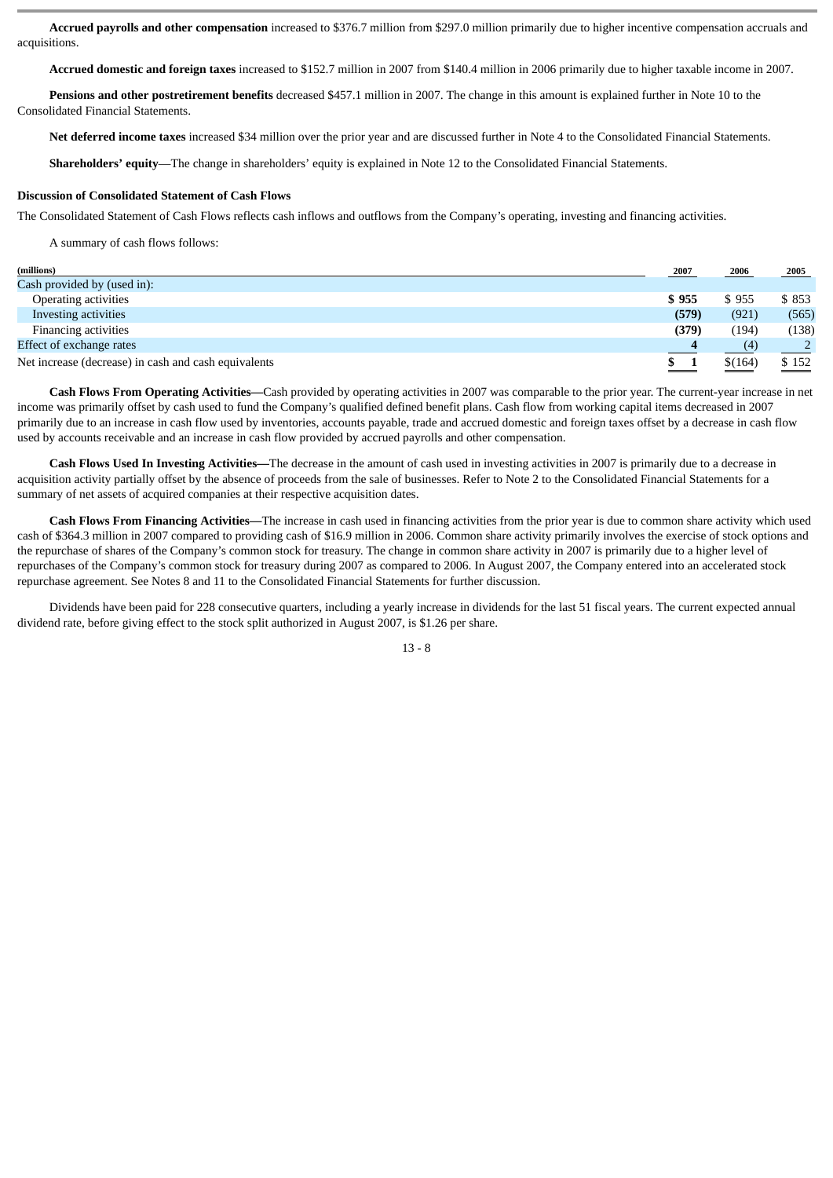**Accrued payrolls and other compensation** increased to \$376.7 million from \$297.0 million primarily due to higher incentive compensation accruals and acquisitions.

**Accrued domestic and foreign taxes** increased to \$152.7 million in 2007 from \$140.4 million in 2006 primarily due to higher taxable income in 2007.

**Pensions and other postretirement benefits** decreased \$457.1 million in 2007. The change in this amount is explained further in Note 10 to the Consolidated Financial Statements.

**Net deferred income taxes** increased \$34 million over the prior year and are discussed further in Note 4 to the Consolidated Financial Statements.

**Shareholders' equity**—The change in shareholders' equity is explained in Note 12 to the Consolidated Financial Statements.

## **Discussion of Consolidated Statement of Cash Flows**

The Consolidated Statement of Cash Flows reflects cash inflows and outflows from the Company's operating, investing and financing activities.

A summary of cash flows follows:

| (millions)                                           | 2007  | 2006    | 2005  |
|------------------------------------------------------|-------|---------|-------|
| Cash provided by (used in):                          |       |         |       |
| <b>Operating activities</b>                          | \$955 | \$955   | \$853 |
| Investing activities                                 | (579) | (921)   | (565) |
| <b>Financing activities</b>                          | (379) | (194)   | (138) |
| Effect of exchange rates                             |       | (4)     |       |
| Net increase (decrease) in cash and cash equivalents |       | \$(164) | \$152 |

**Cash Flows From Operating Activities—**Cash provided by operating activities in 2007 was comparable to the prior year. The current-year increase in net income was primarily offset by cash used to fund the Company's qualified defined benefit plans. Cash flow from working capital items decreased in 2007 primarily due to an increase in cash flow used by inventories, accounts payable, trade and accrued domestic and foreign taxes offset by a decrease in cash flow used by accounts receivable and an increase in cash flow provided by accrued payrolls and other compensation.

**Cash Flows Used In Investing Activities—**The decrease in the amount of cash used in investing activities in 2007 is primarily due to a decrease in acquisition activity partially offset by the absence of proceeds from the sale of businesses. Refer to Note 2 to the Consolidated Financial Statements for a summary of net assets of acquired companies at their respective acquisition dates.

**Cash Flows From Financing Activities—**The increase in cash used in financing activities from the prior year is due to common share activity which used cash of \$364.3 million in 2007 compared to providing cash of \$16.9 million in 2006. Common share activity primarily involves the exercise of stock options and the repurchase of shares of the Company's common stock for treasury. The change in common share activity in 2007 is primarily due to a higher level of repurchases of the Company's common stock for treasury during 2007 as compared to 2006. In August 2007, the Company entered into an accelerated stock repurchase agreement. See Notes 8 and 11 to the Consolidated Financial Statements for further discussion.

Dividends have been paid for 228 consecutive quarters, including a yearly increase in dividends for the last 51 fiscal years. The current expected annual dividend rate, before giving effect to the stock split authorized in August 2007, is \$1.26 per share.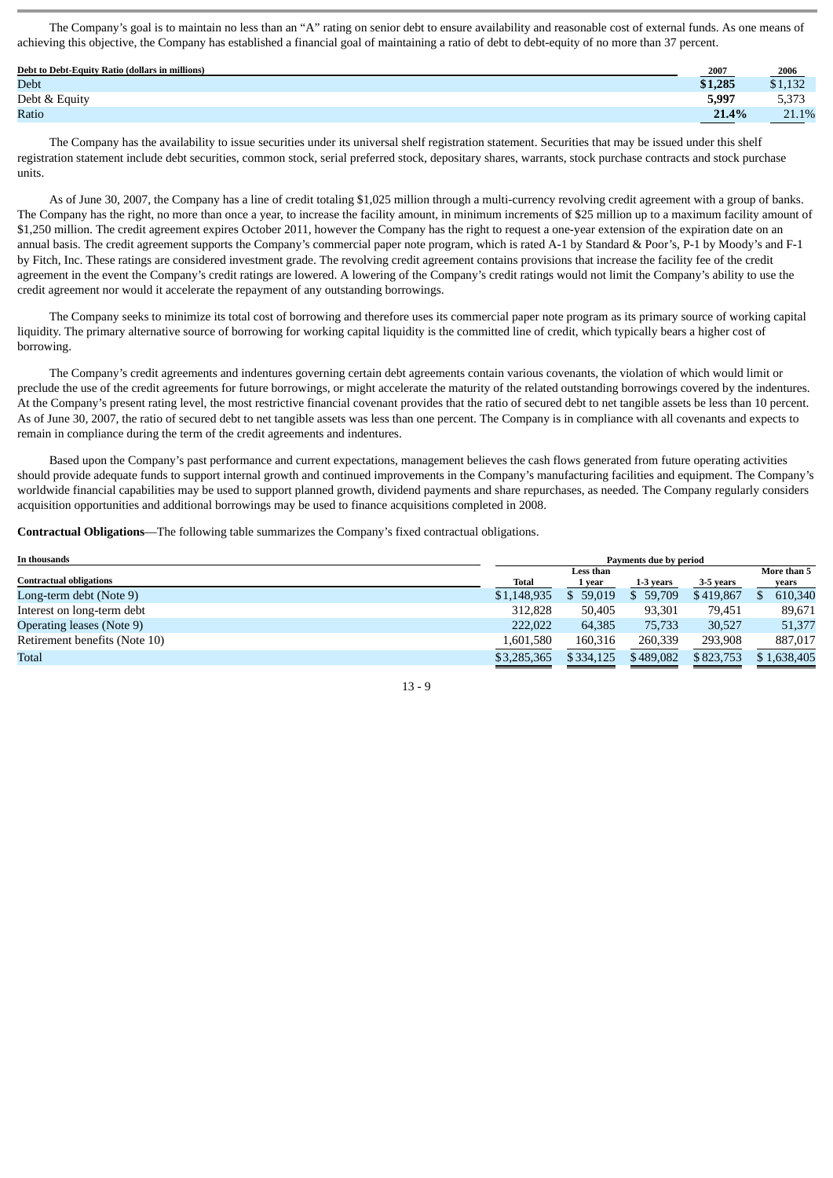The Company's goal is to maintain no less than an "A" rating on senior debt to ensure availability and reasonable cost of external funds. As one means of achieving this objective, the Company has established a financial goal of maintaining a ratio of debt to debt-equity of no more than 37 percent.

| Debt to Debt-Equity Ratio (dollars in millions) | 2007    | 2006    |
|-------------------------------------------------|---------|---------|
| Debt                                            | \$1,285 | \$1,132 |
| Debt & Equity                                   | 5,997   | 5,373   |
| Ratio                                           | 21.4%   | 21.1%   |

The Company has the availability to issue securities under its universal shelf registration statement. Securities that may be issued under this shelf registration statement include debt securities, common stock, serial preferred stock, depositary shares, warrants, stock purchase contracts and stock purchase units.

As of June 30, 2007, the Company has a line of credit totaling \$1,025 million through a multi-currency revolving credit agreement with a group of banks. The Company has the right, no more than once a year, to increase the facility amount, in minimum increments of \$25 million up to a maximum facility amount of \$1,250 million. The credit agreement expires October 2011, however the Company has the right to request a one-year extension of the expiration date on an annual basis. The credit agreement supports the Company's commercial paper note program, which is rated A-1 by Standard & Poor's, P-1 by Moody's and F-1 by Fitch, Inc. These ratings are considered investment grade. The revolving credit agreement contains provisions that increase the facility fee of the credit agreement in the event the Company's credit ratings are lowered. A lowering of the Company's credit ratings would not limit the Company's ability to use the credit agreement nor would it accelerate the repayment of any outstanding borrowings.

The Company seeks to minimize its total cost of borrowing and therefore uses its commercial paper note program as its primary source of working capital liquidity. The primary alternative source of borrowing for working capital liquidity is the committed line of credit, which typically bears a higher cost of borrowing.

The Company's credit agreements and indentures governing certain debt agreements contain various covenants, the violation of which would limit or preclude the use of the credit agreements for future borrowings, or might accelerate the maturity of the related outstanding borrowings covered by the indentures. At the Company's present rating level, the most restrictive financial covenant provides that the ratio of secured debt to net tangible assets be less than 10 percent. As of June 30, 2007, the ratio of secured debt to net tangible assets was less than one percent. The Company is in compliance with all covenants and expects to remain in compliance during the term of the credit agreements and indentures.

Based upon the Company's past performance and current expectations, management believes the cash flows generated from future operating activities should provide adequate funds to support internal growth and continued improvements in the Company's manufacturing facilities and equipment. The Company's worldwide financial capabilities may be used to support planned growth, dividend payments and share repurchases, as needed. The Company regularly considers acquisition opportunities and additional borrowings may be used to finance acquisitions completed in 2008.

**Contractual Obligations**—The following table summarizes the Company's fixed contractual obligations.

| In thousands                   | Payments due by period |           |           |           |  |             |
|--------------------------------|------------------------|-----------|-----------|-----------|--|-------------|
|                                |                        | Less than |           |           |  | More than 5 |
| <b>Contractual obligations</b> | <b>Total</b>           | 1 year    | 1-3 years | 3-5 years |  | years       |
| Long-term debt (Note 9)        | \$1,148,935            | 59.019    | 59,709    | \$419,867 |  | 610,340     |
| Interest on long-term debt     | 312,828                | 50,405    | 93.301    | 79.451    |  | 89,671      |
| Operating leases (Note 9)      | 222,022                | 64,385    | 75,733    | 30,527    |  | 51,377      |
| Retirement benefits (Note 10)  | 1,601,580              | 160,316   | 260,339   | 293.908   |  | 887,017     |
| Total                          | \$3,285,365            | \$334,125 | \$489,082 | \$823,753 |  | \$1,638,405 |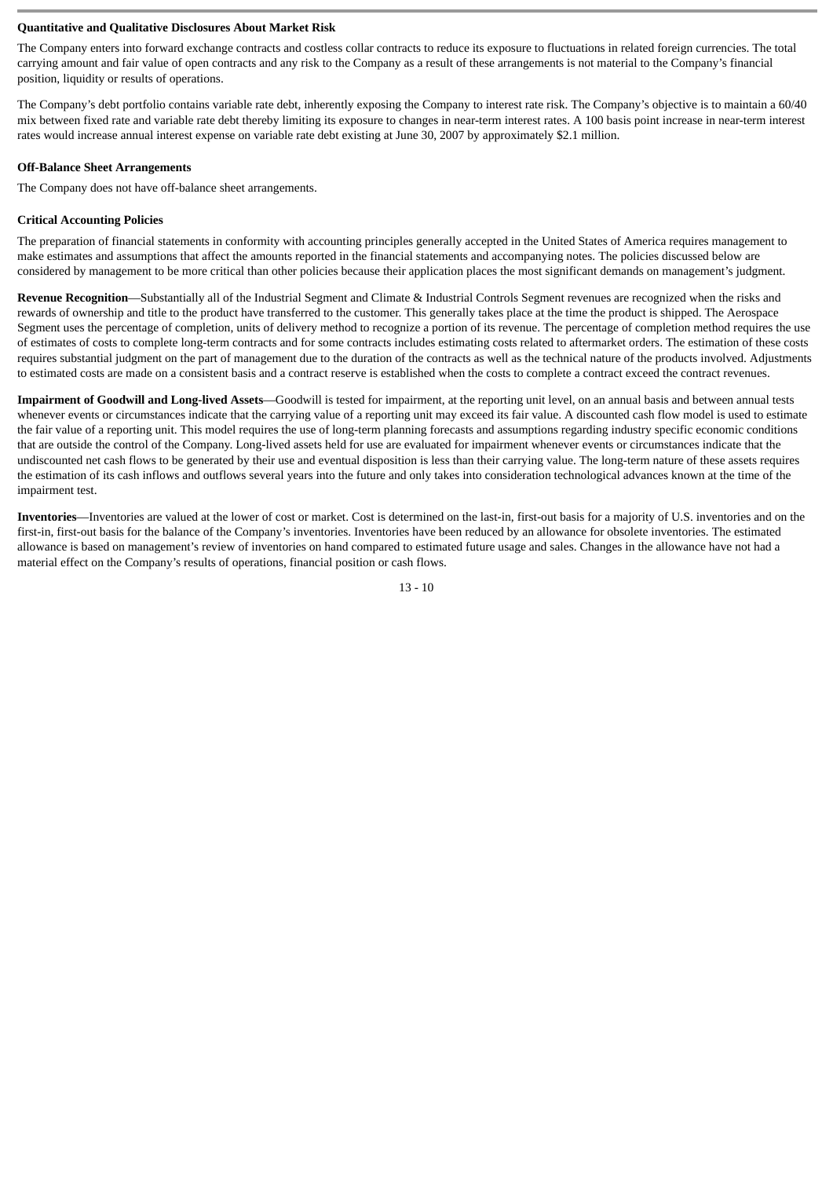## **Quantitative and Qualitative Disclosures About Market Risk**

The Company enters into forward exchange contracts and costless collar contracts to reduce its exposure to fluctuations in related foreign currencies. The total carrying amount and fair value of open contracts and any risk to the Company as a result of these arrangements is not material to the Company's financial position, liquidity or results of operations.

The Company's debt portfolio contains variable rate debt, inherently exposing the Company to interest rate risk. The Company's objective is to maintain a 60/40 mix between fixed rate and variable rate debt thereby limiting its exposure to changes in near-term interest rates. A 100 basis point increase in near-term interest rates would increase annual interest expense on variable rate debt existing at June 30, 2007 by approximately \$2.1 million.

#### **Off-Balance Sheet Arrangements**

The Company does not have off-balance sheet arrangements.

## **Critical Accounting Policies**

The preparation of financial statements in conformity with accounting principles generally accepted in the United States of America requires management to make estimates and assumptions that affect the amounts reported in the financial statements and accompanying notes. The policies discussed below are considered by management to be more critical than other policies because their application places the most significant demands on management's judgment.

**Revenue Recognition**—Substantially all of the Industrial Segment and Climate & Industrial Controls Segment revenues are recognized when the risks and rewards of ownership and title to the product have transferred to the customer. This generally takes place at the time the product is shipped. The Aerospace Segment uses the percentage of completion, units of delivery method to recognize a portion of its revenue. The percentage of completion method requires the use of estimates of costs to complete long-term contracts and for some contracts includes estimating costs related to aftermarket orders. The estimation of these costs requires substantial judgment on the part of management due to the duration of the contracts as well as the technical nature of the products involved. Adjustments to estimated costs are made on a consistent basis and a contract reserve is established when the costs to complete a contract exceed the contract revenues.

**Impairment of Goodwill and Long-lived Assets**—Goodwill is tested for impairment, at the reporting unit level, on an annual basis and between annual tests whenever events or circumstances indicate that the carrying value of a reporting unit may exceed its fair value. A discounted cash flow model is used to estimate the fair value of a reporting unit. This model requires the use of long-term planning forecasts and assumptions regarding industry specific economic conditions that are outside the control of the Company. Long-lived assets held for use are evaluated for impairment whenever events or circumstances indicate that the undiscounted net cash flows to be generated by their use and eventual disposition is less than their carrying value. The long-term nature of these assets requires the estimation of its cash inflows and outflows several years into the future and only takes into consideration technological advances known at the time of the impairment test.

**Inventories**—Inventories are valued at the lower of cost or market. Cost is determined on the last-in, first-out basis for a majority of U.S. inventories and on the first-in, first-out basis for the balance of the Company's inventories. Inventories have been reduced by an allowance for obsolete inventories. The estimated allowance is based on management's review of inventories on hand compared to estimated future usage and sales. Changes in the allowance have not had a material effect on the Company's results of operations, financial position or cash flows.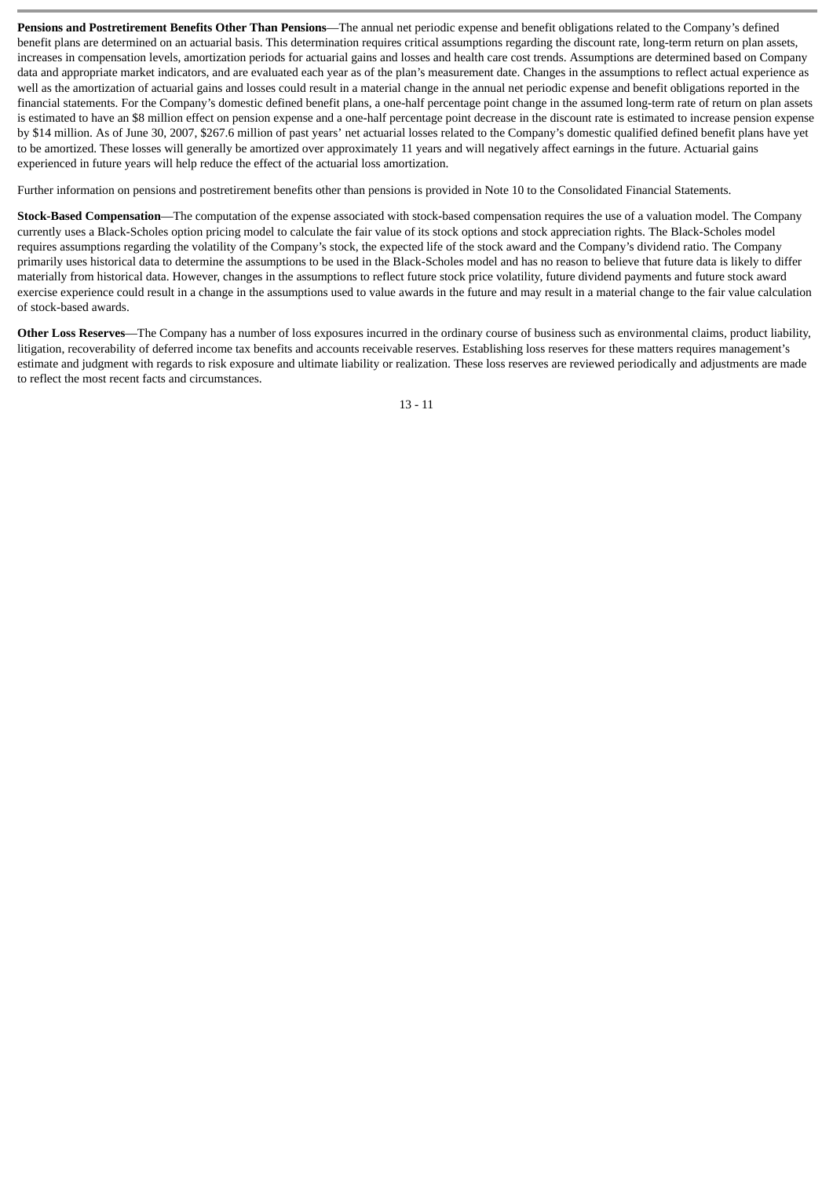**Pensions and Postretirement Benefits Other Than Pensions**—The annual net periodic expense and benefit obligations related to the Company's defined benefit plans are determined on an actuarial basis. This determination requires critical assumptions regarding the discount rate, long-term return on plan assets, increases in compensation levels, amortization periods for actuarial gains and losses and health care cost trends. Assumptions are determined based on Company data and appropriate market indicators, and are evaluated each year as of the plan's measurement date. Changes in the assumptions to reflect actual experience as well as the amortization of actuarial gains and losses could result in a material change in the annual net periodic expense and benefit obligations reported in the financial statements. For the Company's domestic defined benefit plans, a one-half percentage point change in the assumed long-term rate of return on plan assets is estimated to have an \$8 million effect on pension expense and a one-half percentage point decrease in the discount rate is estimated to increase pension expense by \$14 million. As of June 30, 2007, \$267.6 million of past years' net actuarial losses related to the Company's domestic qualified defined benefit plans have yet to be amortized. These losses will generally be amortized over approximately 11 years and will negatively affect earnings in the future. Actuarial gains experienced in future years will help reduce the effect of the actuarial loss amortization.

Further information on pensions and postretirement benefits other than pensions is provided in Note 10 to the Consolidated Financial Statements.

**Stock-Based Compensation**—The computation of the expense associated with stock-based compensation requires the use of a valuation model. The Company currently uses a Black-Scholes option pricing model to calculate the fair value of its stock options and stock appreciation rights. The Black-Scholes model requires assumptions regarding the volatility of the Company's stock, the expected life of the stock award and the Company's dividend ratio. The Company primarily uses historical data to determine the assumptions to be used in the Black-Scholes model and has no reason to believe that future data is likely to differ materially from historical data. However, changes in the assumptions to reflect future stock price volatility, future dividend payments and future stock award exercise experience could result in a change in the assumptions used to value awards in the future and may result in a material change to the fair value calculation of stock-based awards.

**Other Loss Reserves**—The Company has a number of loss exposures incurred in the ordinary course of business such as environmental claims, product liability, litigation, recoverability of deferred income tax benefits and accounts receivable reserves. Establishing loss reserves for these matters requires management's estimate and judgment with regards to risk exposure and ultimate liability or realization. These loss reserves are reviewed periodically and adjustments are made to reflect the most recent facts and circumstances.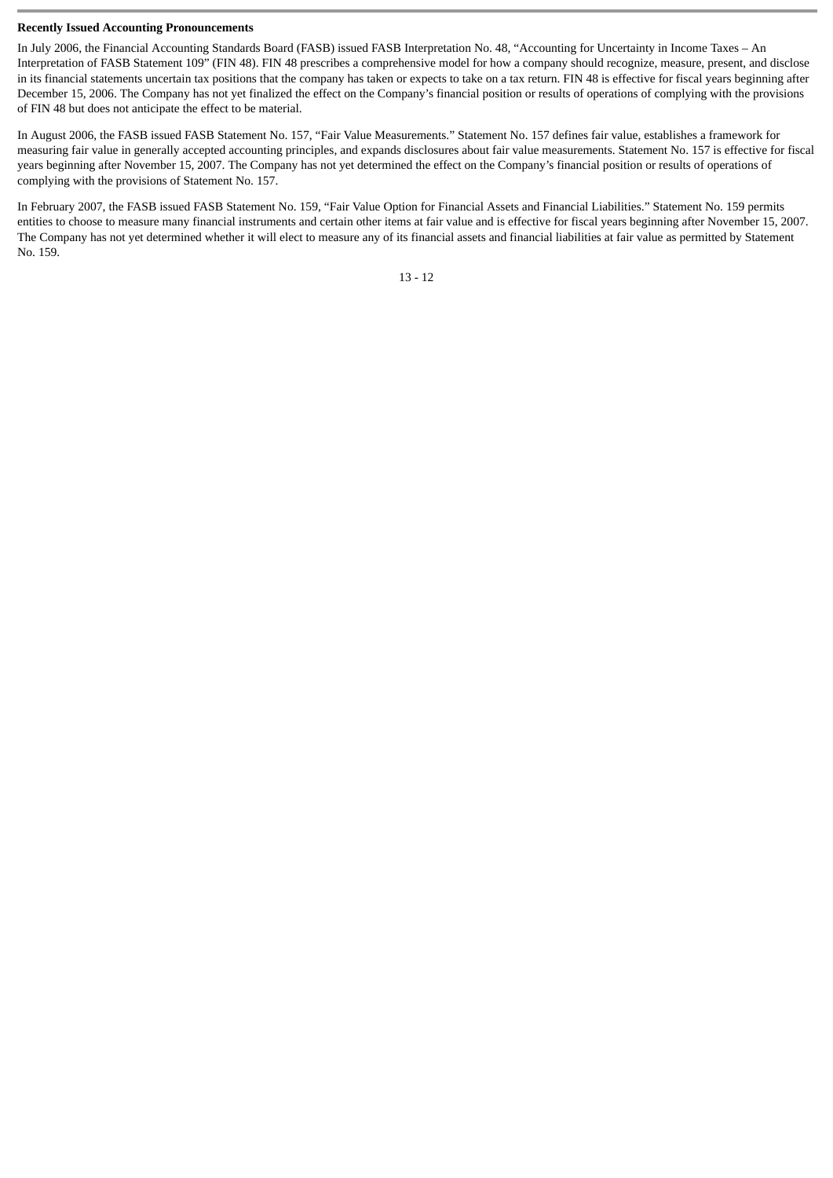## **Recently Issued Accounting Pronouncements**

In July 2006, the Financial Accounting Standards Board (FASB) issued FASB Interpretation No. 48, "Accounting for Uncertainty in Income Taxes – An Interpretation of FASB Statement 109" (FIN 48). FIN 48 prescribes a comprehensive model for how a company should recognize, measure, present, and disclose in its financial statements uncertain tax positions that the company has taken or expects to take on a tax return. FIN 48 is effective for fiscal years beginning after December 15, 2006. The Company has not yet finalized the effect on the Company's financial position or results of operations of complying with the provisions of FIN 48 but does not anticipate the effect to be material.

In August 2006, the FASB issued FASB Statement No. 157, "Fair Value Measurements." Statement No. 157 defines fair value, establishes a framework for measuring fair value in generally accepted accounting principles, and expands disclosures about fair value measurements. Statement No. 157 is effective for fiscal years beginning after November 15, 2007. The Company has not yet determined the effect on the Company's financial position or results of operations of complying with the provisions of Statement No. 157.

In February 2007, the FASB issued FASB Statement No. 159, "Fair Value Option for Financial Assets and Financial Liabilities." Statement No. 159 permits entities to choose to measure many financial instruments and certain other items at fair value and is effective for fiscal years beginning after November 15, 2007. The Company has not yet determined whether it will elect to measure any of its financial assets and financial liabilities at fair value as permitted by Statement No. 159.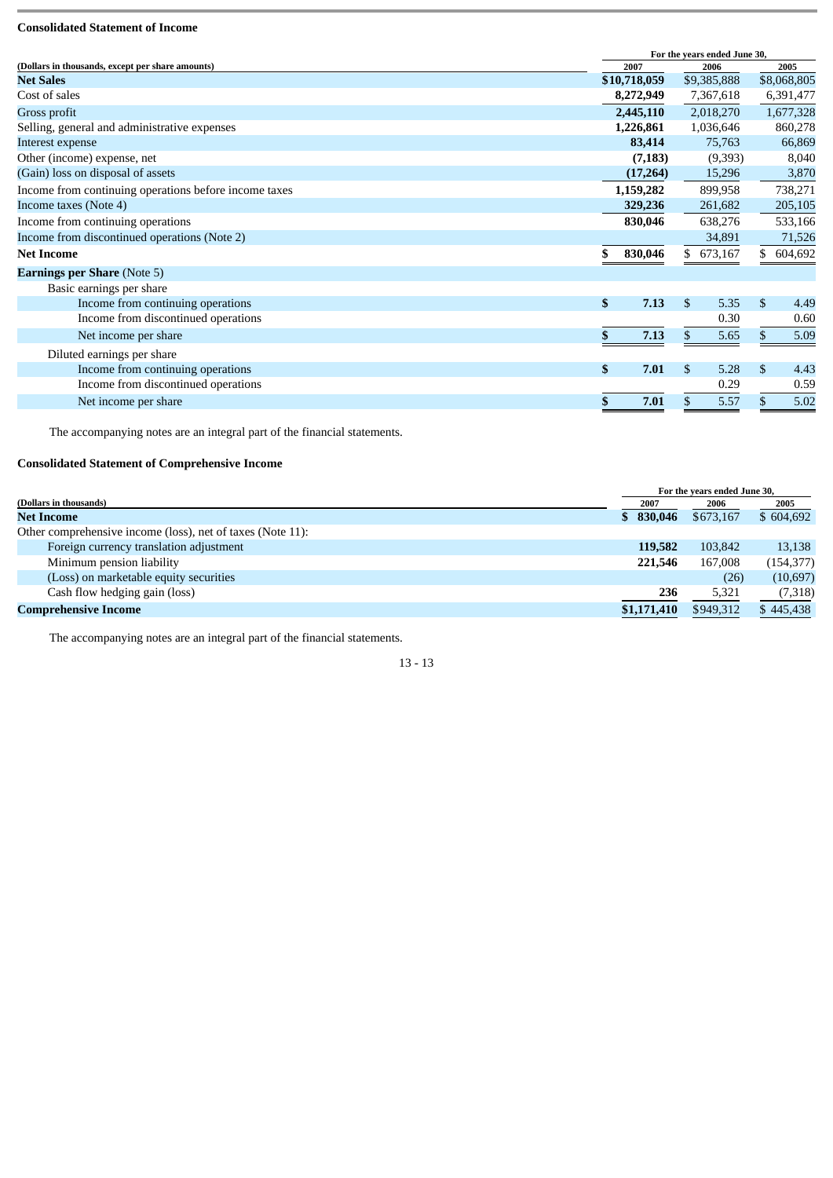## **Consolidated Statement of Income**

|                                                       |              | For the years ended June 30, |              |             |
|-------------------------------------------------------|--------------|------------------------------|--------------|-------------|
| (Dollars in thousands, except per share amounts)      | 2007         | 2006                         |              | 2005        |
| <b>Net Sales</b>                                      | \$10,718,059 | \$9,385,888                  |              | \$8,068,805 |
| Cost of sales                                         | 8,272,949    | 7,367,618                    |              | 6,391,477   |
| Gross profit                                          | 2,445,110    | 2,018,270                    |              | 1,677,328   |
| Selling, general and administrative expenses          | 1,226,861    | 1,036,646                    |              | 860,278     |
| Interest expense                                      | 83,414       | 75,763                       |              | 66,869      |
| Other (income) expense, net                           | (7, 183)     | (9,393)                      |              | 8,040       |
| (Gain) loss on disposal of assets                     | (17,264)     | 15,296                       |              | 3,870       |
| Income from continuing operations before income taxes | 1,159,282    | 899,958                      |              | 738,271     |
| Income taxes (Note 4)                                 | 329,236      | 261,682                      |              | 205,105     |
| Income from continuing operations                     | 830,046      | 638,276                      |              | 533,166     |
| Income from discontinued operations (Note 2)          |              | 34,891                       |              | 71,526      |
| <b>Net Income</b>                                     | 830,046      | 673,167                      |              | 604,692     |
| <b>Earnings per Share (Note 5)</b>                    |              |                              |              |             |
| Basic earnings per share                              |              |                              |              |             |
| Income from continuing operations                     | \$<br>7.13   | $\mathbf{s}$<br>5.35         | $\mathbf{s}$ | 4.49        |
| Income from discontinued operations                   |              | 0.30                         |              | 0.60        |
| Net income per share                                  | 7.13         | 5.65<br>\$.                  | \$.          | 5.09        |
| Diluted earnings per share                            |              |                              |              |             |
| Income from continuing operations                     | \$<br>7.01   | \$<br>5.28                   | \$           | 4.43        |
| Income from discontinued operations                   |              | 0.29                         |              | 0.59        |
| Net income per share                                  | 7.01         | 5.57                         |              | 5.02        |
|                                                       |              |                              |              |             |

The accompanying notes are an integral part of the financial statements.

## **Consolidated Statement of Comprehensive Income**

|                                                            | For the years ended June 30, |           |            |
|------------------------------------------------------------|------------------------------|-----------|------------|
| (Dollars in thousands)                                     | 2007                         | 2006      | 2005       |
| Net Income                                                 | \$830.046                    | \$673,167 | \$604,692  |
| Other comprehensive income (loss), net of taxes (Note 11): |                              |           |            |
| Foreign currency translation adjustment                    | 119,582                      | 103,842   | 13,138     |
| Minimum pension liability                                  | 221,546                      | 167,008   | (154, 377) |
| (Loss) on marketable equity securities                     |                              | (26)      | (10,697)   |
| Cash flow hedging gain (loss)                              | 236                          | 5,321     | (7,318)    |
| <b>Comprehensive Income</b>                                | \$1,171,410                  | \$949,312 | \$445,438  |

The accompanying notes are an integral part of the financial statements.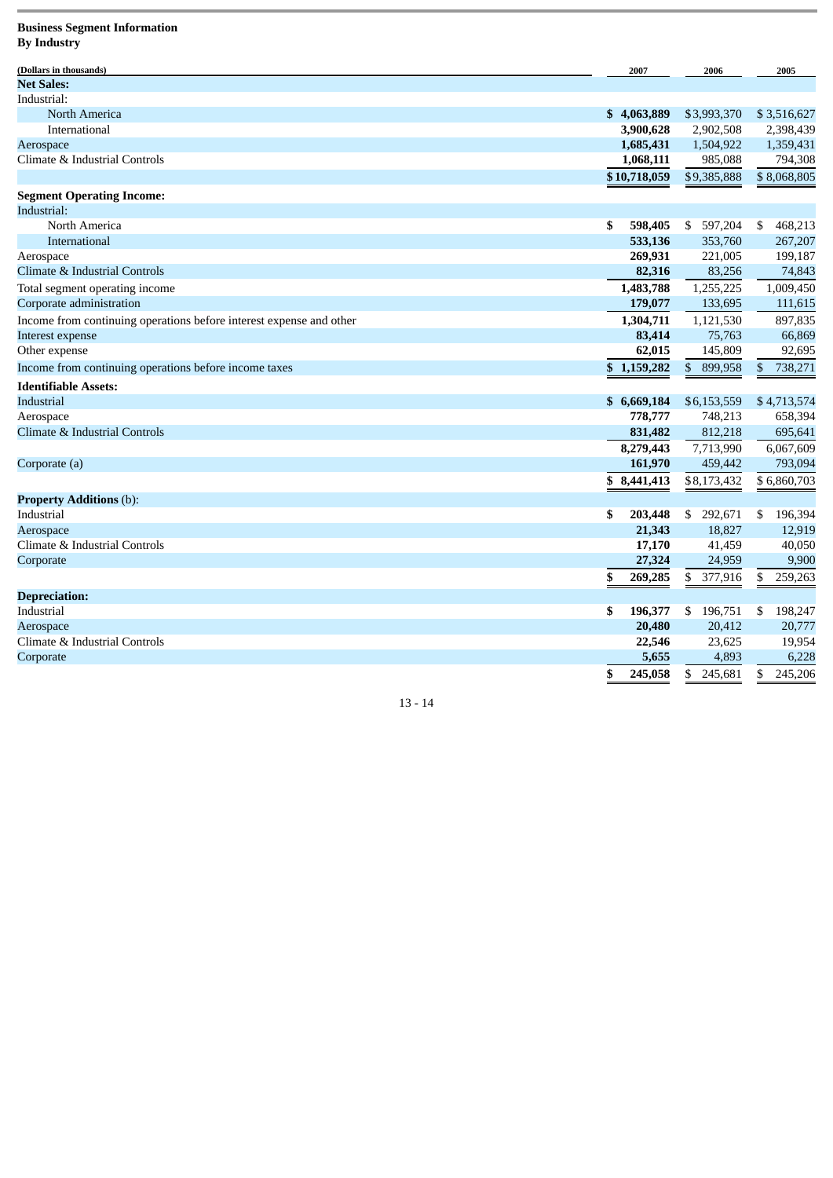## **Business Segment Information By Industry**

| (Dollars in thousands)                                              |     | 2007         |                | 2006        |    | 2005        |
|---------------------------------------------------------------------|-----|--------------|----------------|-------------|----|-------------|
| Net Sales:                                                          |     |              |                |             |    |             |
| Industrial:                                                         |     |              |                |             |    |             |
| North America                                                       |     | \$4,063,889  |                | \$3,993,370 |    | \$3,516,627 |
| International                                                       |     | 3,900,628    |                | 2,902,508   |    | 2,398,439   |
| Aerospace                                                           |     | 1,685,431    |                | 1,504,922   |    | 1,359,431   |
| Climate & Industrial Controls                                       |     | 1,068,111    |                | 985,088     |    | 794,308     |
|                                                                     |     | \$10,718,059 |                | \$9,385,888 |    | \$8,068,805 |
| <b>Segment Operating Income:</b>                                    |     |              |                |             |    |             |
| Industrial:                                                         |     |              |                |             |    |             |
| North America                                                       | \$. | 598,405      |                | \$ 597,204  | \$ | 468,213     |
| International                                                       |     | 533,136      |                | 353,760     |    | 267,207     |
| Aerospace                                                           |     | 269,931      |                | 221,005     |    | 199,187     |
| Climate & Industrial Controls                                       |     | 82,316       |                | 83,256      |    | 74,843      |
| Total segment operating income                                      |     | 1,483,788    |                | 1,255,225   |    | 1,009,450   |
| Corporate administration                                            |     | 179,077      |                | 133,695     |    | 111,615     |
| Income from continuing operations before interest expense and other |     | 1,304,711    |                | 1,121,530   |    | 897,835     |
| Interest expense                                                    |     | 83,414       |                | 75,763      |    | 66,869      |
| Other expense                                                       |     | 62,015       |                | 145,809     |    | 92,695      |
| Income from continuing operations before income taxes               |     | \$1,159,282  | $\mathfrak{S}$ | 899,958     | \$ | 738,271     |
| <b>Identifiable Assets:</b>                                         |     |              |                |             |    |             |
| Industrial                                                          |     | \$6,669,184  |                | \$6,153,559 |    | \$4,713,574 |
| Aerospace                                                           |     | 778,777      |                | 748,213     |    | 658,394     |
| Climate & Industrial Controls                                       |     | 831,482      |                | 812,218     |    | 695,641     |
|                                                                     |     | 8,279,443    |                | 7,713,990   |    | 6,067,609   |
| Corporate (a)                                                       |     | 161,970      |                | 459,442     |    | 793,094     |
|                                                                     |     | \$8,441,413  |                | \$8,173,432 |    | \$6,860,703 |
| <b>Property Additions (b):</b>                                      |     |              |                |             |    |             |
| Industrial                                                          | \$  | 203,448      |                | \$ 292,671  | \$ | 196,394     |
| Aerospace                                                           |     | 21,343       |                | 18,827      |    | 12,919      |
| Climate & Industrial Controls                                       |     | 17,170       |                | 41,459      |    | 40,050      |
| Corporate                                                           |     | 27,324       |                | 24,959      |    | 9,900       |
|                                                                     | \$  | 269,285      | \$             | 377,916     | \$ | 259,263     |
| <b>Depreciation:</b>                                                |     |              |                |             |    |             |
| Industrial                                                          | \$  | 196,377      | S.             | 196,751     | S. | 198,247     |
| Aerospace                                                           |     | 20,480       |                | 20,412      |    | 20,777      |
| Climate & Industrial Controls                                       |     | 22,546       |                | 23,625      |    | 19,954      |
| Corporate                                                           |     | 5,655        |                | 4,893       |    | 6,228       |
|                                                                     | \$  | 245,058      | \$             | 245,681     | \$ | 245,206     |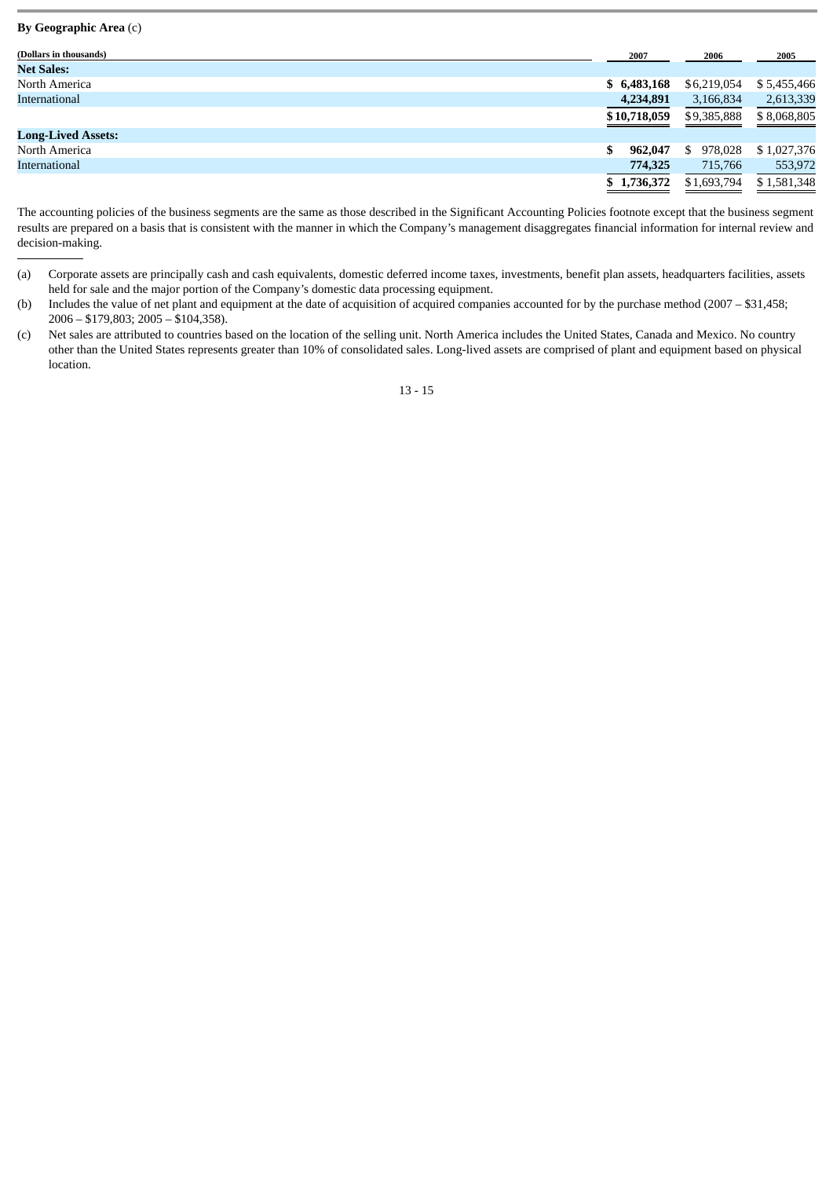## **By Geographic Area** (c)

| (Dollars in thousands)    | 2007          | 2006          | 2005        |
|---------------------------|---------------|---------------|-------------|
| <b>Net Sales:</b>         |               |               |             |
| North America             | \$6,483,168   | \$6,219,054   | \$5,455,466 |
| International             | 4,234,891     | 3,166,834     | 2,613,339   |
|                           | \$10,718,059  | \$9,385,888   | \$8,068,805 |
| <b>Long-Lived Assets:</b> |               |               |             |
| North America             | \$<br>962,047 | 978,028<br>S. | \$1,027,376 |
| International             | 774,325       | 715,766       | 553,972     |
|                           | \$1,736,372   | \$1,693,794   | \$1,581,348 |

The accounting policies of the business segments are the same as those described in the Significant Accounting Policies footnote except that the business segment results are prepared on a basis that is consistent with the manner in which the Company's management disaggregates financial information for internal review and decision-making.

- (a) Corporate assets are principally cash and cash equivalents, domestic deferred income taxes, investments, benefit plan assets, headquarters facilities, assets held for sale and the major portion of the Company's domestic data processing equipment.
- (b) Includes the value of net plant and equipment at the date of acquisition of acquired companies accounted for by the purchase method (2007 \$31,458; 2006 – \$179,803; 2005 – \$104,358).
- (c) Net sales are attributed to countries based on the location of the selling unit. North America includes the United States, Canada and Mexico. No country other than the United States represents greater than 10% of consolidated sales. Long-lived assets are comprised of plant and equipment based on physical location.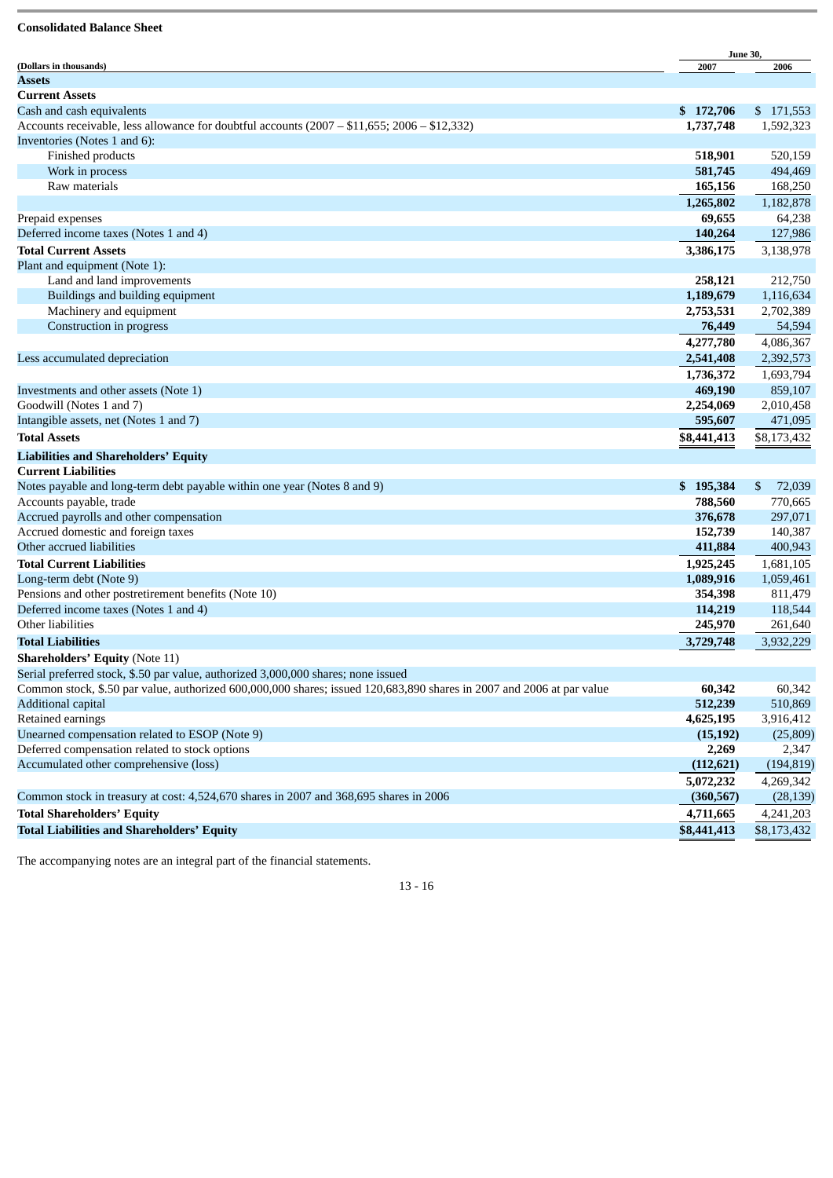## **Consolidated Balance Sheet**

|                                                                                                                       | <b>June 30,</b> |              |
|-----------------------------------------------------------------------------------------------------------------------|-----------------|--------------|
| (Dollars in thousands)                                                                                                | 2007            | 2006         |
| <b>Assets</b>                                                                                                         |                 |              |
| <b>Current Assets</b>                                                                                                 |                 |              |
| Cash and cash equivalents                                                                                             | \$172,706       | \$171,553    |
| Accounts receivable, less allowance for doubtful accounts (2007 - \$11,655; 2006 - \$12,332)                          | 1,737,748       | 1,592,323    |
| Inventories (Notes 1 and 6):                                                                                          |                 |              |
| Finished products                                                                                                     | 518,901         | 520,159      |
| Work in process                                                                                                       | 581,745         | 494,469      |
| Raw materials                                                                                                         | 165,156         | 168,250      |
|                                                                                                                       | 1,265,802       | 1,182,878    |
| Prepaid expenses                                                                                                      | 69,655          | 64,238       |
| Deferred income taxes (Notes 1 and 4)                                                                                 | 140,264         | 127,986      |
| <b>Total Current Assets</b>                                                                                           | 3,386,175       | 3,138,978    |
| Plant and equipment (Note 1):                                                                                         |                 |              |
| Land and land improvements                                                                                            | 258,121         | 212,750      |
| Buildings and building equipment                                                                                      | 1,189,679       | 1,116,634    |
| Machinery and equipment                                                                                               | 2,753,531       | 2,702,389    |
| Construction in progress                                                                                              | 76,449          | 54,594       |
|                                                                                                                       | 4,277,780       | 4,086,367    |
| Less accumulated depreciation                                                                                         | 2,541,408       | 2,392,573    |
|                                                                                                                       | 1,736,372       | 1,693,794    |
| Investments and other assets (Note 1)                                                                                 | 469,190         | 859,107      |
| Goodwill (Notes 1 and 7)                                                                                              | 2,254,069       | 2,010,458    |
| Intangible assets, net (Notes 1 and 7)                                                                                | 595,607         | 471,095      |
| <b>Total Assets</b>                                                                                                   | \$8,441,413     | \$8,173,432  |
| <b>Liabilities and Shareholders' Equity</b>                                                                           |                 |              |
| <b>Current Liabilities</b>                                                                                            |                 |              |
| Notes payable and long-term debt payable within one year (Notes 8 and 9)                                              | \$195,384       | \$<br>72,039 |
| Accounts payable, trade                                                                                               | 788,560         | 770,665      |
| Accrued payrolls and other compensation                                                                               | 376,678         | 297,071      |
| Accrued domestic and foreign taxes                                                                                    | 152,739         | 140,387      |
| Other accrued liabilities                                                                                             | 411,884         | 400,943      |
| <b>Total Current Liabilities</b>                                                                                      | 1,925,245       | 1,681,105    |
| Long-term debt (Note 9)                                                                                               | 1,089,916       | 1,059,461    |
| Pensions and other postretirement benefits (Note 10)                                                                  | 354,398         | 811,479      |
| Deferred income taxes (Notes 1 and 4)                                                                                 | 114,219         | 118,544      |
| Other liabilities                                                                                                     | 245,970         | 261,640      |
| <b>Total Liabilities</b>                                                                                              | 3,729,748       | 3,932,229    |
| <b>Shareholders' Equity (Note 11)</b>                                                                                 |                 |              |
| Serial preferred stock, \$.50 par value, authorized 3,000,000 shares; none issued                                     |                 |              |
| Common stock, \$.50 par value, authorized 600,000,000 shares; issued 120,683,890 shares in 2007 and 2006 at par value | 60,342          | 60,342       |
| <b>Additional capital</b>                                                                                             | 512,239         | 510,869      |
| Retained earnings                                                                                                     | 4,625,195       | 3,916,412    |
| Unearned compensation related to ESOP (Note 9)                                                                        | (15, 192)       | (25,809)     |
| Deferred compensation related to stock options                                                                        | 2,269           | 2,347        |
| Accumulated other comprehensive (loss)                                                                                | (112, 621)      | (194, 819)   |
|                                                                                                                       | 5,072,232       | 4,269,342    |
| Common stock in treasury at cost: 4,524,670 shares in 2007 and 368,695 shares in 2006                                 | (360, 567)      | (28, 139)    |
| <b>Total Shareholders' Equity</b>                                                                                     | 4,711,665       | 4,241,203    |
| <b>Total Liabilities and Shareholders' Equity</b>                                                                     | \$8,441,413     | \$8,173,432  |
|                                                                                                                       |                 |              |

The accompanying notes are an integral part of the financial statements.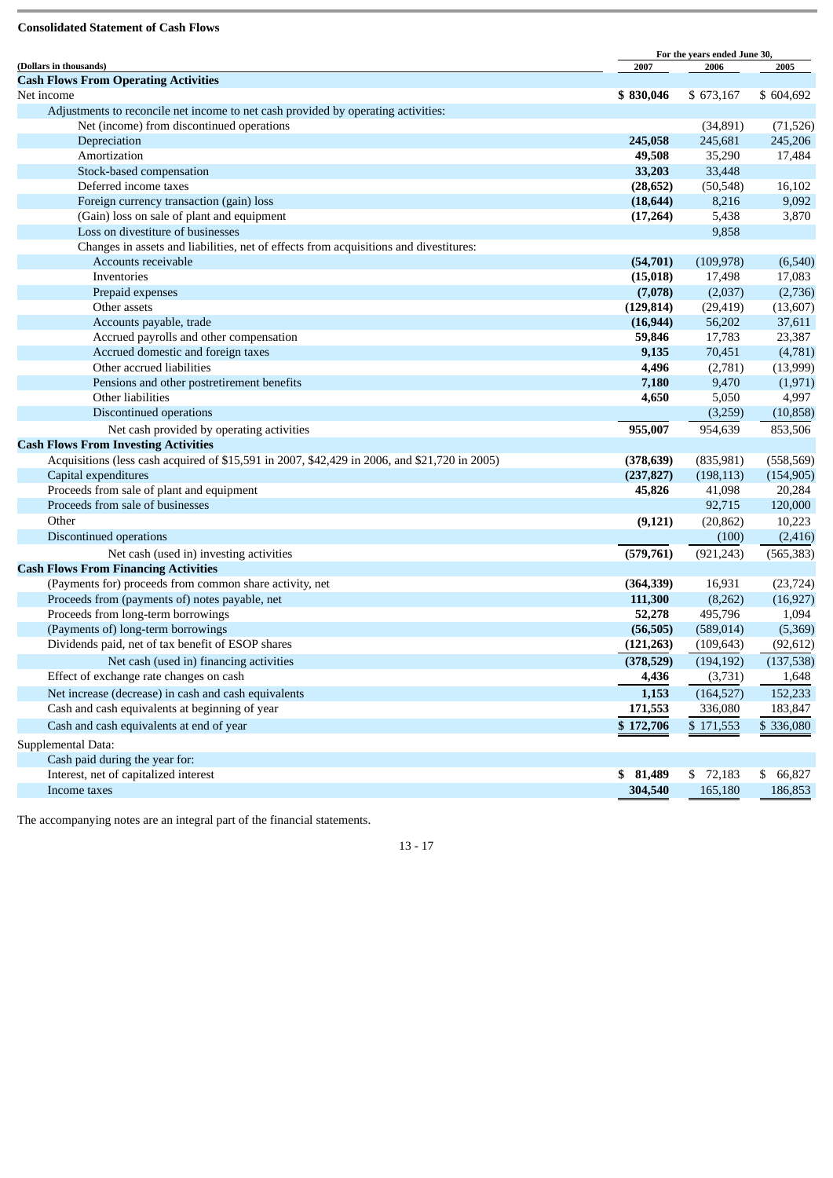## **Consolidated Statement of Cash Flows**

|                                                                                               | For the years ended June 30, |            |            |
|-----------------------------------------------------------------------------------------------|------------------------------|------------|------------|
| (Dollars in thousands)                                                                        | 2007                         | 2006       | 2005       |
| <b>Cash Flows From Operating Activities</b>                                                   |                              |            |            |
| Net income                                                                                    | \$830,046                    | \$673,167  | \$604,692  |
| Adjustments to reconcile net income to net cash provided by operating activities:             |                              |            |            |
| Net (income) from discontinued operations                                                     |                              | (34,891)   | (71, 526)  |
| Depreciation                                                                                  | 245,058                      | 245,681    | 245,206    |
| Amortization                                                                                  | 49,508                       | 35,290     | 17,484     |
| Stock-based compensation                                                                      | 33,203                       | 33,448     |            |
| Deferred income taxes                                                                         | (28, 652)                    | (50, 548)  | 16,102     |
| Foreign currency transaction (gain) loss                                                      | (18, 644)                    | 8,216      | 9,092      |
| (Gain) loss on sale of plant and equipment                                                    | (17, 264)                    | 5,438      | 3,870      |
| Loss on divestiture of businesses                                                             |                              | 9,858      |            |
| Changes in assets and liabilities, net of effects from acquisitions and divestitures:         |                              |            |            |
| Accounts receivable                                                                           | (54, 701)                    | (109, 978) | (6,540)    |
| Inventories                                                                                   | (15, 018)                    | 17,498     | 17,083     |
| Prepaid expenses                                                                              | (7,078)                      | (2,037)    | (2,736)    |
| Other assets                                                                                  | (129, 814)                   | (29, 419)  | (13,607)   |
| Accounts payable, trade                                                                       | (16, 944)                    | 56,202     | 37,611     |
| Accrued payrolls and other compensation                                                       | 59,846                       | 17,783     | 23,387     |
| Accrued domestic and foreign taxes                                                            | 9,135                        | 70,451     | (4,781)    |
| Other accrued liabilities                                                                     | 4,496                        | (2,781)    | (13,999)   |
| Pensions and other postretirement benefits                                                    | 7,180                        | 9,470      | (1,971)    |
| Other liabilities                                                                             | 4,650                        | 5,050      | 4,997      |
| Discontinued operations                                                                       |                              | (3,259)    | (10, 858)  |
| Net cash provided by operating activities                                                     | 955,007                      | 954,639    | 853,506    |
| <b>Cash Flows From Investing Activities</b>                                                   |                              |            |            |
| Acquisitions (less cash acquired of \$15,591 in 2007, \$42,429 in 2006, and \$21,720 in 2005) | (378, 639)                   | (835,981)  | (558, 569) |
| Capital expenditures                                                                          | (237, 827)                   | (198, 113) | (154, 905) |
| Proceeds from sale of plant and equipment                                                     | 45,826                       | 41,098     | 20,284     |
| Proceeds from sale of businesses                                                              |                              | 92,715     | 120,000    |
| Other                                                                                         | (9, 121)                     | (20, 862)  | 10,223     |
| Discontinued operations                                                                       |                              | (100)      | (2, 416)   |
| Net cash (used in) investing activities                                                       | (579, 761)                   | (921, 243) | (565, 383) |
| <b>Cash Flows From Financing Activities</b>                                                   |                              |            |            |
| (Payments for) proceeds from common share activity, net                                       | (364, 339)                   | 16,931     | (23, 724)  |
| Proceeds from (payments of) notes payable, net                                                | 111,300                      | (8,262)    | (16,927)   |
| Proceeds from long-term borrowings                                                            | 52,278                       | 495,796    | 1,094      |
| (Payments of) long-term borrowings                                                            | (56, 505)                    | (589, 014) | (5,369)    |
| Dividends paid, net of tax benefit of ESOP shares                                             | (121, 263)                   | (109, 643) | (92, 612)  |
| Net cash (used in) financing activities                                                       | (378, 529)                   | (194, 192) | (137, 538) |
| Effect of exchange rate changes on cash                                                       | 4,436                        | (3,731)    | 1,648      |
| Net increase (decrease) in cash and cash equivalents                                          | 1,153                        | (164, 527) | 152,233    |
| Cash and cash equivalents at beginning of year                                                | 171,553                      | 336,080    | 183,847    |
| Cash and cash equivalents at end of year                                                      | \$172,706                    | \$171,553  | \$336,080  |
|                                                                                               |                              |            |            |
| Supplemental Data:                                                                            |                              |            |            |
| Cash paid during the year for:                                                                |                              |            |            |
| Interest, net of capitalized interest                                                         | \$81,489                     | \$ 72,183  | \$ 66,827  |
| Income taxes                                                                                  | 304,540                      | 165,180    | 186,853    |

The accompanying notes are an integral part of the financial statements.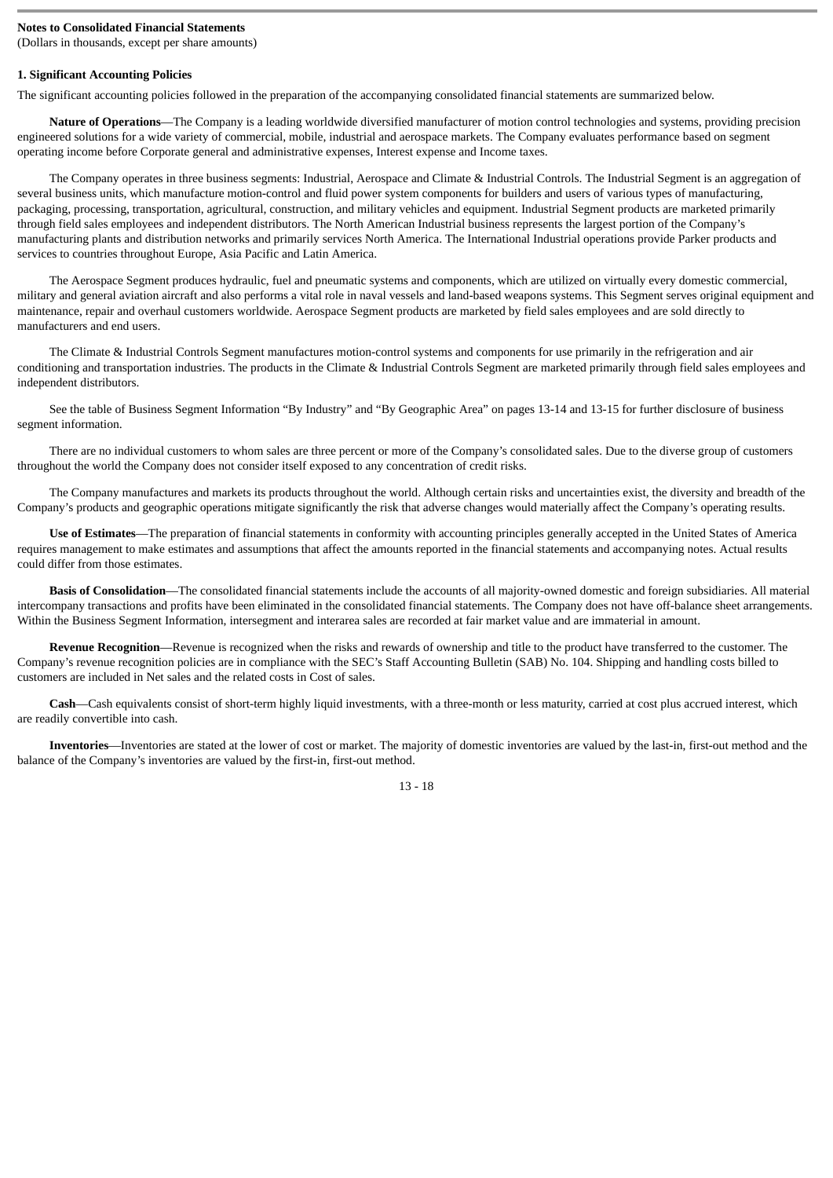## **Notes to Consolidated Financial Statements**

(Dollars in thousands, except per share amounts)

#### **1. Significant Accounting Policies**

The significant accounting policies followed in the preparation of the accompanying consolidated financial statements are summarized below.

**Nature of Operations**—The Company is a leading worldwide diversified manufacturer of motion control technologies and systems, providing precision engineered solutions for a wide variety of commercial, mobile, industrial and aerospace markets. The Company evaluates performance based on segment operating income before Corporate general and administrative expenses, Interest expense and Income taxes.

The Company operates in three business segments: Industrial, Aerospace and Climate & Industrial Controls. The Industrial Segment is an aggregation of several business units, which manufacture motion-control and fluid power system components for builders and users of various types of manufacturing, packaging, processing, transportation, agricultural, construction, and military vehicles and equipment. Industrial Segment products are marketed primarily through field sales employees and independent distributors. The North American Industrial business represents the largest portion of the Company's manufacturing plants and distribution networks and primarily services North America. The International Industrial operations provide Parker products and services to countries throughout Europe, Asia Pacific and Latin America.

The Aerospace Segment produces hydraulic, fuel and pneumatic systems and components, which are utilized on virtually every domestic commercial, military and general aviation aircraft and also performs a vital role in naval vessels and land-based weapons systems. This Segment serves original equipment and maintenance, repair and overhaul customers worldwide. Aerospace Segment products are marketed by field sales employees and are sold directly to manufacturers and end users.

The Climate & Industrial Controls Segment manufactures motion-control systems and components for use primarily in the refrigeration and air conditioning and transportation industries. The products in the Climate & Industrial Controls Segment are marketed primarily through field sales employees and independent distributors.

See the table of Business Segment Information "By Industry" and "By Geographic Area" on pages 13-14 and 13-15 for further disclosure of business segment information.

There are no individual customers to whom sales are three percent or more of the Company's consolidated sales. Due to the diverse group of customers throughout the world the Company does not consider itself exposed to any concentration of credit risks.

The Company manufactures and markets its products throughout the world. Although certain risks and uncertainties exist, the diversity and breadth of the Company's products and geographic operations mitigate significantly the risk that adverse changes would materially affect the Company's operating results.

**Use of Estimates**—The preparation of financial statements in conformity with accounting principles generally accepted in the United States of America requires management to make estimates and assumptions that affect the amounts reported in the financial statements and accompanying notes. Actual results could differ from those estimates.

**Basis of Consolidation**—The consolidated financial statements include the accounts of all majority-owned domestic and foreign subsidiaries. All material intercompany transactions and profits have been eliminated in the consolidated financial statements. The Company does not have off-balance sheet arrangements. Within the Business Segment Information, intersegment and interarea sales are recorded at fair market value and are immaterial in amount.

**Revenue Recognition**—Revenue is recognized when the risks and rewards of ownership and title to the product have transferred to the customer. The Company's revenue recognition policies are in compliance with the SEC's Staff Accounting Bulletin (SAB) No. 104. Shipping and handling costs billed to customers are included in Net sales and the related costs in Cost of sales.

**Cash**—Cash equivalents consist of short-term highly liquid investments, with a three-month or less maturity, carried at cost plus accrued interest, which are readily convertible into cash.

**Inventories**—Inventories are stated at the lower of cost or market. The majority of domestic inventories are valued by the last-in, first-out method and the balance of the Company's inventories are valued by the first-in, first-out method.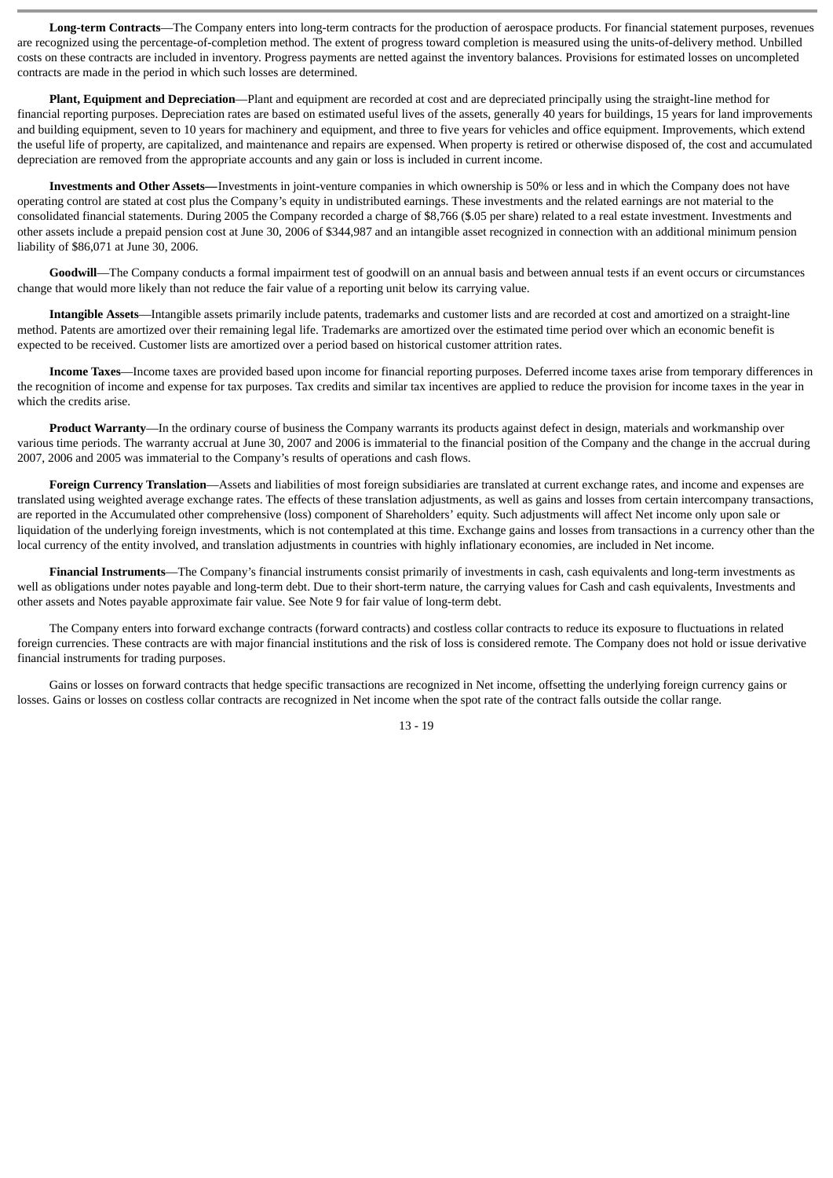**Long-term Contracts**—The Company enters into long-term contracts for the production of aerospace products. For financial statement purposes, revenues are recognized using the percentage-of-completion method. The extent of progress toward completion is measured using the units-of-delivery method. Unbilled costs on these contracts are included in inventory. Progress payments are netted against the inventory balances. Provisions for estimated losses on uncompleted contracts are made in the period in which such losses are determined.

**Plant, Equipment and Depreciation**—Plant and equipment are recorded at cost and are depreciated principally using the straight-line method for financial reporting purposes. Depreciation rates are based on estimated useful lives of the assets, generally 40 years for buildings, 15 years for land improvements and building equipment, seven to 10 years for machinery and equipment, and three to five years for vehicles and office equipment. Improvements, which extend the useful life of property, are capitalized, and maintenance and repairs are expensed. When property is retired or otherwise disposed of, the cost and accumulated depreciation are removed from the appropriate accounts and any gain or loss is included in current income.

**Investments and Other Assets—**Investments in joint-venture companies in which ownership is 50% or less and in which the Company does not have operating control are stated at cost plus the Company's equity in undistributed earnings. These investments and the related earnings are not material to the consolidated financial statements. During 2005 the Company recorded a charge of \$8,766 (\$.05 per share) related to a real estate investment. Investments and other assets include a prepaid pension cost at June 30, 2006 of \$344,987 and an intangible asset recognized in connection with an additional minimum pension liability of \$86,071 at June 30, 2006.

**Goodwill**—The Company conducts a formal impairment test of goodwill on an annual basis and between annual tests if an event occurs or circumstances change that would more likely than not reduce the fair value of a reporting unit below its carrying value.

**Intangible Assets**—Intangible assets primarily include patents, trademarks and customer lists and are recorded at cost and amortized on a straight-line method. Patents are amortized over their remaining legal life. Trademarks are amortized over the estimated time period over which an economic benefit is expected to be received. Customer lists are amortized over a period based on historical customer attrition rates.

**Income Taxes**—Income taxes are provided based upon income for financial reporting purposes. Deferred income taxes arise from temporary differences in the recognition of income and expense for tax purposes. Tax credits and similar tax incentives are applied to reduce the provision for income taxes in the year in which the credits arise.

**Product Warranty**—In the ordinary course of business the Company warrants its products against defect in design, materials and workmanship over various time periods. The warranty accrual at June 30, 2007 and 2006 is immaterial to the financial position of the Company and the change in the accrual during 2007, 2006 and 2005 was immaterial to the Company's results of operations and cash flows.

**Foreign Currency Translation**—Assets and liabilities of most foreign subsidiaries are translated at current exchange rates, and income and expenses are translated using weighted average exchange rates. The effects of these translation adjustments, as well as gains and losses from certain intercompany transactions, are reported in the Accumulated other comprehensive (loss) component of Shareholders' equity. Such adjustments will affect Net income only upon sale or liquidation of the underlying foreign investments, which is not contemplated at this time. Exchange gains and losses from transactions in a currency other than the local currency of the entity involved, and translation adjustments in countries with highly inflationary economies, are included in Net income.

**Financial Instruments**—The Company's financial instruments consist primarily of investments in cash, cash equivalents and long-term investments as well as obligations under notes payable and long-term debt. Due to their short-term nature, the carrying values for Cash and cash equivalents, Investments and other assets and Notes payable approximate fair value. See Note 9 for fair value of long-term debt.

The Company enters into forward exchange contracts (forward contracts) and costless collar contracts to reduce its exposure to fluctuations in related foreign currencies. These contracts are with major financial institutions and the risk of loss is considered remote. The Company does not hold or issue derivative financial instruments for trading purposes.

Gains or losses on forward contracts that hedge specific transactions are recognized in Net income, offsetting the underlying foreign currency gains or losses. Gains or losses on costless collar contracts are recognized in Net income when the spot rate of the contract falls outside the collar range.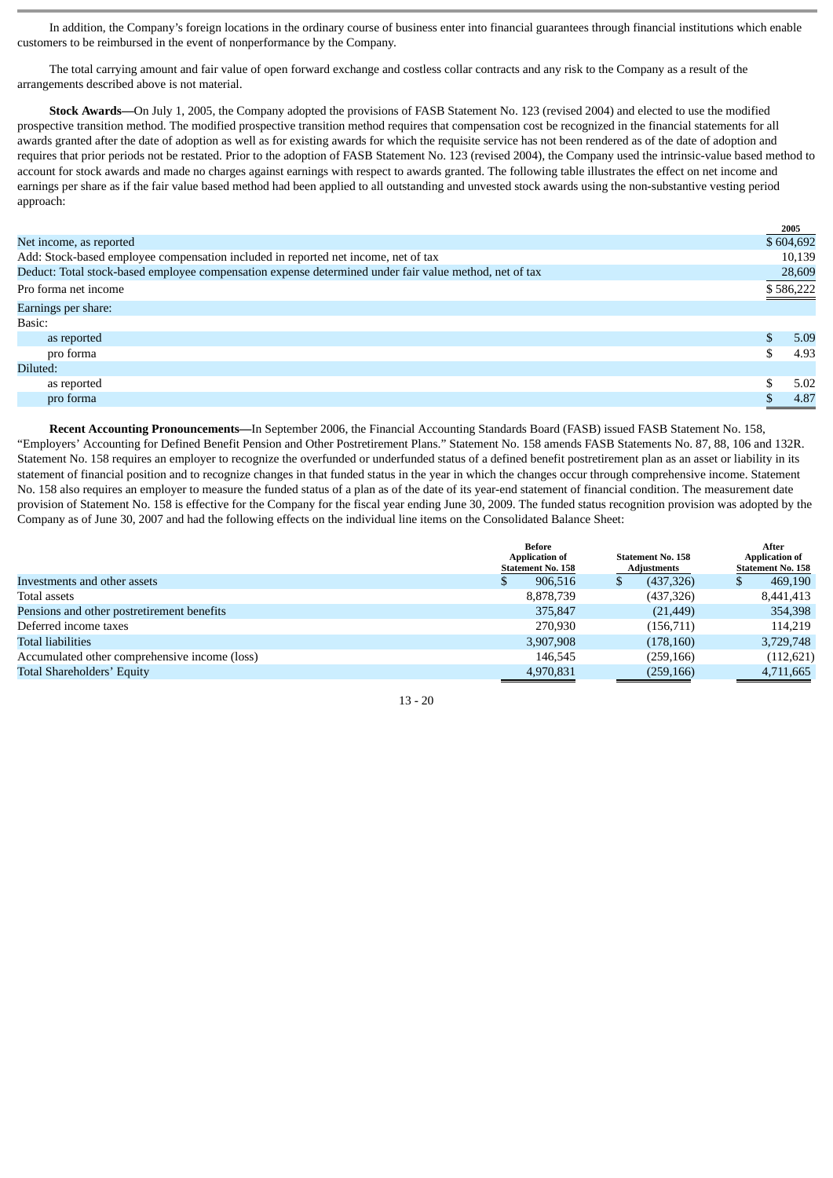In addition, the Company's foreign locations in the ordinary course of business enter into financial guarantees through financial institutions which enable customers to be reimbursed in the event of nonperformance by the Company.

The total carrying amount and fair value of open forward exchange and costless collar contracts and any risk to the Company as a result of the arrangements described above is not material.

**Stock Awards—**On July 1, 2005, the Company adopted the provisions of FASB Statement No. 123 (revised 2004) and elected to use the modified prospective transition method. The modified prospective transition method requires that compensation cost be recognized in the financial statements for all awards granted after the date of adoption as well as for existing awards for which the requisite service has not been rendered as of the date of adoption and requires that prior periods not be restated. Prior to the adoption of FASB Statement No. 123 (revised 2004), the Company used the intrinsic-value based method to account for stock awards and made no charges against earnings with respect to awards granted. The following table illustrates the effect on net income and earnings per share as if the fair value based method had been applied to all outstanding and unvested stock awards using the non-substantive vesting period approach:

|                                                                                                        | 2005      |
|--------------------------------------------------------------------------------------------------------|-----------|
| Net income, as reported                                                                                | \$604,692 |
| Add: Stock-based employee compensation included in reported net income, net of tax                     | 10,139    |
| Deduct: Total stock-based employee compensation expense determined under fair value method, net of tax | 28,609    |
| Pro forma net income                                                                                   | \$586,222 |
| Earnings per share:                                                                                    |           |
| Basic:                                                                                                 |           |
| as reported                                                                                            | 5.09      |
| pro forma                                                                                              | 4.93      |
| Diluted:                                                                                               |           |
| as reported                                                                                            | 5.02      |
| pro forma                                                                                              | 4.87      |

**Recent Accounting Pronouncements—**In September 2006, the Financial Accounting Standards Board (FASB) issued FASB Statement No. 158, "Employers' Accounting for Defined Benefit Pension and Other Postretirement Plans." Statement No. 158 amends FASB Statements No. 87, 88, 106 and 132R. Statement No. 158 requires an employer to recognize the overfunded or underfunded status of a defined benefit postretirement plan as an asset or liability in its statement of financial position and to recognize changes in that funded status in the year in which the changes occur through comprehensive income. Statement No. 158 also requires an employer to measure the funded status of a plan as of the date of its year-end statement of financial condition. The measurement date provision of Statement No. 158 is effective for the Company for the fiscal year ending June 30, 2009. The funded status recognition provision was adopted by the Company as of June 30, 2007 and had the following effects on the individual line items on the Consolidated Balance Sheet:

|                                               | <b>Before</b>                                     |                | After                    |
|-----------------------------------------------|---------------------------------------------------|----------------|--------------------------|
|                                               | <b>Application of</b><br><b>Statement No. 158</b> |                | <b>Application of</b>    |
|                                               | <b>Statement No. 158</b>                          | Adjustments    | <b>Statement No. 158</b> |
| Investments and other assets                  | 906.516                                           | (437,326)<br>S | 469,190<br>۰υ            |
| Total assets                                  | 8,878,739                                         | (437, 326)     | 8,441,413                |
| Pensions and other postretirement benefits    | 375,847                                           | (21, 449)      | 354,398                  |
| Deferred income taxes                         | 270.930                                           | (156, 711)     | 114.219                  |
| <b>Total liabilities</b>                      | 3,907,908                                         | (178, 160)     | 3,729,748                |
| Accumulated other comprehensive income (loss) | 146,545                                           | (259, 166)     | (112, 621)               |
| Total Shareholders' Equity                    | 4,970,831                                         | (259, 166)     | 4,711,665                |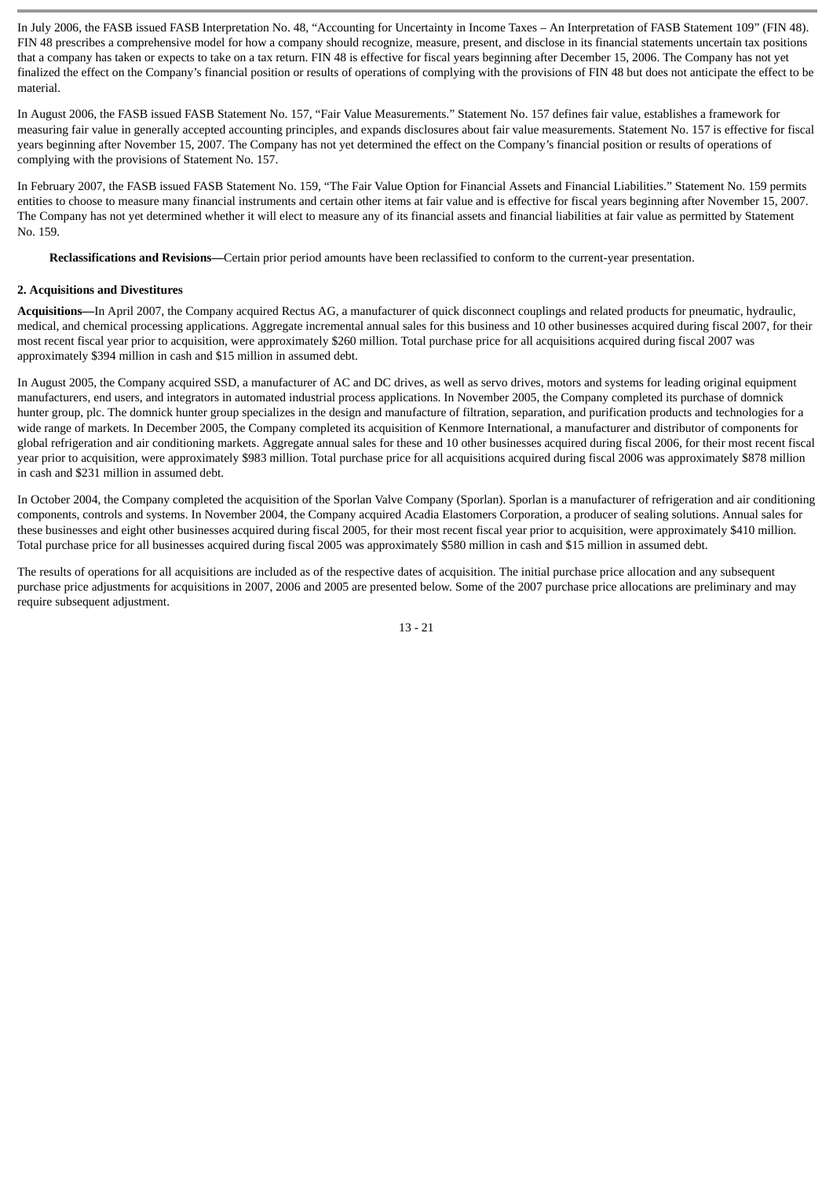In July 2006, the FASB issued FASB Interpretation No. 48, "Accounting for Uncertainty in Income Taxes – An Interpretation of FASB Statement 109" (FIN 48). FIN 48 prescribes a comprehensive model for how a company should recognize, measure, present, and disclose in its financial statements uncertain tax positions that a company has taken or expects to take on a tax return. FIN 48 is effective for fiscal years beginning after December 15, 2006. The Company has not yet finalized the effect on the Company's financial position or results of operations of complying with the provisions of FIN 48 but does not anticipate the effect to be material.

In August 2006, the FASB issued FASB Statement No. 157, "Fair Value Measurements." Statement No. 157 defines fair value, establishes a framework for measuring fair value in generally accepted accounting principles, and expands disclosures about fair value measurements. Statement No. 157 is effective for fiscal years beginning after November 15, 2007. The Company has not yet determined the effect on the Company's financial position or results of operations of complying with the provisions of Statement No. 157.

In February 2007, the FASB issued FASB Statement No. 159, "The Fair Value Option for Financial Assets and Financial Liabilities." Statement No. 159 permits entities to choose to measure many financial instruments and certain other items at fair value and is effective for fiscal years beginning after November 15, 2007. The Company has not yet determined whether it will elect to measure any of its financial assets and financial liabilities at fair value as permitted by Statement No. 159.

**Reclassifications and Revisions—**Certain prior period amounts have been reclassified to conform to the current-year presentation.

## **2. Acquisitions and Divestitures**

**Acquisitions—**In April 2007, the Company acquired Rectus AG, a manufacturer of quick disconnect couplings and related products for pneumatic, hydraulic, medical, and chemical processing applications. Aggregate incremental annual sales for this business and 10 other businesses acquired during fiscal 2007, for their most recent fiscal year prior to acquisition, were approximately \$260 million. Total purchase price for all acquisitions acquired during fiscal 2007 was approximately \$394 million in cash and \$15 million in assumed debt.

In August 2005, the Company acquired SSD, a manufacturer of AC and DC drives, as well as servo drives, motors and systems for leading original equipment manufacturers, end users, and integrators in automated industrial process applications. In November 2005, the Company completed its purchase of domnick hunter group, plc. The domnick hunter group specializes in the design and manufacture of filtration, separation, and purification products and technologies for a wide range of markets. In December 2005, the Company completed its acquisition of Kenmore International, a manufacturer and distributor of components for global refrigeration and air conditioning markets. Aggregate annual sales for these and 10 other businesses acquired during fiscal 2006, for their most recent fiscal year prior to acquisition, were approximately \$983 million. Total purchase price for all acquisitions acquired during fiscal 2006 was approximately \$878 million in cash and \$231 million in assumed debt.

In October 2004, the Company completed the acquisition of the Sporlan Valve Company (Sporlan). Sporlan is a manufacturer of refrigeration and air conditioning components, controls and systems. In November 2004, the Company acquired Acadia Elastomers Corporation, a producer of sealing solutions. Annual sales for these businesses and eight other businesses acquired during fiscal 2005, for their most recent fiscal year prior to acquisition, were approximately \$410 million. Total purchase price for all businesses acquired during fiscal 2005 was approximately \$580 million in cash and \$15 million in assumed debt.

The results of operations for all acquisitions are included as of the respective dates of acquisition. The initial purchase price allocation and any subsequent purchase price adjustments for acquisitions in 2007, 2006 and 2005 are presented below. Some of the 2007 purchase price allocations are preliminary and may require subsequent adjustment.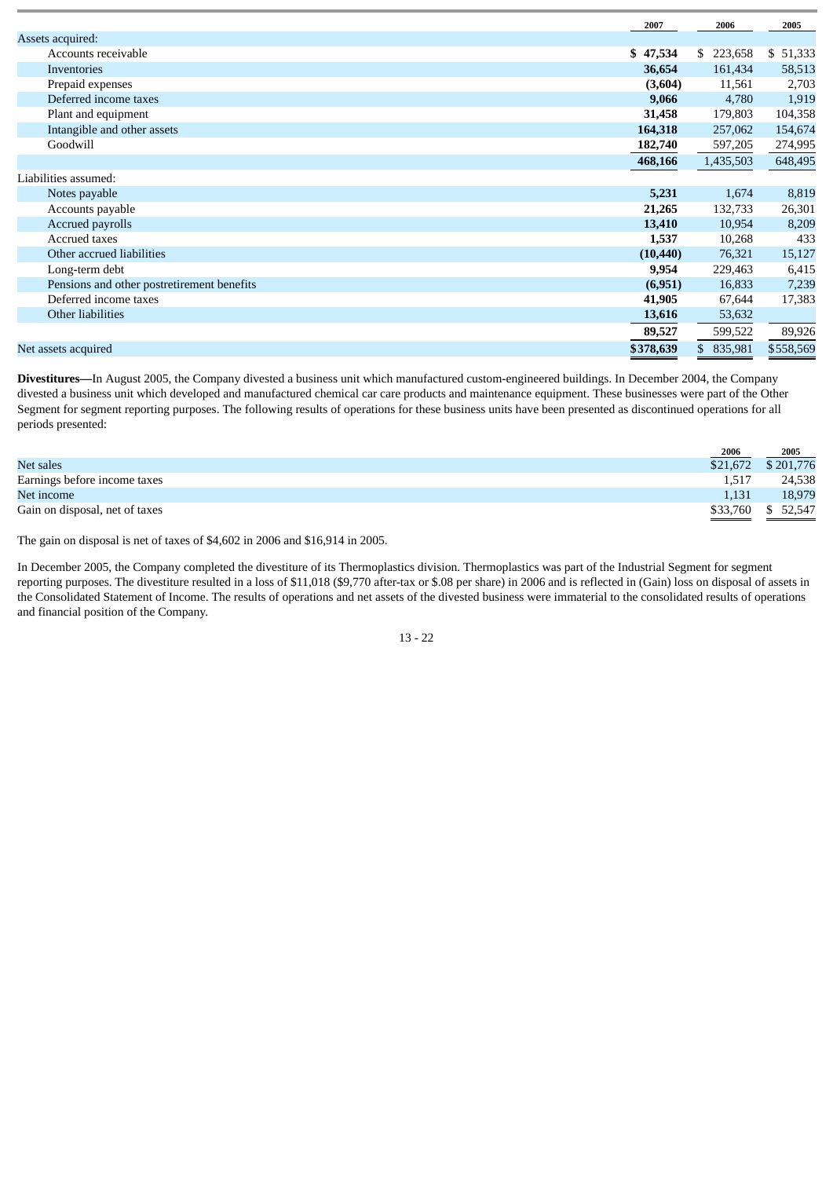|                                            | 2007      | 2006          | 2005      |
|--------------------------------------------|-----------|---------------|-----------|
| Assets acquired:                           |           |               |           |
| Accounts receivable                        | \$47,534  | 223,658<br>\$ | \$ 51,333 |
| <b>Inventories</b>                         | 36,654    | 161,434       | 58,513    |
| Prepaid expenses                           | (3,604)   | 11,561        | 2,703     |
| Deferred income taxes                      | 9,066     | 4,780         | 1,919     |
| Plant and equipment                        | 31,458    | 179,803       | 104,358   |
| Intangible and other assets                | 164,318   | 257,062       | 154,674   |
| Goodwill                                   | 182,740   | 597,205       | 274,995   |
|                                            | 468,166   | 1,435,503     | 648,495   |
| Liabilities assumed:                       |           |               |           |
| Notes payable                              | 5,231     | 1,674         | 8,819     |
| Accounts payable                           | 21,265    | 132,733       | 26,301    |
| Accrued payrolls                           | 13,410    | 10,954        | 8,209     |
| <b>Accrued taxes</b>                       | 1,537     | 10,268        | 433       |
| Other accrued liabilities                  | (10, 440) | 76,321        | 15,127    |
| Long-term debt                             | 9,954     | 229,463       | 6,415     |
| Pensions and other postretirement benefits | (6,951)   | 16,833        | 7,239     |
| Deferred income taxes                      | 41,905    | 67,644        | 17,383    |
| Other liabilities                          | 13,616    | 53,632        |           |
|                                            | 89,527    | 599,522       | 89,926    |
| Net assets acquired                        | \$378,639 | 835,981<br>\$ | \$558,569 |

**Divestitures—**In August 2005, the Company divested a business unit which manufactured custom-engineered buildings. In December 2004, the Company divested a business unit which developed and manufactured chemical car care products and maintenance equipment. These businesses were part of the Other Segment for segment reporting purposes. The following results of operations for these business units have been presented as discontinued operations for all periods presented:

|                                | 2006     | 2005      |
|--------------------------------|----------|-----------|
| Net sales                      | \$21,672 | \$201,776 |
| Earnings before income taxes   | 1.517    | 24,538    |
| Net income                     | 1.131    | 18,979    |
| Gain on disposal, net of taxes | \$33,760 | \$ 52,547 |

The gain on disposal is net of taxes of \$4,602 in 2006 and \$16,914 in 2005.

In December 2005, the Company completed the divestiture of its Thermoplastics division. Thermoplastics was part of the Industrial Segment for segment reporting purposes. The divestiture resulted in a loss of \$11,018 (\$9,770 after-tax or \$.08 per share) in 2006 and is reflected in (Gain) loss on disposal of assets in the Consolidated Statement of Income. The results of operations and net assets of the divested business were immaterial to the consolidated results of operations and financial position of the Company.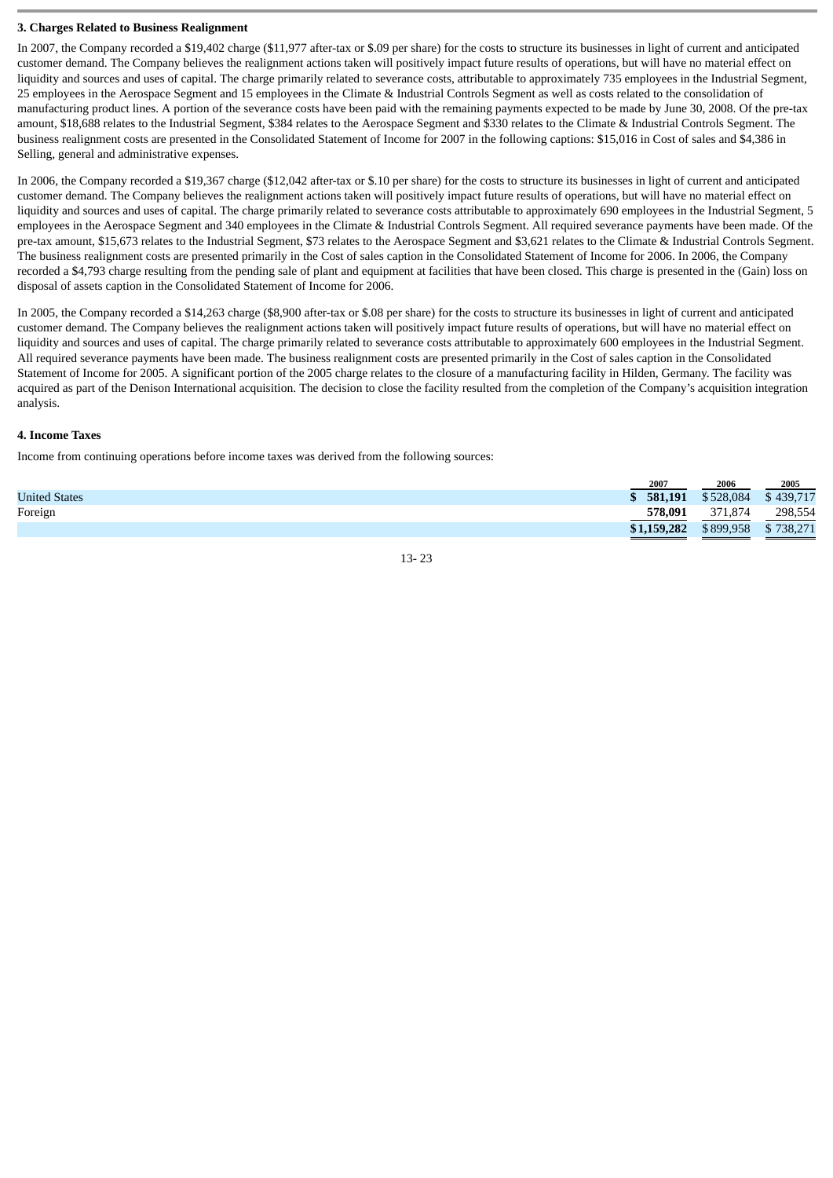## **3. Charges Related to Business Realignment**

In 2007, the Company recorded a \$19,402 charge (\$11,977 after-tax or \$.09 per share) for the costs to structure its businesses in light of current and anticipated customer demand. The Company believes the realignment actions taken will positively impact future results of operations, but will have no material effect on liquidity and sources and uses of capital. The charge primarily related to severance costs, attributable to approximately 735 employees in the Industrial Segment, 25 employees in the Aerospace Segment and 15 employees in the Climate & Industrial Controls Segment as well as costs related to the consolidation of manufacturing product lines. A portion of the severance costs have been paid with the remaining payments expected to be made by June 30, 2008. Of the pre-tax amount, \$18,688 relates to the Industrial Segment, \$384 relates to the Aerospace Segment and \$330 relates to the Climate & Industrial Controls Segment. The business realignment costs are presented in the Consolidated Statement of Income for 2007 in the following captions: \$15,016 in Cost of sales and \$4,386 in Selling, general and administrative expenses.

In 2006, the Company recorded a \$19,367 charge (\$12,042 after-tax or \$.10 per share) for the costs to structure its businesses in light of current and anticipated customer demand. The Company believes the realignment actions taken will positively impact future results of operations, but will have no material effect on liquidity and sources and uses of capital. The charge primarily related to severance costs attributable to approximately 690 employees in the Industrial Segment, 5 employees in the Aerospace Segment and 340 employees in the Climate & Industrial Controls Segment. All required severance payments have been made. Of the pre-tax amount, \$15,673 relates to the Industrial Segment, \$73 relates to the Aerospace Segment and \$3,621 relates to the Climate & Industrial Controls Segment. The business realignment costs are presented primarily in the Cost of sales caption in the Consolidated Statement of Income for 2006. In 2006, the Company recorded a \$4,793 charge resulting from the pending sale of plant and equipment at facilities that have been closed. This charge is presented in the (Gain) loss on disposal of assets caption in the Consolidated Statement of Income for 2006.

In 2005, the Company recorded a \$14,263 charge (\$8,900 after-tax or \$.08 per share) for the costs to structure its businesses in light of current and anticipated customer demand. The Company believes the realignment actions taken will positively impact future results of operations, but will have no material effect on liquidity and sources and uses of capital. The charge primarily related to severance costs attributable to approximately 600 employees in the Industrial Segment. All required severance payments have been made. The business realignment costs are presented primarily in the Cost of sales caption in the Consolidated Statement of Income for 2005. A significant portion of the 2005 charge relates to the closure of a manufacturing facility in Hilden, Germany. The facility was acquired as part of the Denison International acquisition. The decision to close the facility resulted from the completion of the Company's acquisition integration analysis.

## **4. Income Taxes**

Income from continuing operations before income taxes was derived from the following sources:

|                      | 2007        | 2006      | 2005      |
|----------------------|-------------|-----------|-----------|
| <b>United States</b> | 581,191     | \$528,084 | \$439,717 |
| Foreign              | 578.091     | 371.874   | 298,554   |
|                      | \$1,159,282 | \$899,958 | \$738,271 |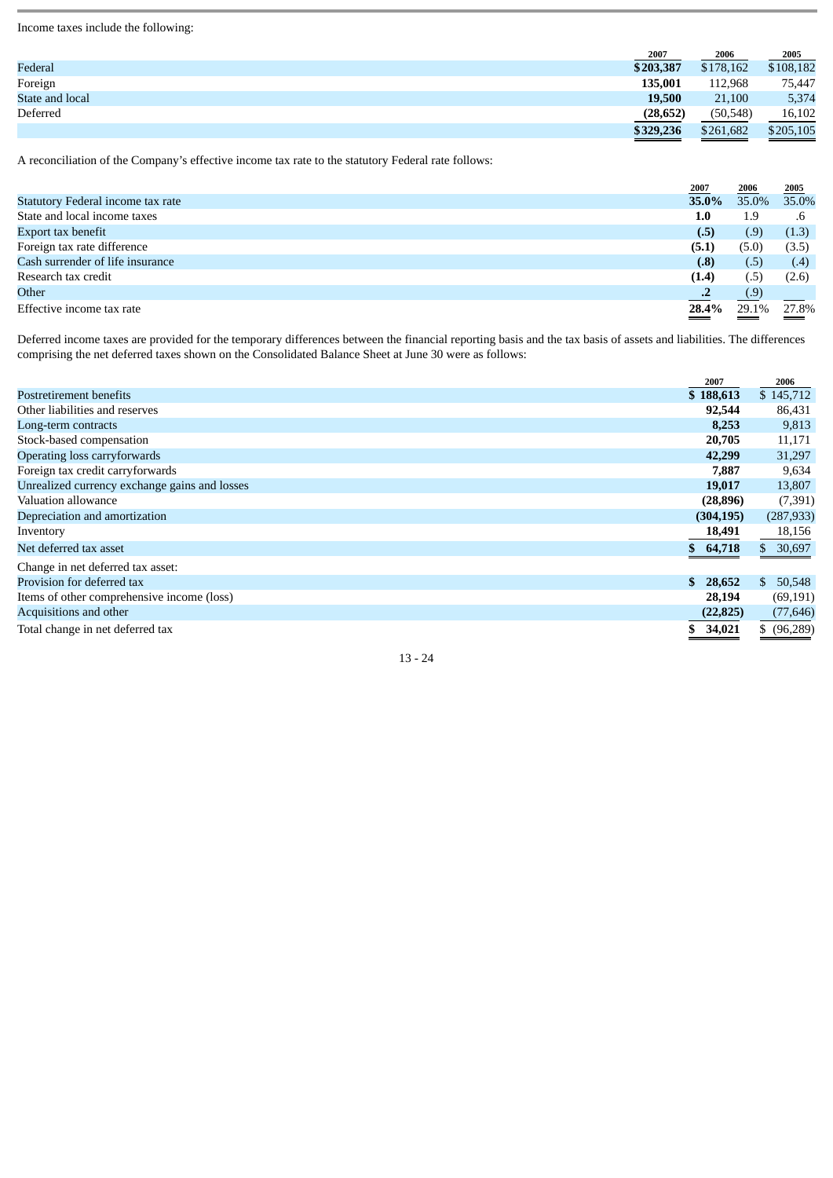Income taxes include the following:

|                 | 2007      | 2006      | 2005      |
|-----------------|-----------|-----------|-----------|
| Federal         | \$203,387 | \$178,162 | \$108,182 |
| Foreign         | 135,001   | 112,968   | 75,447    |
| State and local | 19,500    | 21,100    | 5,374     |
| Deferred        | (28, 652) | (50, 548) | 16,102    |
|                 | \$329,236 | \$261,682 | \$205,105 |

A reconciliation of the Company's effective income tax rate to the statutory Federal rate follows:

|                                   | 2007                 | 2006  | 2005  |
|-----------------------------------|----------------------|-------|-------|
| Statutory Federal income tax rate | 35.0%                | 35.0% | 35.0% |
| State and local income taxes      | 1.0                  | 1.9   |       |
| Export tax benefit                | (.5)                 | (.9)  | (1.3) |
| Foreign tax rate difference       | (5.1)                | (5.0) | (3.5) |
| Cash surrender of life insurance  | (.8)                 | (.5)  | (.4)  |
| Research tax credit               | (1.4)                | (.5)  | (2.6) |
| Other                             | $\cdot$ <sup>2</sup> | (.9)  |       |
| Effective income tax rate         | 28.4%                | 29.1% | 27.8% |

Deferred income taxes are provided for the temporary differences between the financial reporting basis and the tax basis of assets and liabilities. The differences comprising the net deferred taxes shown on the Consolidated Balance Sheet at June 30 were as follows:

|                                               | 2007         | 2006         |
|-----------------------------------------------|--------------|--------------|
| Postretirement benefits                       | \$188,613    | \$145,712    |
| Other liabilities and reserves                | 92,544       | 86,431       |
| Long-term contracts                           | 8,253        | 9,813        |
| Stock-based compensation                      | 20,705       | 11,171       |
| Operating loss carryforwards                  | 42,299       | 31,297       |
| Foreign tax credit carryforwards              | 7,887        | 9,634        |
| Unrealized currency exchange gains and losses | 19,017       | 13,807       |
| Valuation allowance                           | (28, 896)    | (7,391)      |
| Depreciation and amortization                 | (304, 195)   | (287, 933)   |
| Inventory                                     | 18,491       | 18,156       |
| Net deferred tax asset                        | \$64,718     | \$ 30,697    |
| Change in net deferred tax asset:             |              |              |
| Provision for deferred tax                    | 28,652<br>S. | 50,548<br>S. |
| Items of other comprehensive income (loss)    | 28,194       | (69, 191)    |
| Acquisitions and other                        | (22, 825)    | (77, 646)    |
| Total change in net deferred tax              | 34,021       | \$ (96,289)  |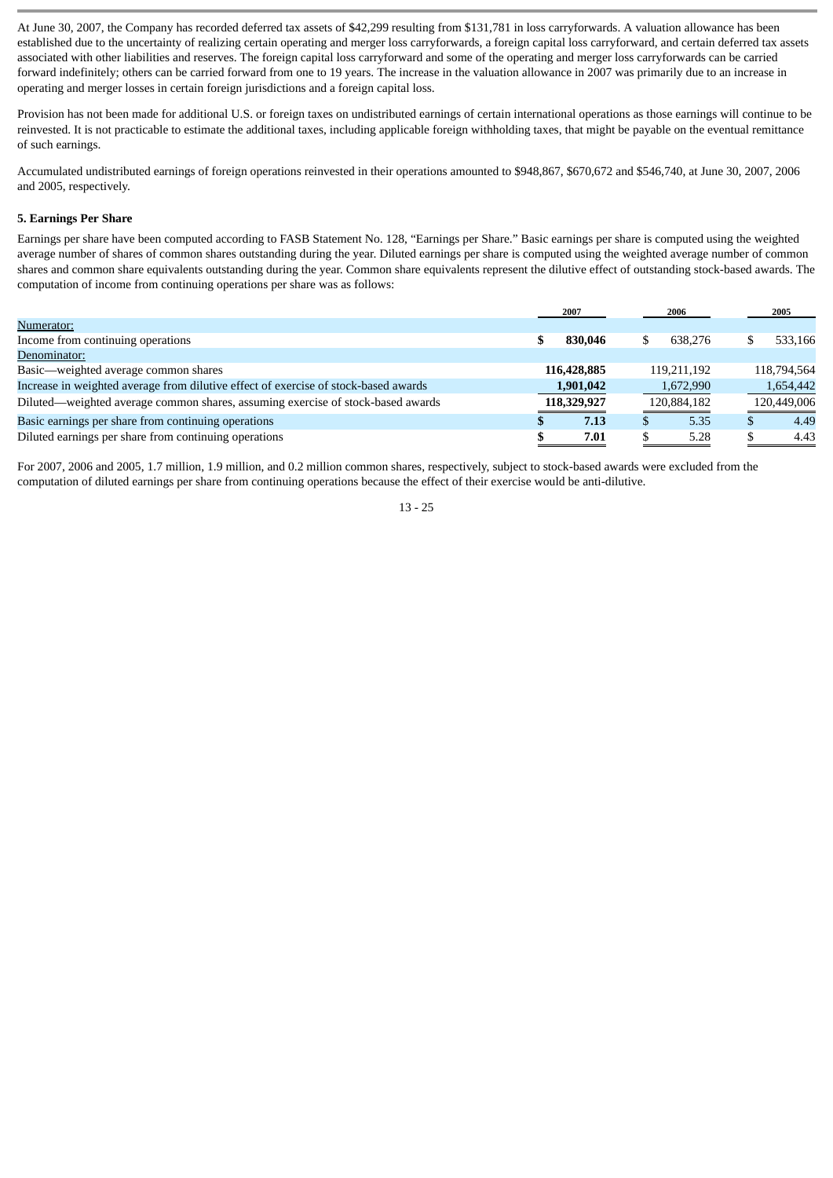At June 30, 2007, the Company has recorded deferred tax assets of \$42,299 resulting from \$131,781 in loss carryforwards. A valuation allowance has been established due to the uncertainty of realizing certain operating and merger loss carryforwards, a foreign capital loss carryforward, and certain deferred tax assets associated with other liabilities and reserves. The foreign capital loss carryforward and some of the operating and merger loss carryforwards can be carried forward indefinitely; others can be carried forward from one to 19 years. The increase in the valuation allowance in 2007 was primarily due to an increase in operating and merger losses in certain foreign jurisdictions and a foreign capital loss.

Provision has not been made for additional U.S. or foreign taxes on undistributed earnings of certain international operations as those earnings will continue to be reinvested. It is not practicable to estimate the additional taxes, including applicable foreign withholding taxes, that might be payable on the eventual remittance of such earnings.

Accumulated undistributed earnings of foreign operations reinvested in their operations amounted to \$948,867, \$670,672 and \$546,740, at June 30, 2007, 2006 and 2005, respectively.

## **5. Earnings Per Share**

Earnings per share have been computed according to FASB Statement No. 128, "Earnings per Share." Basic earnings per share is computed using the weighted average number of shares of common shares outstanding during the year. Diluted earnings per share is computed using the weighted average number of common shares and common share equivalents outstanding during the year. Common share equivalents represent the dilutive effect of outstanding stock-based awards. The computation of income from continuing operations per share was as follows:

|                                                                                     | 2007        |    | 2006        |     | 2005        |
|-------------------------------------------------------------------------------------|-------------|----|-------------|-----|-------------|
| Numerator:                                                                          |             |    |             |     |             |
| Income from continuing operations                                                   | 830.046     |    | 638.276     |     | 533.166     |
| Denominator:                                                                        |             |    |             |     |             |
| Basic—weighted average common shares                                                | 116,428,885 |    | 119.211.192 |     | 118,794,564 |
| Increase in weighted average from dilutive effect of exercise of stock-based awards | 1,901,042   |    | 1,672,990   |     | 1,654,442   |
| Diluted—weighted average common shares, assuming exercise of stock-based awards     | 118,329,927 |    | 120,884,182 |     | 120,449,006 |
| Basic earnings per share from continuing operations                                 | 7.13        | S. | 5.35        | \$. | 4.49        |
| Diluted earnings per share from continuing operations                               | 7.01        |    | 5.28        |     | 4.43        |

For 2007, 2006 and 2005, 1.7 million, 1.9 million, and 0.2 million common shares, respectively, subject to stock-based awards were excluded from the computation of diluted earnings per share from continuing operations because the effect of their exercise would be anti-dilutive.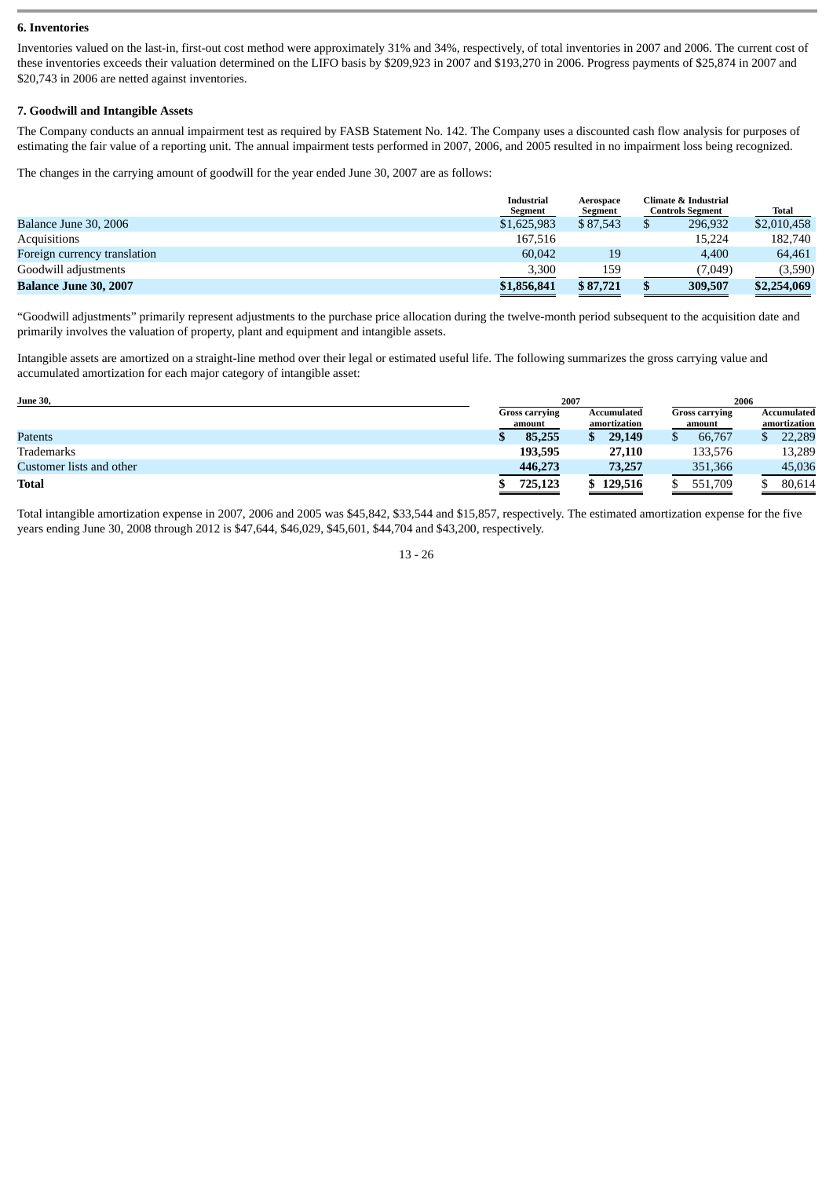#### **6. Inventories**

Inventories valued on the last-in, first-out cost method were approximately 31% and 34%, respectively, of total inventories in 2007 and 2006. The current cost of these inventories exceeds their valuation determined on the LIFO basis by \$209,923 in 2007 and \$193,270 in 2006. Progress payments of \$25,874 in 2007 and \$20,743 in 2006 are netted against inventories.

## **7. Goodwill and Intangible Assets**

The Company conducts an annual impairment test as required by FASB Statement No. 142. The Company uses a discounted cash flow analysis for purposes of estimating the fair value of a reporting unit. The annual impairment tests performed in 2007, 2006, and 2005 resulted in no impairment loss being recognized.

The changes in the carrying amount of goodwill for the year ended June 30, 2007 are as follows:

|                              | <b>Industrial</b><br>Segment | Aerospace<br>Segment | <b>Climate &amp; Industrial</b><br><b>Controls Segment</b> | Total       |
|------------------------------|------------------------------|----------------------|------------------------------------------------------------|-------------|
| Balance June 30, 2006        | \$1,625,983                  | \$87,543             | 296,932                                                    | \$2,010,458 |
| <b>Acquisitions</b>          | 167,516                      |                      | 15,224                                                     | 182,740     |
| Foreign currency translation | 60.042                       | 19                   | 4,400                                                      | 64,461      |
| Goodwill adjustments         | 3,300                        | 159                  | (7,049)                                                    | (3,590)     |
| <b>Balance June 30, 2007</b> | \$1,856,841                  | \$87,721             | 309,507                                                    | \$2,254,069 |

"Goodwill adjustments" primarily represent adjustments to the purchase price allocation during the twelve-month period subsequent to the acquisition date and primarily involves the valuation of property, plant and equipment and intangible assets.

Intangible assets are amortized on a straight-line method over their legal or estimated useful life. The following summarizes the gross carrying value and accumulated amortization for each major category of intangible asset:

| <b>June 30,</b>          |                                 | 2007                        | 2006                            |                             |  |
|--------------------------|---------------------------------|-----------------------------|---------------------------------|-----------------------------|--|
|                          | <b>Gross carrying</b><br>amount | Accumulated<br>amortization | <b>Gross carrying</b><br>amount | Accumulated<br>amortization |  |
| Patents                  | 85,255                          | 29,149                      | 66,767                          | 22,289                      |  |
| Trademarks               | 193,595                         | 27,110                      | 133,576                         | 13,289                      |  |
| Customer lists and other | 446,273                         | 73,257                      | 351,366                         | 45,036                      |  |
| <b>Total</b>             | 725,123                         | 129,516                     | 551,709                         | 80,614                      |  |

Total intangible amortization expense in 2007, 2006 and 2005 was \$45,842, \$33,544 and \$15,857, respectively. The estimated amortization expense for the five years ending June 30, 2008 through 2012 is \$47,644, \$46,029, \$45,601, \$44,704 and \$43,200, respectively.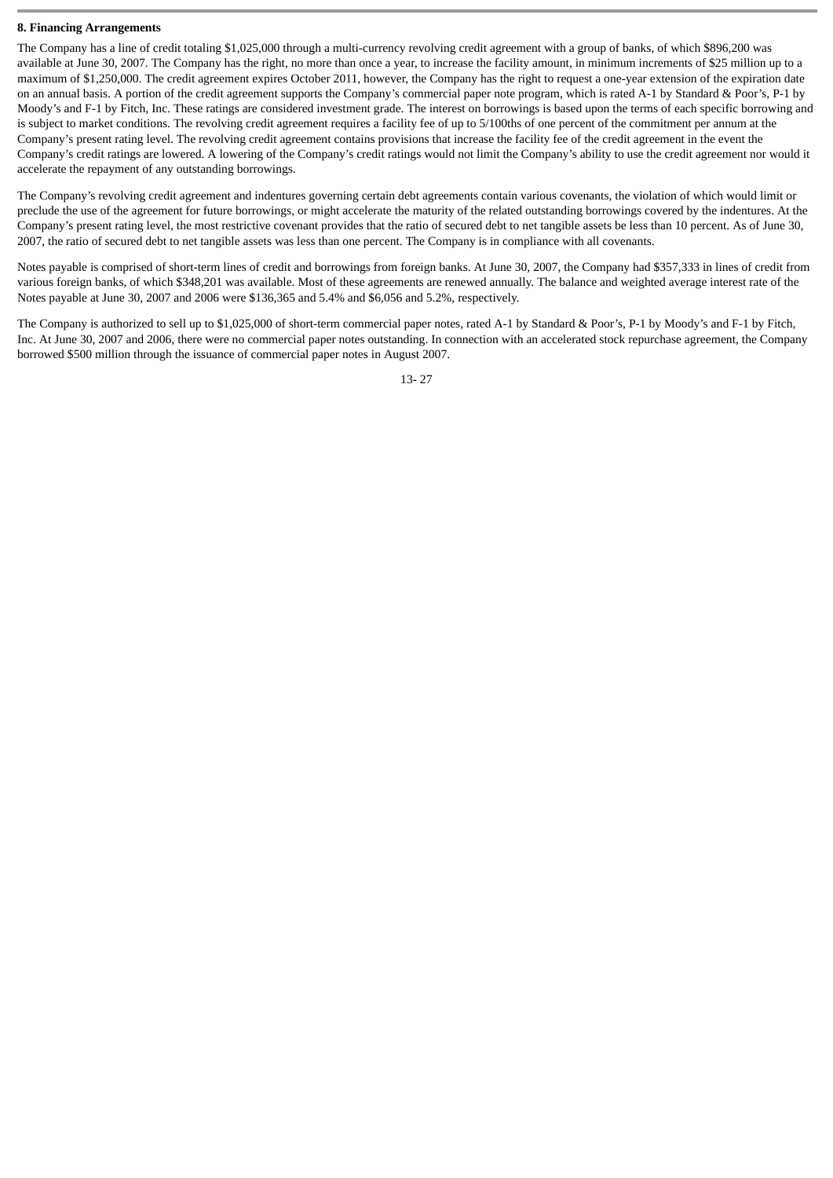## **8. Financing Arrangements**

The Company has a line of credit totaling \$1,025,000 through a multi-currency revolving credit agreement with a group of banks, of which \$896,200 was available at June 30, 2007. The Company has the right, no more than once a year, to increase the facility amount, in minimum increments of \$25 million up to a maximum of \$1,250,000. The credit agreement expires October 2011, however, the Company has the right to request a one-year extension of the expiration date on an annual basis. A portion of the credit agreement supports the Company's commercial paper note program, which is rated A-1 by Standard & Poor's, P-1 by Moody's and F-1 by Fitch, Inc. These ratings are considered investment grade. The interest on borrowings is based upon the terms of each specific borrowing and is subject to market conditions. The revolving credit agreement requires a facility fee of up to 5/100ths of one percent of the commitment per annum at the Company's present rating level. The revolving credit agreement contains provisions that increase the facility fee of the credit agreement in the event the Company's credit ratings are lowered. A lowering of the Company's credit ratings would not limit the Company's ability to use the credit agreement nor would it accelerate the repayment of any outstanding borrowings.

The Company's revolving credit agreement and indentures governing certain debt agreements contain various covenants, the violation of which would limit or preclude the use of the agreement for future borrowings, or might accelerate the maturity of the related outstanding borrowings covered by the indentures. At the Company's present rating level, the most restrictive covenant provides that the ratio of secured debt to net tangible assets be less than 10 percent. As of June 30, 2007, the ratio of secured debt to net tangible assets was less than one percent. The Company is in compliance with all covenants.

Notes payable is comprised of short-term lines of credit and borrowings from foreign banks. At June 30, 2007, the Company had \$357,333 in lines of credit from various foreign banks, of which \$348,201 was available. Most of these agreements are renewed annually. The balance and weighted average interest rate of the Notes payable at June 30, 2007 and 2006 were \$136,365 and 5.4% and \$6,056 and 5.2%, respectively.

The Company is authorized to sell up to \$1,025,000 of short-term commercial paper notes, rated A-1 by Standard & Poor's, P-1 by Moody's and F-1 by Fitch, Inc. At June 30, 2007 and 2006, there were no commercial paper notes outstanding. In connection with an accelerated stock repurchase agreement, the Company borrowed \$500 million through the issuance of commercial paper notes in August 2007.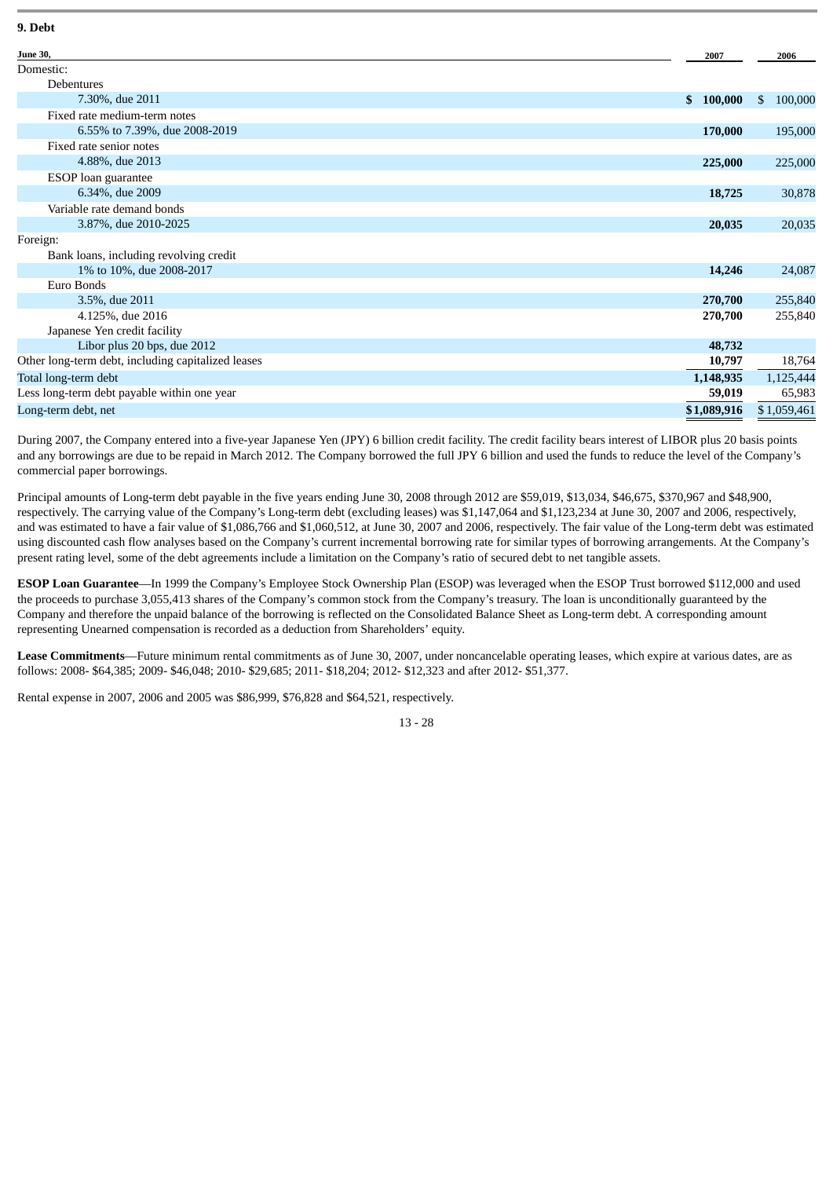## **9. Debt**

| <b>June 30,</b>                                    | 2007        | 2006          |
|----------------------------------------------------|-------------|---------------|
| Domestic:                                          |             |               |
| Debentures                                         |             |               |
| 7.30%, due 2011                                    | \$100,000   | \$<br>100,000 |
| Fixed rate medium-term notes                       |             |               |
| 6.55% to 7.39%, due 2008-2019                      | 170,000     | 195,000       |
| Fixed rate senior notes                            |             |               |
| 4.88%, due 2013                                    | 225,000     | 225,000       |
| ESOP loan guarantee                                |             |               |
| 6.34%, due 2009                                    | 18,725      | 30,878        |
| Variable rate demand bonds                         |             |               |
| 3.87%, due 2010-2025                               | 20,035      | 20,035        |
| Foreign:                                           |             |               |
| Bank loans, including revolving credit             |             |               |
| 1% to 10%, due 2008-2017                           | 14,246      | 24,087        |
| Euro Bonds                                         |             |               |
| 3.5%, due 2011                                     | 270,700     | 255,840       |
| 4.125%, due 2016                                   | 270,700     | 255,840       |
| Japanese Yen credit facility                       |             |               |
| Libor plus 20 bps, due 2012                        | 48,732      |               |
| Other long-term debt, including capitalized leases | 10,797      | 18,764        |
| Total long-term debt                               | 1,148,935   | 1,125,444     |
| Less long-term debt payable within one year        | 59,019      | 65,983        |
| Long-term debt, net                                | \$1,089,916 | \$1,059,461   |

During 2007, the Company entered into a five-year Japanese Yen (JPY) 6 billion credit facility. The credit facility bears interest of LIBOR plus 20 basis points and any borrowings are due to be repaid in March 2012. The Company borrowed the full JPY 6 billion and used the funds to reduce the level of the Company's commercial paper borrowings.

Principal amounts of Long-term debt payable in the five years ending June 30, 2008 through 2012 are \$59,019, \$13,034, \$46,675, \$370,967 and \$48,900, respectively. The carrying value of the Company's Long-term debt (excluding leases) was \$1,147,064 and \$1,123,234 at June 30, 2007 and 2006, respectively, and was estimated to have a fair value of \$1,086,766 and \$1,060,512, at June 30, 2007 and 2006, respectively. The fair value of the Long-term debt was estimated using discounted cash flow analyses based on the Company's current incremental borrowing rate for similar types of borrowing arrangements. At the Company's present rating level, some of the debt agreements include a limitation on the Company's ratio of secured debt to net tangible assets.

**ESOP Loan Guarantee**—In 1999 the Company's Employee Stock Ownership Plan (ESOP) was leveraged when the ESOP Trust borrowed \$112,000 and used the proceeds to purchase 3,055,413 shares of the Company's common stock from the Company's treasury. The loan is unconditionally guaranteed by the Company and therefore the unpaid balance of the borrowing is reflected on the Consolidated Balance Sheet as Long-term debt. A corresponding amount representing Unearned compensation is recorded as a deduction from Shareholders' equity.

**Lease Commitments**—Future minimum rental commitments as of June 30, 2007, under noncancelable operating leases, which expire at various dates, are as follows: 2008- \$64,385; 2009- \$46,048; 2010- \$29,685; 2011- \$18,204; 2012- \$12,323 and after 2012- \$51,377.

Rental expense in 2007, 2006 and 2005 was \$86,999, \$76,828 and \$64,521, respectively.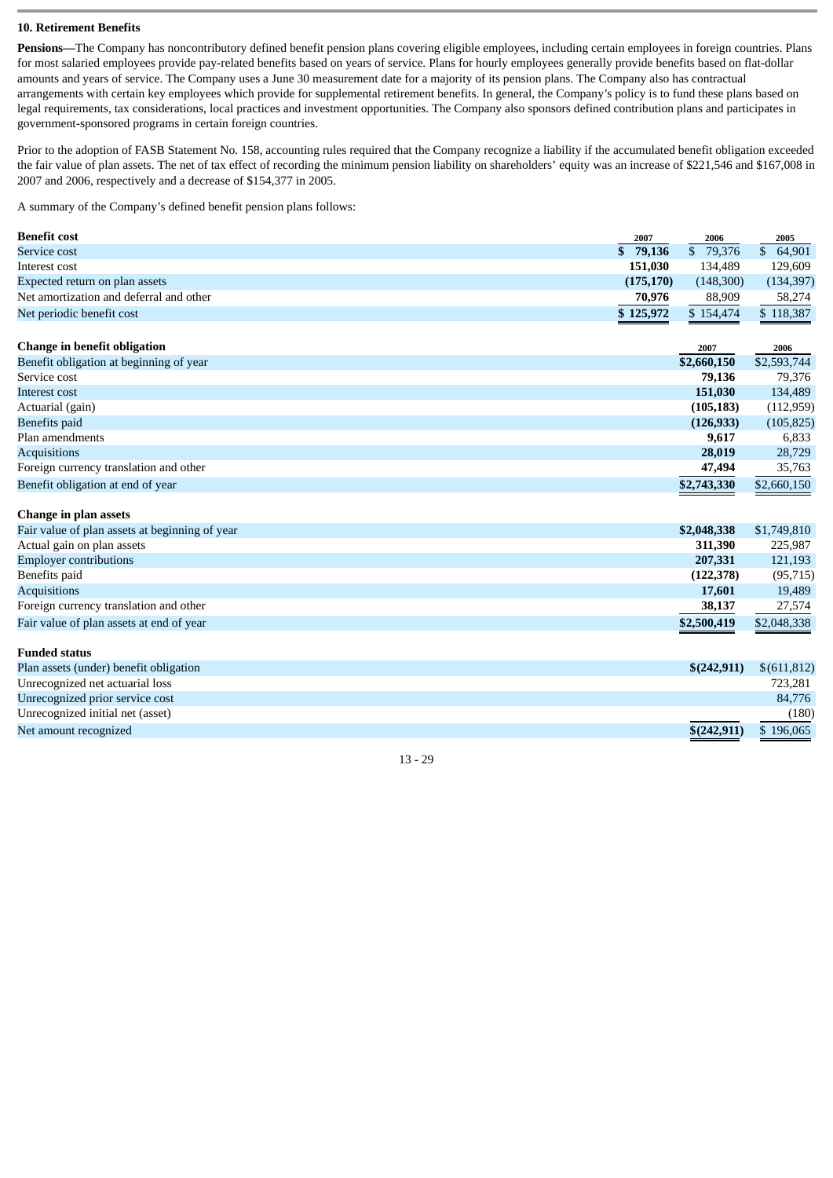## **10. Retirement Benefits**

**Funded status**

Pensions—The Company has noncontributory defined benefit pension plans covering eligible employees, including certain employees in foreign countries. Plans for most salaried employees provide pay-related benefits based on years of service. Plans for hourly employees generally provide benefits based on flat-dollar amounts and years of service. The Company uses a June 30 measurement date for a majority of its pension plans. The Company also has contractual arrangements with certain key employees which provide for supplemental retirement benefits. In general, the Company's policy is to fund these plans based on legal requirements, tax considerations, local practices and investment opportunities. The Company also sponsors defined contribution plans and participates in government-sponsored programs in certain foreign countries.

Prior to the adoption of FASB Statement No. 158, accounting rules required that the Company recognize a liability if the accumulated benefit obligation exceeded the fair value of plan assets. The net of tax effect of recording the minimum pension liability on shareholders' equity was an increase of \$221,546 and \$167,008 in 2007 and 2006, respectively and a decrease of \$154,377 in 2005.

A summary of the Company's defined benefit pension plans follows:

| <b>Benefit cost</b>                     | 2007       | 2006      | 2005       |
|-----------------------------------------|------------|-----------|------------|
| Service cost                            | \$79,136   | 79.376    | 64.901     |
| Interest cost                           | 151,030    | 134.489   | 129.609    |
| Expected return on plan assets          | (175, 170) | (148,300) | (134, 397) |
| Net amortization and deferral and other | 70,976     | 88,909    | 58,274     |
| Net periodic benefit cost               | \$125,972  | \$154,474 | \$118,387  |

| Change in benefit obligation            | 2007        | 2006        |
|-----------------------------------------|-------------|-------------|
| Benefit obligation at beginning of year | \$2,660,150 | \$2,593,744 |
| Service cost                            | 79,136      | 79.376      |
| Interest cost                           | 151,030     | 134,489     |
| Actuarial (gain)                        | (105, 183)  | (112, 959)  |
| Benefits paid                           | (126, 933)  | (105, 825)  |
| Plan amendments                         | 9.617       | 6,833       |
| <b>Acquisitions</b>                     | 28,019      | 28,729      |
| Foreign currency translation and other  | 47,494      | 35,763      |
| Benefit obligation at end of year       | \$2,743,330 | \$2,660,150 |

| \$2,048,338 | \$1,749,810 |
|-------------|-------------|
| 311,390     | 225,987     |
| 207,331     | 121,193     |
| (122, 378)  | (95, 715)   |
| 17,601      | 19,489      |
| 38,137      | 27,574      |
| \$2,500,419 | \$2,048,338 |
|             |             |

| r unucu status                         |             |               |
|----------------------------------------|-------------|---------------|
| Plan assets (under) benefit obligation | \$(242,911) | \$ (611, 812) |
| Unrecognized net actuarial loss        |             | 723.281       |
| Unrecognized prior service cost        |             | 84,776        |
| Unrecognized initial net (asset)       |             | (180)         |
| Net amount recognized                  | \$(242,911) | \$196,065     |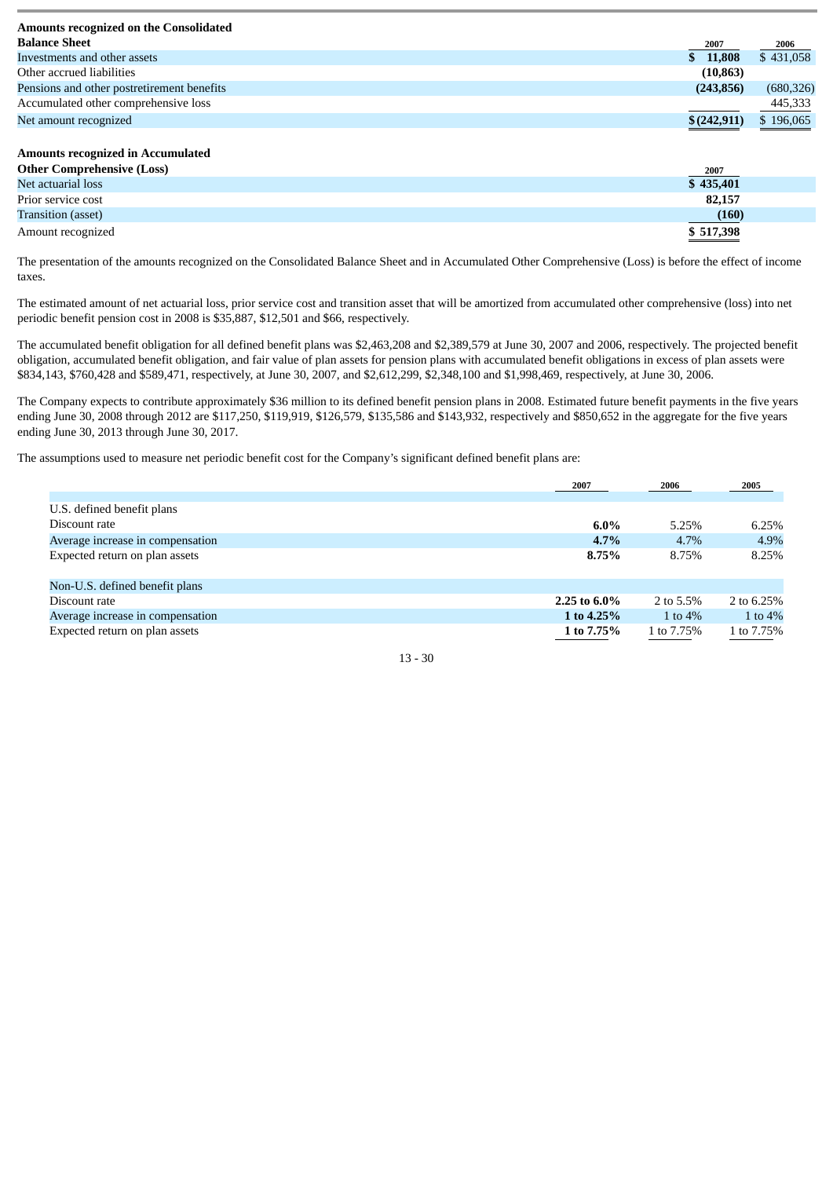| <b>Amounts recognized on the Consolidated</b> |             |            |
|-----------------------------------------------|-------------|------------|
| <b>Balance Sheet</b>                          | 2007        | 2006       |
| Investments and other assets                  | \$11,808    | \$431,058  |
| Other accrued liabilities                     | (10, 863)   |            |
| Pensions and other postretirement benefits    | (243, 856)  | (680, 326) |
| Accumulated other comprehensive loss          |             | 445,333    |
| Net amount recognized                         | \$(242,911) | \$196,065  |

## **Amounts recognized in Accumulated**

| <b>Other Comprehensive (Loss)</b> | 2007      |
|-----------------------------------|-----------|
| Net actuarial loss                | \$435,401 |
| Prior service cost                | 82,157    |
| Transition (asset)                | (160)     |
| Amount recognized                 | \$517,398 |

The presentation of the amounts recognized on the Consolidated Balance Sheet and in Accumulated Other Comprehensive (Loss) is before the effect of income taxes.

The estimated amount of net actuarial loss, prior service cost and transition asset that will be amortized from accumulated other comprehensive (loss) into net periodic benefit pension cost in 2008 is \$35,887, \$12,501 and \$66, respectively.

The accumulated benefit obligation for all defined benefit plans was \$2,463,208 and \$2,389,579 at June 30, 2007 and 2006, respectively. The projected benefit obligation, accumulated benefit obligation, and fair value of plan assets for pension plans with accumulated benefit obligations in excess of plan assets were \$834,143, \$760,428 and \$589,471, respectively, at June 30, 2007, and \$2,612,299, \$2,348,100 and \$1,998,469, respectively, at June 30, 2006.

The Company expects to contribute approximately \$36 million to its defined benefit pension plans in 2008. Estimated future benefit payments in the five years ending June 30, 2008 through 2012 are \$117,250, \$119,919, \$126,579, \$135,586 and \$143,932, respectively and \$850,652 in the aggregate for the five years ending June 30, 2013 through June 30, 2017.

The assumptions used to measure net periodic benefit cost for the Company's significant defined benefit plans are:

|                                  | 2007            | 2006       | 2005       |
|----------------------------------|-----------------|------------|------------|
|                                  |                 |            |            |
| U.S. defined benefit plans       |                 |            |            |
| Discount rate                    | $6.0\%$         | 5.25%      | 6.25%      |
| Average increase in compensation | $4.7\%$         | $4.7\%$    | 4.9%       |
| Expected return on plan assets   | 8.75%           | 8.75%      | 8.25%      |
|                                  |                 |            |            |
| Non-U.S. defined benefit plans   |                 |            |            |
| Discount rate                    | 2.25 to $6.0\%$ | 2 to 5.5%  | 2 to 6.25% |
| Average increase in compensation | 1 to 4.25%      | 1 to $4\%$ | 1 to 4%    |
| Expected return on plan assets   | 1 to 7.75%      | 1 to 7.75% | 1 to 7.75% |
|                                  |                 |            |            |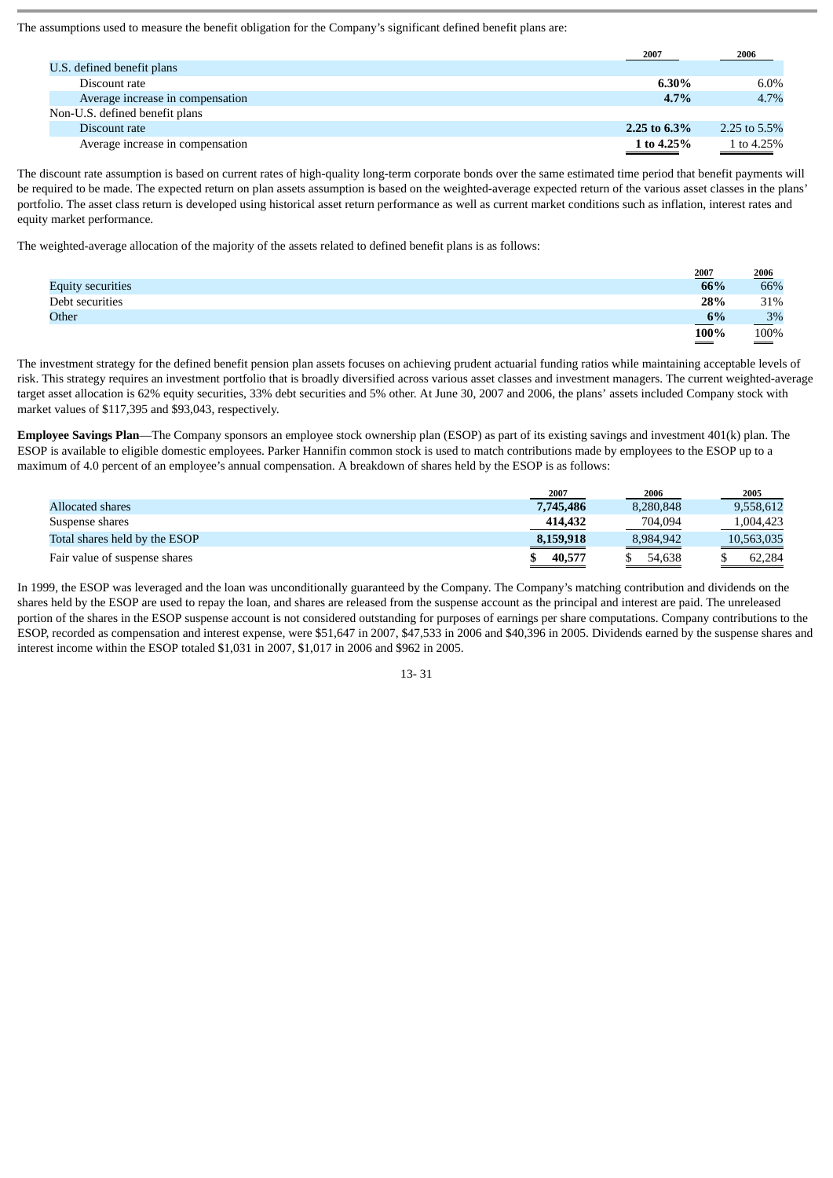The assumptions used to measure the benefit obligation for the Company's significant defined benefit plans are:

|                                  | 2007            | 2006         |
|----------------------------------|-----------------|--------------|
| U.S. defined benefit plans       |                 |              |
| Discount rate                    | 6.30%           | $6.0\%$      |
| Average increase in compensation | 4.7%            | 4.7%         |
| Non-U.S. defined benefit plans   |                 |              |
| Discount rate                    | 2.25 to $6.3\%$ | 2.25 to 5.5% |
| Average increase in compensation | 1 to $4.25\%$   | 1 to 4.25%   |

The discount rate assumption is based on current rates of high-quality long-term corporate bonds over the same estimated time period that benefit payments will be required to be made. The expected return on plan assets assumption is based on the weighted-average expected return of the various asset classes in the plans' portfolio. The asset class return is developed using historical asset return performance as well as current market conditions such as inflation, interest rates and equity market performance.

The weighted-average allocation of the majority of the assets related to defined benefit plans is as follows:

|                          | 2007         | <b>2006</b>  |
|--------------------------|--------------|--------------|
| <b>Equity securities</b> | 66%          | 66%          |
| Debt securities          | 28%          | 31%          |
| Other                    | 6%<br>$\sim$ | 3%<br>$\sim$ |
|                          | 100%         | 100%         |

The investment strategy for the defined benefit pension plan assets focuses on achieving prudent actuarial funding ratios while maintaining acceptable levels of risk. This strategy requires an investment portfolio that is broadly diversified across various asset classes and investment managers. The current weighted-average target asset allocation is 62% equity securities, 33% debt securities and 5% other. At June 30, 2007 and 2006, the plans' assets included Company stock with market values of \$117,395 and \$93,043, respectively.

**Employee Savings Plan**—The Company sponsors an employee stock ownership plan (ESOP) as part of its existing savings and investment 401(k) plan. The ESOP is available to eligible domestic employees. Parker Hannifin common stock is used to match contributions made by employees to the ESOP up to a maximum of 4.0 percent of an employee's annual compensation. A breakdown of shares held by the ESOP is as follows:

|                               | 2007      | 2006      | 2005       |
|-------------------------------|-----------|-----------|------------|
| Allocated shares              | 7,745,486 | 8,280,848 | 9.558.612  |
| Suspense shares               | 414,432   | 704.094   | 1.004.423  |
| Total shares held by the ESOP | 8,159,918 | 8,984,942 | 10,563,035 |
| Fair value of suspense shares | 40,577    | 54.638    | 62.284     |

In 1999, the ESOP was leveraged and the loan was unconditionally guaranteed by the Company. The Company's matching contribution and dividends on the shares held by the ESOP are used to repay the loan, and shares are released from the suspense account as the principal and interest are paid. The unreleased portion of the shares in the ESOP suspense account is not considered outstanding for purposes of earnings per share computations. Company contributions to the ESOP, recorded as compensation and interest expense, were \$51,647 in 2007, \$47,533 in 2006 and \$40,396 in 2005. Dividends earned by the suspense shares and interest income within the ESOP totaled \$1,031 in 2007, \$1,017 in 2006 and \$962 in 2005.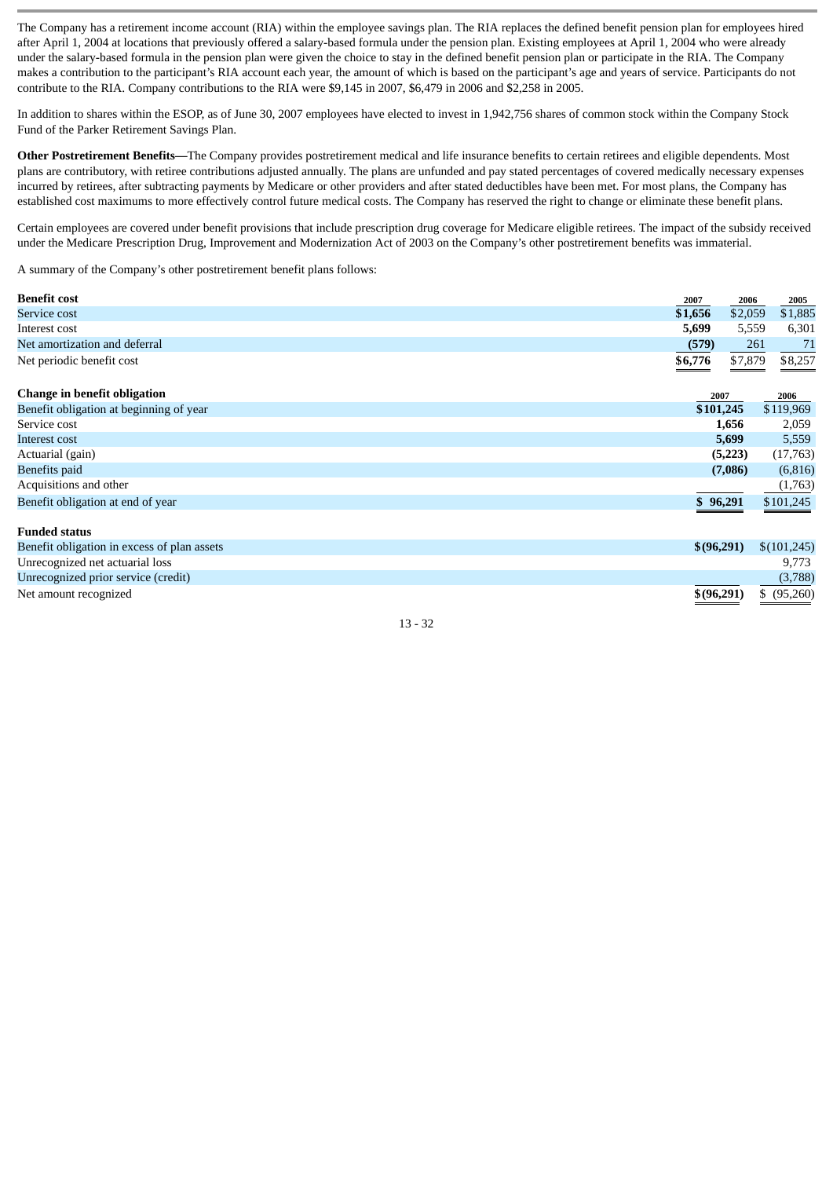The Company has a retirement income account (RIA) within the employee savings plan. The RIA replaces the defined benefit pension plan for employees hired after April 1, 2004 at locations that previously offered a salary-based formula under the pension plan. Existing employees at April 1, 2004 who were already under the salary-based formula in the pension plan were given the choice to stay in the defined benefit pension plan or participate in the RIA. The Company makes a contribution to the participant's RIA account each year, the amount of which is based on the participant's age and years of service. Participants do not contribute to the RIA. Company contributions to the RIA were \$9,145 in 2007, \$6,479 in 2006 and \$2,258 in 2005.

In addition to shares within the ESOP, as of June 30, 2007 employees have elected to invest in 1,942,756 shares of common stock within the Company Stock Fund of the Parker Retirement Savings Plan.

**Other Postretirement Benefits—**The Company provides postretirement medical and life insurance benefits to certain retirees and eligible dependents. Most plans are contributory, with retiree contributions adjusted annually. The plans are unfunded and pay stated percentages of covered medically necessary expenses incurred by retirees, after subtracting payments by Medicare or other providers and after stated deductibles have been met. For most plans, the Company has established cost maximums to more effectively control future medical costs. The Company has reserved the right to change or eliminate these benefit plans.

Certain employees are covered under benefit provisions that include prescription drug coverage for Medicare eligible retirees. The impact of the subsidy received under the Medicare Prescription Drug, Improvement and Modernization Act of 2003 on the Company's other postretirement benefits was immaterial.

A summary of the Company's other postretirement benefit plans follows:

| <b>Benefit cost</b>                         | 2007<br>2006       | 2005           |
|---------------------------------------------|--------------------|----------------|
| Service cost                                | \$1,656<br>\$2,059 | \$1,885        |
| Interest cost                               | 5,699              | 5,559<br>6,301 |
| Net amortization and deferral               | (579)              | 261<br>71      |
| Net periodic benefit cost                   | \$6,776<br>\$7,879 | \$8,257        |
| Change in benefit obligation                | 2007               | 2006           |
| Benefit obligation at beginning of year     | \$101,245          | \$119,969      |
| Service cost                                | 1,656              | 2,059          |
| Interest cost                               | 5,699              | 5,559          |
| Actuarial (gain)                            | (5,223)            | (17,763)       |
| Benefits paid                               | (7,086)            | (6, 816)       |
| Acquisitions and other                      |                    | (1,763)        |
| Benefit obligation at end of year           | \$96,291           | \$101,245      |
| <b>Funded status</b>                        |                    |                |
| Benefit obligation in excess of plan assets | \$(96, 291)        | \$(101.245)    |

| Benefit obligation in excess of plan assets | $\{(96,291) \quad \{(101,245)\}$ |
|---------------------------------------------|----------------------------------|
| Unrecognized net actuarial loss             | 9.773                            |
| Unrecognized prior service (credit)         | (3,788)                          |
| Net amount recognized                       | $$ (96,291) \quad $ (95,260)$    |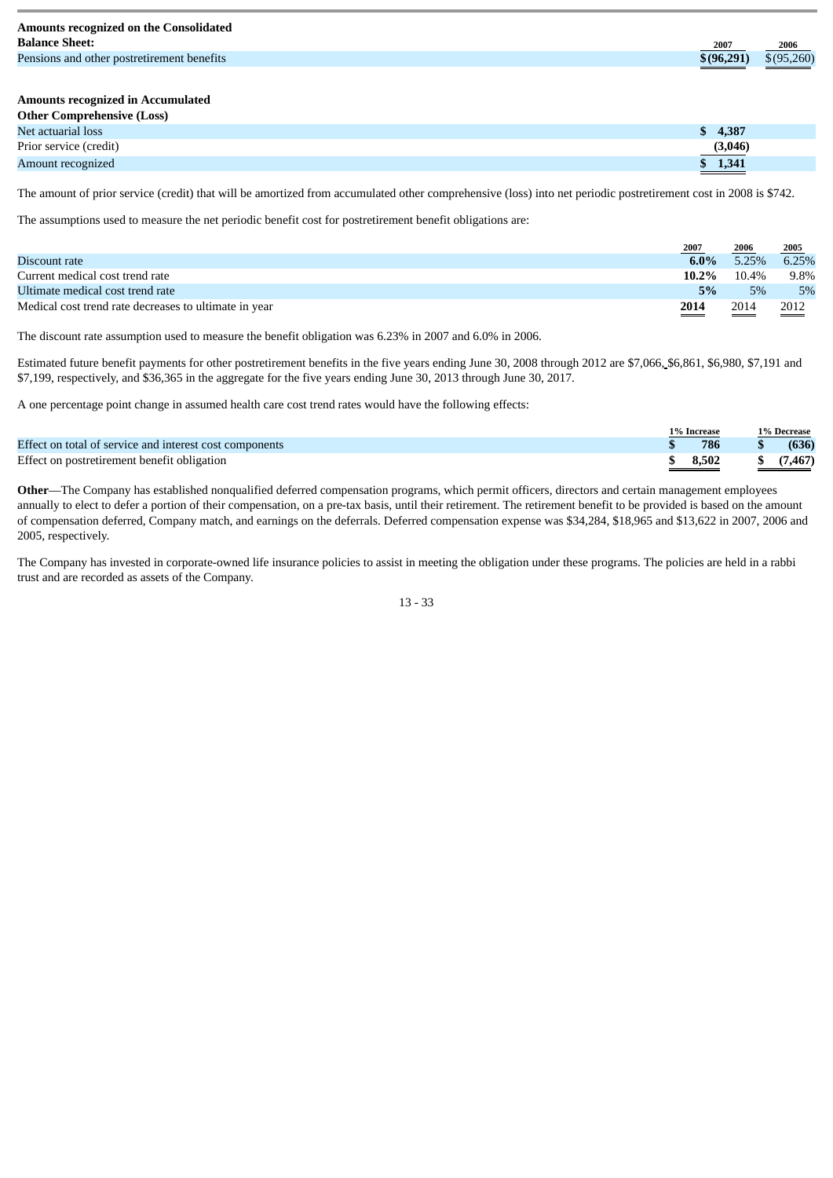| <b>Amounts recognized on the Consolidated</b> |            |            |
|-----------------------------------------------|------------|------------|
| <b>Balance Sheet:</b>                         | 2007       | 2006       |
| Pensions and other postretirement benefits    | \$(96,291) | \$(95,260) |
|                                               |            |            |

## **Amounts recognized in Accumulated**

| <b>Other Comprehensive (Loss)</b> |         |
|-----------------------------------|---------|
| Net actuarial loss                | \$4,387 |
| Prior service (credit)            | (3,046) |
| Amount recognized                 | \$1,341 |

The amount of prior service (credit) that will be amortized from accumulated other comprehensive (loss) into net periodic postretirement cost in 2008 is \$742.

The assumptions used to measure the net periodic benefit cost for postretirement benefit obligations are:

|                                                       | 2007    | 2006  | 2005  |
|-------------------------------------------------------|---------|-------|-------|
| Discount rate                                         | $6.0\%$ | 5.25% | 6.25% |
| Current medical cost trend rate                       | 10.2%   | 10.4% | 9.8%  |
| Ultimate medical cost trend rate                      | 5%      | 5%    | 5%    |
| Medical cost trend rate decreases to ultimate in year | 2014    | 2014  | 2012  |

The discount rate assumption used to measure the benefit obligation was 6.23% in 2007 and 6.0% in 2006.

Estimated future benefit payments for other postretirement benefits in the five years ending June 30, 2008 through 2012 are \$7,066, \$6,861, \$6,980, \$7,191 and \$7,199, respectively, and \$36,365 in the aggregate for the five years ending June 30, 2013 through June 30, 2017.

A one percentage point change in assumed health care cost trend rates would have the following effects:

|                                                         | 1% Increase         |    | 1% Decrease |
|---------------------------------------------------------|---------------------|----|-------------|
| Effect on total of service and interest cost components | 786                 | S. | (636)       |
| Effect on postretirement benefit obligation             | $\frac{1}{2}$ 8.502 |    | \$(7,467)   |

**Other**—The Company has established nonqualified deferred compensation programs, which permit officers, directors and certain management employees annually to elect to defer a portion of their compensation, on a pre-tax basis, until their retirement. The retirement benefit to be provided is based on the amount of compensation deferred, Company match, and earnings on the deferrals. Deferred compensation expense was \$34,284, \$18,965 and \$13,622 in 2007, 2006 and 2005, respectively.

The Company has invested in corporate-owned life insurance policies to assist in meeting the obligation under these programs. The policies are held in a rabbi trust and are recorded as assets of the Company.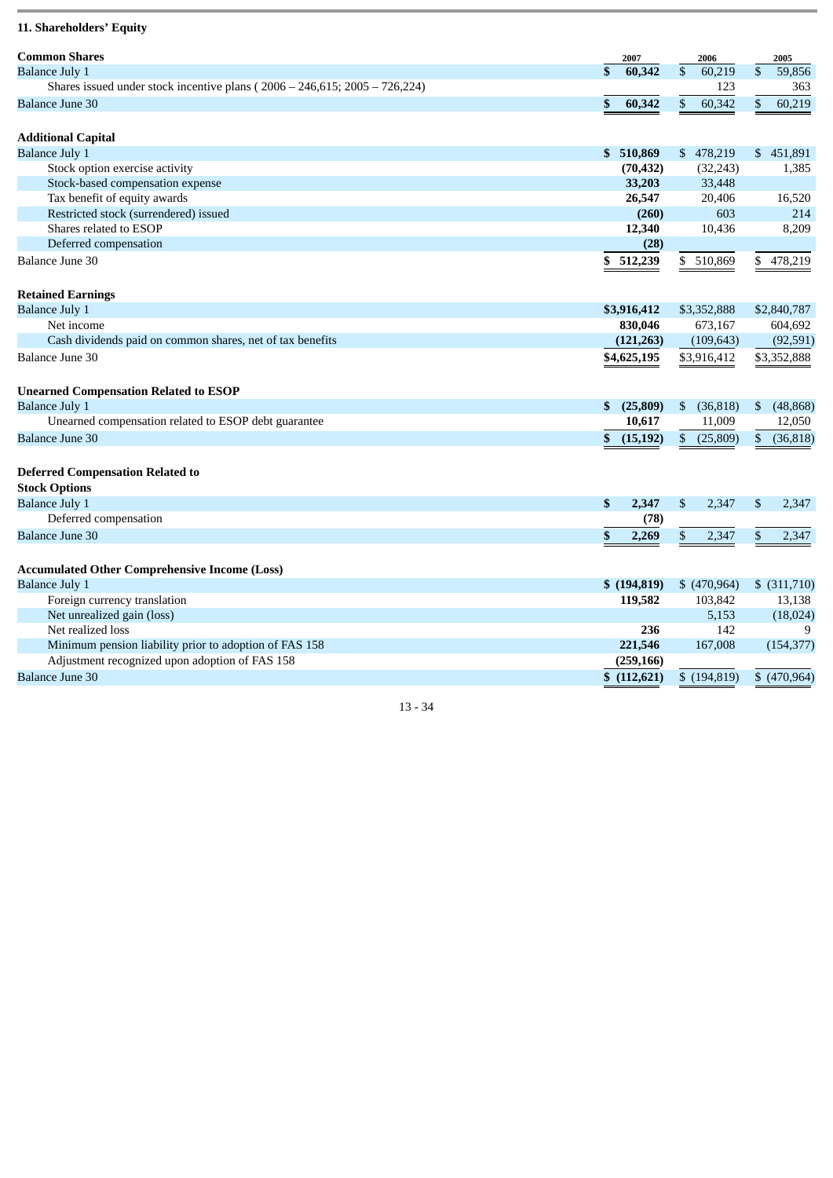## **11. Shareholders' Equity**

| <b>Common Shares</b>                                                       | 2007                    | 2006                    | 2005                    |
|----------------------------------------------------------------------------|-------------------------|-------------------------|-------------------------|
| Balance July 1                                                             | $\mathbf{s}$<br>60,342  | $\mathsf{\$}$<br>60,219 | $\mathfrak s$<br>59,856 |
| Shares issued under stock incentive plans (2006 - 246,615; 2005 - 726,224) |                         | 123                     | 363                     |
| Balance June 30                                                            | 60,342<br>\$            | 60,342<br>\$            | \$<br>60,219            |
|                                                                            |                         |                         |                         |
| <b>Additional Capital</b>                                                  |                         |                         |                         |
| <b>Balance July 1</b>                                                      | $\mathbb{S}$<br>510,869 | \$478,219               | \$451,891               |
| Stock option exercise activity                                             | (70, 432)               | (32, 243)               | 1,385                   |
| Stock-based compensation expense                                           | 33,203                  | 33,448                  |                         |
| Tax benefit of equity awards                                               | 26,547                  | 20,406                  | 16,520                  |
| Restricted stock (surrendered) issued                                      | (260)                   | 603                     | 214                     |
| Shares related to ESOP                                                     | 12,340                  | 10,436                  | 8,209                   |
| Deferred compensation                                                      | (28)                    |                         |                         |
| Balance June 30                                                            | \$<br>512,239           | 510,869<br>\$           | \$<br>478,219           |
|                                                                            |                         |                         |                         |
| <b>Retained Earnings</b>                                                   |                         |                         |                         |
| <b>Balance July 1</b>                                                      | \$3,916,412             | \$3,352,888             | \$2,840,787             |
| Net income                                                                 | 830,046                 | 673,167                 | 604,692                 |
| Cash dividends paid on common shares, net of tax benefits                  | (121, 263)              | (109, 643)              | (92, 591)               |
| Balance June 30                                                            | \$4,625,195             | \$3,916,412             | \$3,352,888             |
|                                                                            |                         |                         |                         |
| <b>Unearned Compensation Related to ESOP</b>                               |                         |                         |                         |
| <b>Balance July 1</b>                                                      | \$<br>(25, 809)         | (36, 818)<br>S.         | \$<br>(48, 868)         |
| Unearned compensation related to ESOP debt guarantee                       | 10,617                  | 11,009                  | 12,050                  |
| Balance June 30                                                            | \$<br>(15, 192)         | \$<br>(25,809)          | \$<br>(36, 818)         |
|                                                                            |                         |                         |                         |
|                                                                            |                         |                         |                         |
| <b>Deferred Compensation Related to</b><br><b>Stock Options</b>            |                         |                         |                         |
| <b>Balance July 1</b>                                                      | \$<br>2,347             | \$<br>2,347             | \$<br>2,347             |
| Deferred compensation                                                      | (78)                    |                         |                         |
|                                                                            |                         |                         |                         |
| Balance June 30                                                            | \$<br>2,269             | \$<br>2,347             | \$<br>2,347             |
|                                                                            |                         |                         |                         |
| <b>Accumulated Other Comprehensive Income (Loss)</b>                       |                         |                         |                         |
| Balance July 1                                                             | \$(194, 819)            | $$$ (470,964)           | \$ (311,710)            |
| Foreign currency translation<br>Net unrealized gain (loss)                 | 119,582                 | 103,842<br>5,153        | 13,138                  |
| Net realized loss                                                          | 236                     | 142                     | (18,024)<br>9           |
| Minimum pension liability prior to adoption of FAS 158                     | 221,546                 | 167,008                 | (154, 377)              |
| Adjustment recognized upon adoption of FAS 158                             | (259, 166)              |                         |                         |
| <b>Balance June 30</b>                                                     |                         |                         | \$(470,964)             |
|                                                                            | \$(112,621)             | \$(194, 819)            |                         |
|                                                                            |                         |                         |                         |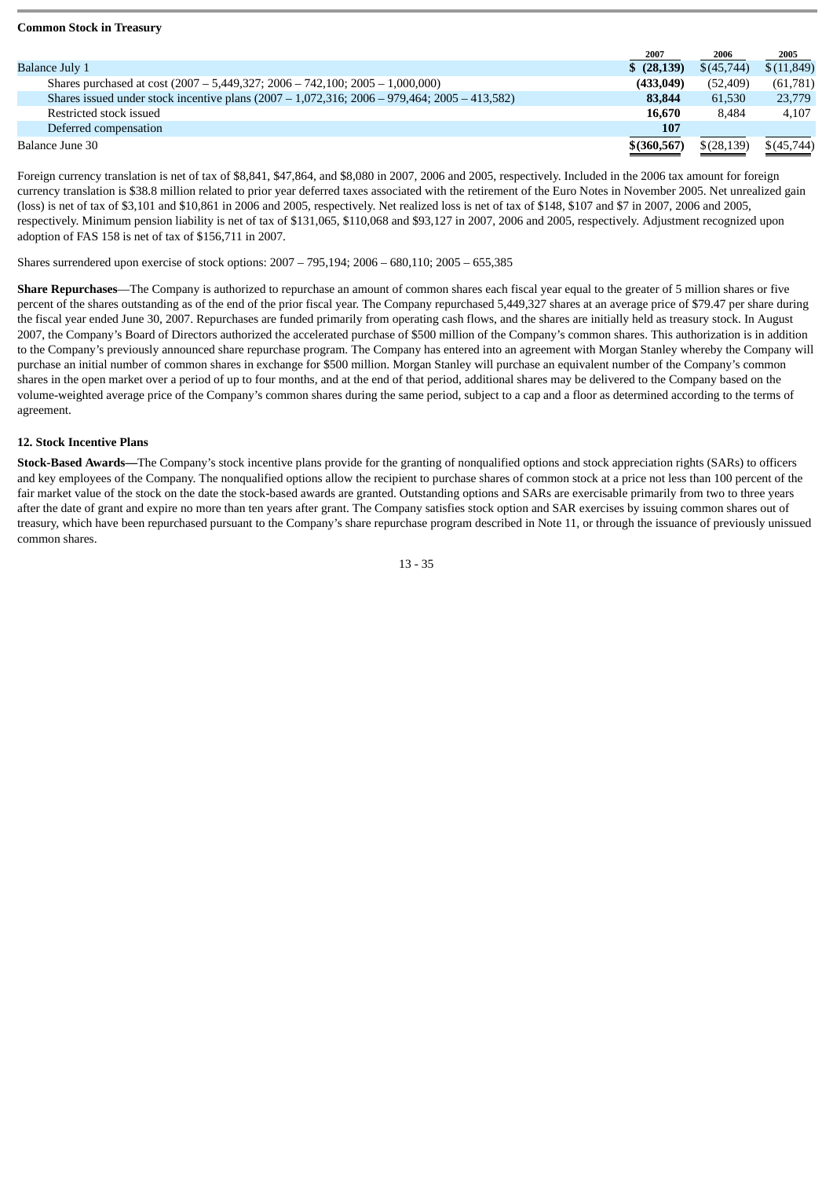|                                                                                                | 2007            | 2006       | 2005       |
|------------------------------------------------------------------------------------------------|-----------------|------------|------------|
| Balance July 1                                                                                 | $$^{(28,139)}$$ | \$(45,744) | \$(11,849) |
| Shares purchased at cost $(2007 - 5,449,327; 2006 - 742,100; 2005 - 1,000,000)$                | (433,049)       | (52, 409)  | (61,781)   |
| Shares issued under stock incentive plans $(2007 - 1,072,316; 2006 - 979,464; 2005 - 413,582)$ | 83,844          | 61.530     | 23,779     |
| Restricted stock issued                                                                        | 16.670          | 8.484      | 4.107      |
| Deferred compensation                                                                          | 107             |            |            |
| Balance June 30                                                                                | $$$ (360,567)   | \$(28,139) | \$(45,744) |
|                                                                                                |                 |            |            |

Foreign currency translation is net of tax of \$8,841, \$47,864, and \$8,080 in 2007, 2006 and 2005, respectively. Included in the 2006 tax amount for foreign currency translation is \$38.8 million related to prior year deferred taxes associated with the retirement of the Euro Notes in November 2005. Net unrealized gain (loss) is net of tax of \$3,101 and \$10,861 in 2006 and 2005, respectively. Net realized loss is net of tax of \$148, \$107 and \$7 in 2007, 2006 and 2005, respectively. Minimum pension liability is net of tax of \$131,065, \$110,068 and \$93,127 in 2007, 2006 and 2005, respectively. Adjustment recognized upon adoption of FAS 158 is net of tax of \$156,711 in 2007.

Shares surrendered upon exercise of stock options: 2007 – 795,194; 2006 – 680,110; 2005 – 655,385

**Share Repurchases**—The Company is authorized to repurchase an amount of common shares each fiscal year equal to the greater of 5 million shares or five percent of the shares outstanding as of the end of the prior fiscal year. The Company repurchased 5,449,327 shares at an average price of \$79.47 per share during the fiscal year ended June 30, 2007. Repurchases are funded primarily from operating cash flows, and the shares are initially held as treasury stock. In August 2007, the Company's Board of Directors authorized the accelerated purchase of \$500 million of the Company's common shares. This authorization is in addition to the Company's previously announced share repurchase program. The Company has entered into an agreement with Morgan Stanley whereby the Company will purchase an initial number of common shares in exchange for \$500 million. Morgan Stanley will purchase an equivalent number of the Company's common shares in the open market over a period of up to four months, and at the end of that period, additional shares may be delivered to the Company based on the volume-weighted average price of the Company's common shares during the same period, subject to a cap and a floor as determined according to the terms of agreement.

## **12. Stock Incentive Plans**

**Common Stock in Treasury**

**Stock-Based Awards—**The Company's stock incentive plans provide for the granting of nonqualified options and stock appreciation rights (SARs) to officers and key employees of the Company. The nonqualified options allow the recipient to purchase shares of common stock at a price not less than 100 percent of the fair market value of the stock on the date the stock-based awards are granted. Outstanding options and SARs are exercisable primarily from two to three years after the date of grant and expire no more than ten years after grant. The Company satisfies stock option and SAR exercises by issuing common shares out of treasury, which have been repurchased pursuant to the Company's share repurchase program described in Note 11, or through the issuance of previously unissued common shares.

$$
13 - 35
$$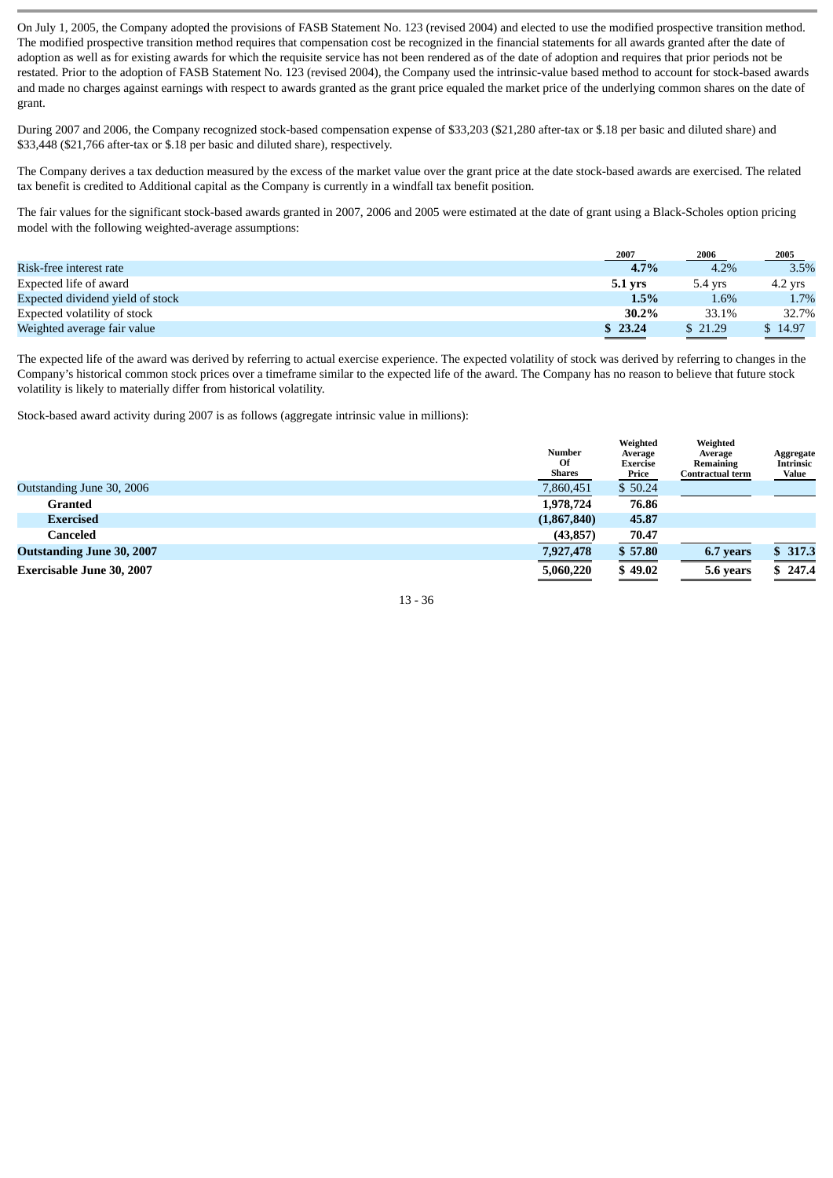On July 1, 2005, the Company adopted the provisions of FASB Statement No. 123 (revised 2004) and elected to use the modified prospective transition method. The modified prospective transition method requires that compensation cost be recognized in the financial statements for all awards granted after the date of adoption as well as for existing awards for which the requisite service has not been rendered as of the date of adoption and requires that prior periods not be restated. Prior to the adoption of FASB Statement No. 123 (revised 2004), the Company used the intrinsic-value based method to account for stock-based awards and made no charges against earnings with respect to awards granted as the grant price equaled the market price of the underlying common shares on the date of grant.

During 2007 and 2006, the Company recognized stock-based compensation expense of \$33,203 (\$21,280 after-tax or \$.18 per basic and diluted share) and \$33,448 (\$21,766 after-tax or \$.18 per basic and diluted share), respectively.

The Company derives a tax deduction measured by the excess of the market value over the grant price at the date stock-based awards are exercised. The related tax benefit is credited to Additional capital as the Company is currently in a windfall tax benefit position.

The fair values for the significant stock-based awards granted in 2007, 2006 and 2005 were estimated at the date of grant using a Black-Scholes option pricing model with the following weighted-average assumptions:

|                                  | 2007    | 2006      | 2005      |
|----------------------------------|---------|-----------|-----------|
| Risk-free interest rate          | 4.7%    | 4.2%      | 3.5%      |
| Expected life of award           | 5.1 yrs | $5.4$ yrs | $4.2$ yrs |
| Expected dividend yield of stock | 1.5%    | 1.6%      | 1.7%      |
| Expected volatility of stock     | 30.2%   | 33.1%     | 32.7%     |
| Weighted average fair value      | \$23.24 | \$ 21.29  | \$14.97   |

The expected life of the award was derived by referring to actual exercise experience. The expected volatility of stock was derived by referring to changes in the Company's historical common stock prices over a timeframe similar to the expected life of the award. The Company has no reason to believe that future stock volatility is likely to materially differ from historical volatility.

Stock-based award activity during 2007 is as follows (aggregate intrinsic value in millions):

|                                  | <b>Number</b><br>Of<br><b>Shares</b> | Weighted<br>Average<br>Exercise<br>Price | Weighted<br>Average<br>Remaining<br>Contractual term | Aggregate<br>Intrinsic<br>Value |
|----------------------------------|--------------------------------------|------------------------------------------|------------------------------------------------------|---------------------------------|
| Outstanding June 30, 2006        | 7,860,451                            | \$50.24                                  |                                                      |                                 |
| Granted                          | 1,978,724                            | 76.86                                    |                                                      |                                 |
| <b>Exercised</b>                 | (1,867,840)                          | 45.87                                    |                                                      |                                 |
| Canceled                         | (43, 857)                            | 70.47                                    |                                                      |                                 |
| <b>Outstanding June 30, 2007</b> | 7,927,478                            | \$57.80                                  | 6.7 years                                            | \$317.3<br>____                 |
| <b>Exercisable June 30, 2007</b> | 5,060,220                            | \$49.02                                  | 5.6 years                                            | \$247.4                         |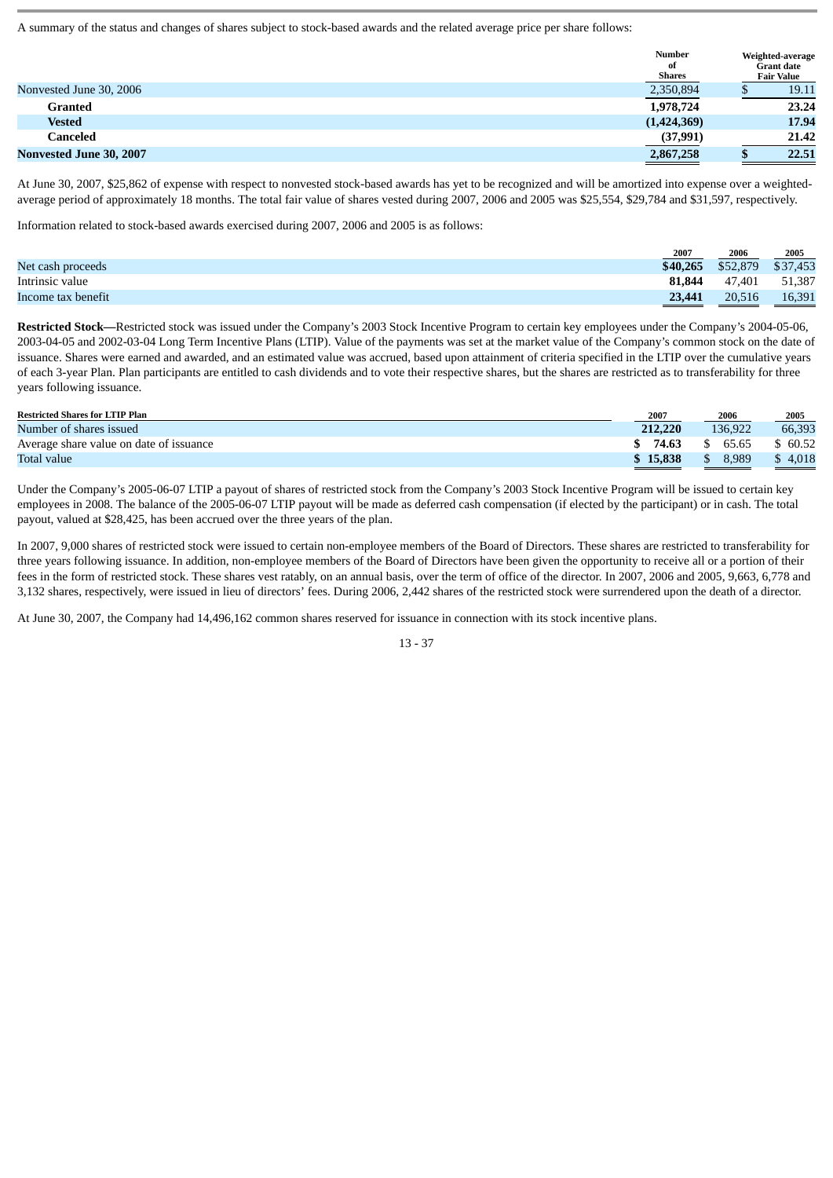A summary of the status and changes of shares subject to stock-based awards and the related average price per share follows:

|                                | Number<br>of<br><b>Shares</b> |   | Weighted-average<br><b>Grant date</b><br><b>Fair Value</b> |
|--------------------------------|-------------------------------|---|------------------------------------------------------------|
| Nonvested June 30, 2006        | 2,350,894                     |   | 19.11                                                      |
| Granted                        | 1,978,724                     |   | 23.24                                                      |
| Vested                         | (1,424,369)                   |   | 17.94                                                      |
| Canceled                       | (37, 991)                     |   | 21.42                                                      |
| <b>Nonvested June 30, 2007</b> | 2,867,258                     | w | 22.51                                                      |

At June 30, 2007, \$25,862 of expense with respect to nonvested stock-based awards has yet to be recognized and will be amortized into expense over a weightedaverage period of approximately 18 months. The total fair value of shares vested during 2007, 2006 and 2005 was \$25,554, \$29,784 and \$31,597, respectively.

Information related to stock-based awards exercised during 2007, 2006 and 2005 is as follows:

|                    | 2007     | 2006     | 2005     |
|--------------------|----------|----------|----------|
| Net cash proceeds  | \$40,265 | \$52,879 | \$37,453 |
| Intrinsic value    | 81,844   | 47.401   | 51,387   |
| Income tax benefit | 23,441   | 20,516   | 16,391   |

**Restricted Stock—**Restricted stock was issued under the Company's 2003 Stock Incentive Program to certain key employees under the Company's 2004-05-06, 2003-04-05 and 2002-03-04 Long Term Incentive Plans (LTIP). Value of the payments was set at the market value of the Company's common stock on the date of issuance. Shares were earned and awarded, and an estimated value was accrued, based upon attainment of criteria specified in the LTIP over the cumulative years of each 3-year Plan. Plan participants are entitled to cash dividends and to vote their respective shares, but the shares are restricted as to transferability for three years following issuance.

| <b>Restricted Shares for LTIP Plan</b>  | 2007     | 2006       | 2005     |
|-----------------------------------------|----------|------------|----------|
| Number of shares issued                 | 212,220  | 136.922    | 66,393   |
| Average share value on date of issuance | 74.63    | 65.65<br>S | \$ 60.52 |
| Total value                             | \$15.838 | 8.989      | 4,018    |

Under the Company's 2005-06-07 LTIP a payout of shares of restricted stock from the Company's 2003 Stock Incentive Program will be issued to certain key employees in 2008. The balance of the 2005-06-07 LTIP payout will be made as deferred cash compensation (if elected by the participant) or in cash. The total payout, valued at \$28,425, has been accrued over the three years of the plan.

In 2007, 9,000 shares of restricted stock were issued to certain non-employee members of the Board of Directors. These shares are restricted to transferability for three years following issuance. In addition, non-employee members of the Board of Directors have been given the opportunity to receive all or a portion of their fees in the form of restricted stock. These shares vest ratably, on an annual basis, over the term of office of the director. In 2007, 2006 and 2005, 9,663, 6,778 and 3,132 shares, respectively, were issued in lieu of directors' fees. During 2006, 2,442 shares of the restricted stock were surrendered upon the death of a director.

At June 30, 2007, the Company had 14,496,162 common shares reserved for issuance in connection with its stock incentive plans.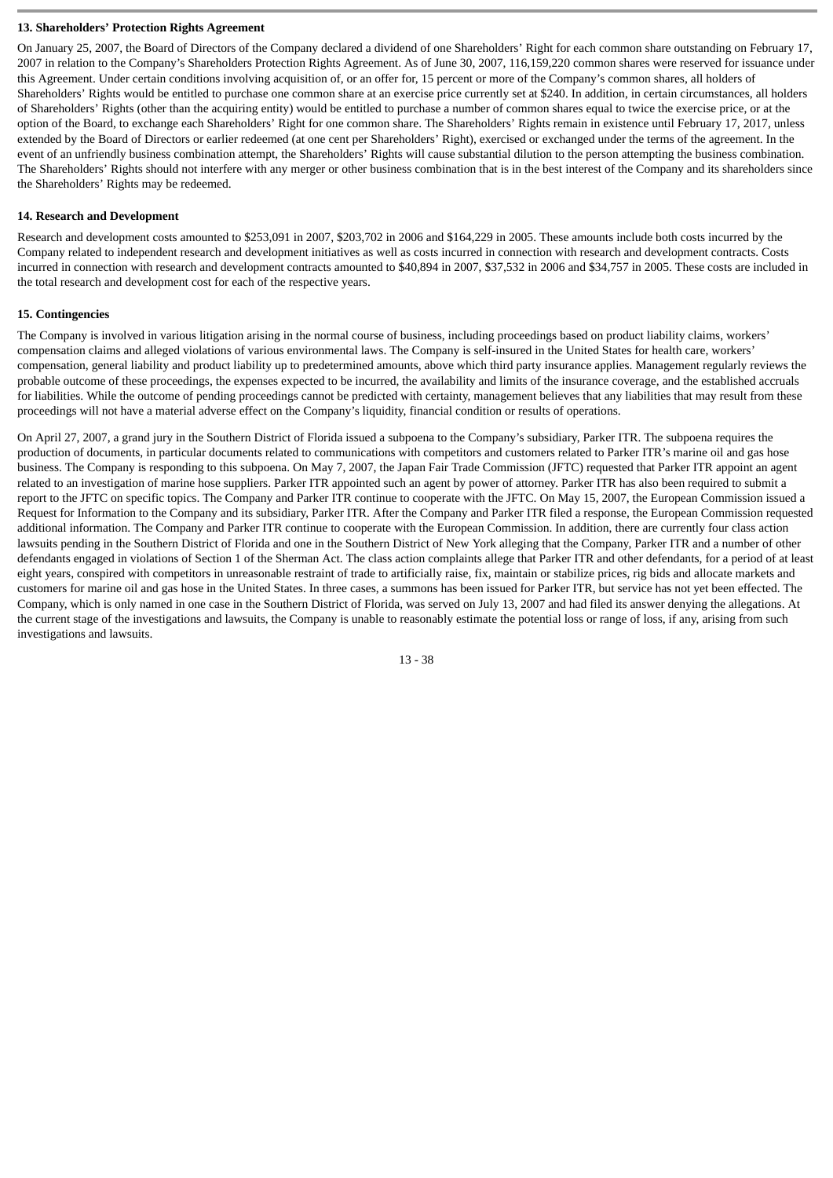## **13. Shareholders' Protection Rights Agreement**

On January 25, 2007, the Board of Directors of the Company declared a dividend of one Shareholders' Right for each common share outstanding on February 17, 2007 in relation to the Company's Shareholders Protection Rights Agreement. As of June 30, 2007, 116,159,220 common shares were reserved for issuance under this Agreement. Under certain conditions involving acquisition of, or an offer for, 15 percent or more of the Company's common shares, all holders of Shareholders' Rights would be entitled to purchase one common share at an exercise price currently set at \$240. In addition, in certain circumstances, all holders of Shareholders' Rights (other than the acquiring entity) would be entitled to purchase a number of common shares equal to twice the exercise price, or at the option of the Board, to exchange each Shareholders' Right for one common share. The Shareholders' Rights remain in existence until February 17, 2017, unless extended by the Board of Directors or earlier redeemed (at one cent per Shareholders' Right), exercised or exchanged under the terms of the agreement. In the event of an unfriendly business combination attempt, the Shareholders' Rights will cause substantial dilution to the person attempting the business combination. The Shareholders' Rights should not interfere with any merger or other business combination that is in the best interest of the Company and its shareholders since the Shareholders' Rights may be redeemed.

## **14. Research and Development**

Research and development costs amounted to \$253,091 in 2007, \$203,702 in 2006 and \$164,229 in 2005. These amounts include both costs incurred by the Company related to independent research and development initiatives as well as costs incurred in connection with research and development contracts. Costs incurred in connection with research and development contracts amounted to \$40,894 in 2007, \$37,532 in 2006 and \$34,757 in 2005. These costs are included in the total research and development cost for each of the respective years.

## **15. Contingencies**

The Company is involved in various litigation arising in the normal course of business, including proceedings based on product liability claims, workers' compensation claims and alleged violations of various environmental laws. The Company is self-insured in the United States for health care, workers' compensation, general liability and product liability up to predetermined amounts, above which third party insurance applies. Management regularly reviews the probable outcome of these proceedings, the expenses expected to be incurred, the availability and limits of the insurance coverage, and the established accruals for liabilities. While the outcome of pending proceedings cannot be predicted with certainty, management believes that any liabilities that may result from these proceedings will not have a material adverse effect on the Company's liquidity, financial condition or results of operations.

On April 27, 2007, a grand jury in the Southern District of Florida issued a subpoena to the Company's subsidiary, Parker ITR. The subpoena requires the production of documents, in particular documents related to communications with competitors and customers related to Parker ITR's marine oil and gas hose business. The Company is responding to this subpoena. On May 7, 2007, the Japan Fair Trade Commission (JFTC) requested that Parker ITR appoint an agent related to an investigation of marine hose suppliers. Parker ITR appointed such an agent by power of attorney. Parker ITR has also been required to submit a report to the JFTC on specific topics. The Company and Parker ITR continue to cooperate with the JFTC. On May 15, 2007, the European Commission issued a Request for Information to the Company and its subsidiary, Parker ITR. After the Company and Parker ITR filed a response, the European Commission requested additional information. The Company and Parker ITR continue to cooperate with the European Commission. In addition, there are currently four class action lawsuits pending in the Southern District of Florida and one in the Southern District of New York alleging that the Company, Parker ITR and a number of other defendants engaged in violations of Section 1 of the Sherman Act. The class action complaints allege that Parker ITR and other defendants, for a period of at least eight years, conspired with competitors in unreasonable restraint of trade to artificially raise, fix, maintain or stabilize prices, rig bids and allocate markets and customers for marine oil and gas hose in the United States. In three cases, a summons has been issued for Parker ITR, but service has not yet been effected. The Company, which is only named in one case in the Southern District of Florida, was served on July 13, 2007 and had filed its answer denying the allegations. At the current stage of the investigations and lawsuits, the Company is unable to reasonably estimate the potential loss or range of loss, if any, arising from such investigations and lawsuits.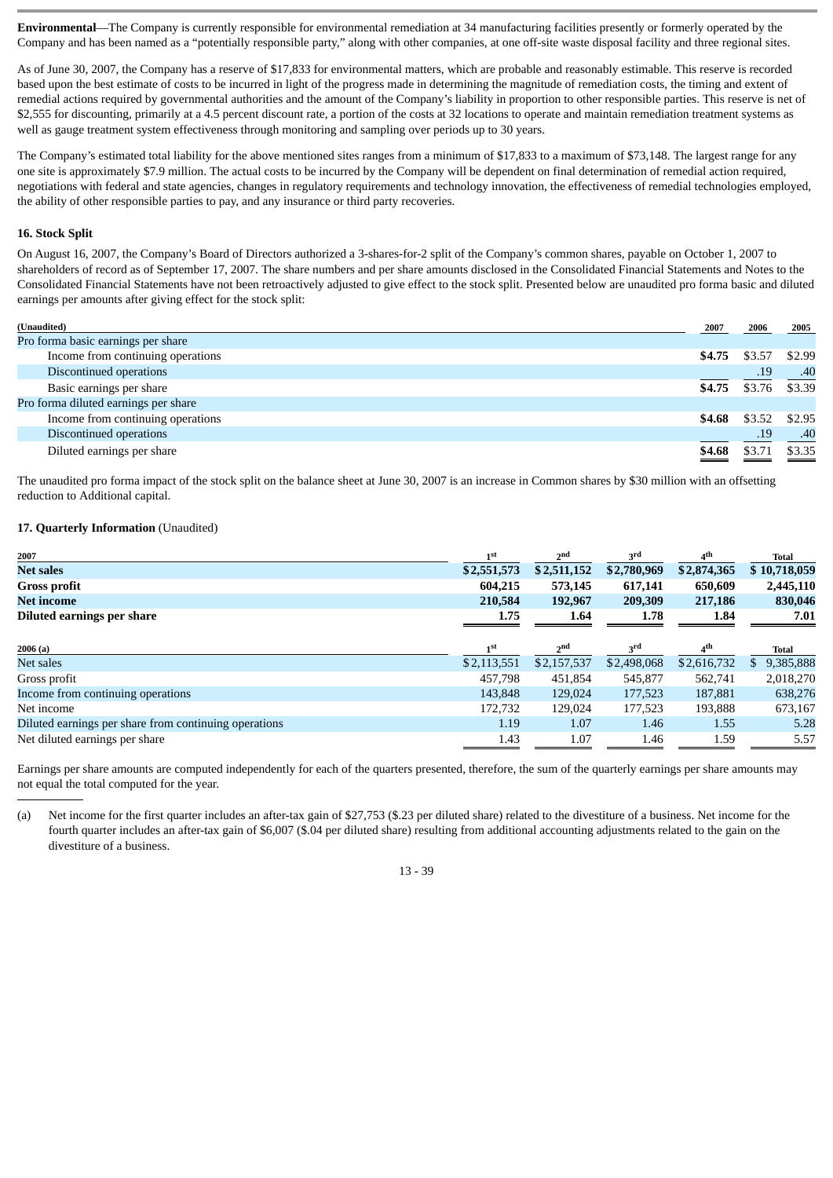**Environmental**—The Company is currently responsible for environmental remediation at 34 manufacturing facilities presently or formerly operated by the Company and has been named as a "potentially responsible party," along with other companies, at one off-site waste disposal facility and three regional sites.

As of June 30, 2007, the Company has a reserve of \$17,833 for environmental matters, which are probable and reasonably estimable. This reserve is recorded based upon the best estimate of costs to be incurred in light of the progress made in determining the magnitude of remediation costs, the timing and extent of remedial actions required by governmental authorities and the amount of the Company's liability in proportion to other responsible parties. This reserve is net of \$2,555 for discounting, primarily at a 4.5 percent discount rate, a portion of the costs at 32 locations to operate and maintain remediation treatment systems as well as gauge treatment system effectiveness through monitoring and sampling over periods up to 30 years.

The Company's estimated total liability for the above mentioned sites ranges from a minimum of \$17,833 to a maximum of \$73,148. The largest range for any one site is approximately \$7.9 million. The actual costs to be incurred by the Company will be dependent on final determination of remedial action required, negotiations with federal and state agencies, changes in regulatory requirements and technology innovation, the effectiveness of remedial technologies employed, the ability of other responsible parties to pay, and any insurance or third party recoveries.

## **16. Stock Split**

On August 16, 2007, the Company's Board of Directors authorized a 3-shares-for-2 split of the Company's common shares, payable on October 1, 2007 to shareholders of record as of September 17, 2007. The share numbers and per share amounts disclosed in the Consolidated Financial Statements and Notes to the Consolidated Financial Statements have not been retroactively adjusted to give effect to the stock split. Presented below are unaudited pro forma basic and diluted earnings per amounts after giving effect for the stock split:

| (Unaudited)                          | 2007   | 2006          | 2005   |
|--------------------------------------|--------|---------------|--------|
| Pro forma basic earnings per share   |        |               |        |
| Income from continuing operations    | \$4.75 | \$3.57        | \$2.99 |
| Discontinued operations              |        | .19           | .40    |
| Basic earnings per share             | \$4.75 | \$3.76 \$3.39 |        |
| Pro forma diluted earnings per share |        |               |        |
| Income from continuing operations    | \$4.68 | \$3.52        | \$2.95 |
| Discontinued operations              |        | .19           | .40    |
| Diluted earnings per share           | \$4.68 | \$3.71        | \$3.35 |

The unaudited pro forma impact of the stock split on the balance sheet at June 30, 2007 is an increase in Common shares by \$30 million with an offsetting reduction to Additional capital.

## **17. Quarterly Information** (Unaudited)

| 2007                                                  | 1 <sup>st</sup> | 2 <sup>nd</sup> | 3 <sup>rd</sup> | 4 <sup>th</sup> | Total        |
|-------------------------------------------------------|-----------------|-----------------|-----------------|-----------------|--------------|
| <b>Net sales</b>                                      | \$2,551,573     | \$2,511,152     | \$2,780,969     | \$2,874,365     | \$10,718,059 |
| <b>Gross profit</b>                                   | 604,215         | 573,145         | 617,141         | 650,609         | 2,445,110    |
| <b>Net income</b>                                     | 210,584         | 192,967         | 209,309         | 217,186         | 830,046      |
| Diluted earnings per share                            | 1.75            | 1.64            | 1.78            | 1.84            | 7.01         |
|                                                       |                 |                 |                 |                 |              |
| 2006(a)                                               | 1 <sup>st</sup> | 2 <sub>nd</sub> | 3 <sup>rd</sup> | 4 <sup>th</sup> | Total        |
| Net sales                                             | \$2,113,551     | \$2,157,537     | \$2,498,068     | \$2,616,732     | 9,385,888    |
| Gross profit                                          | 457,798         | 451,854         | 545,877         | 562,741         | 2,018,270    |
| Income from continuing operations                     | 143,848         | 129,024         | 177,523         | 187,881         | 638,276      |
| Net income                                            | 172,732         | 129,024         | 177,523         | 193,888         | 673,167      |
| Diluted earnings per share from continuing operations | 1.19            | 1.07            | 1.46            | 1.55            | 5.28         |
| Net diluted earnings per share                        | 1.43            | 1.07            | 1.46            | 1.59            | 5.57         |

Earnings per share amounts are computed independently for each of the quarters presented, therefore, the sum of the quarterly earnings per share amounts may not equal the total computed for the year.

(a) Net income for the first quarter includes an after-tax gain of \$27,753 (\$.23 per diluted share) related to the divestiture of a business. Net income for the fourth quarter includes an after-tax gain of \$6,007 (\$.04 per diluted share) resulting from additional accounting adjustments related to the gain on the divestiture of a business.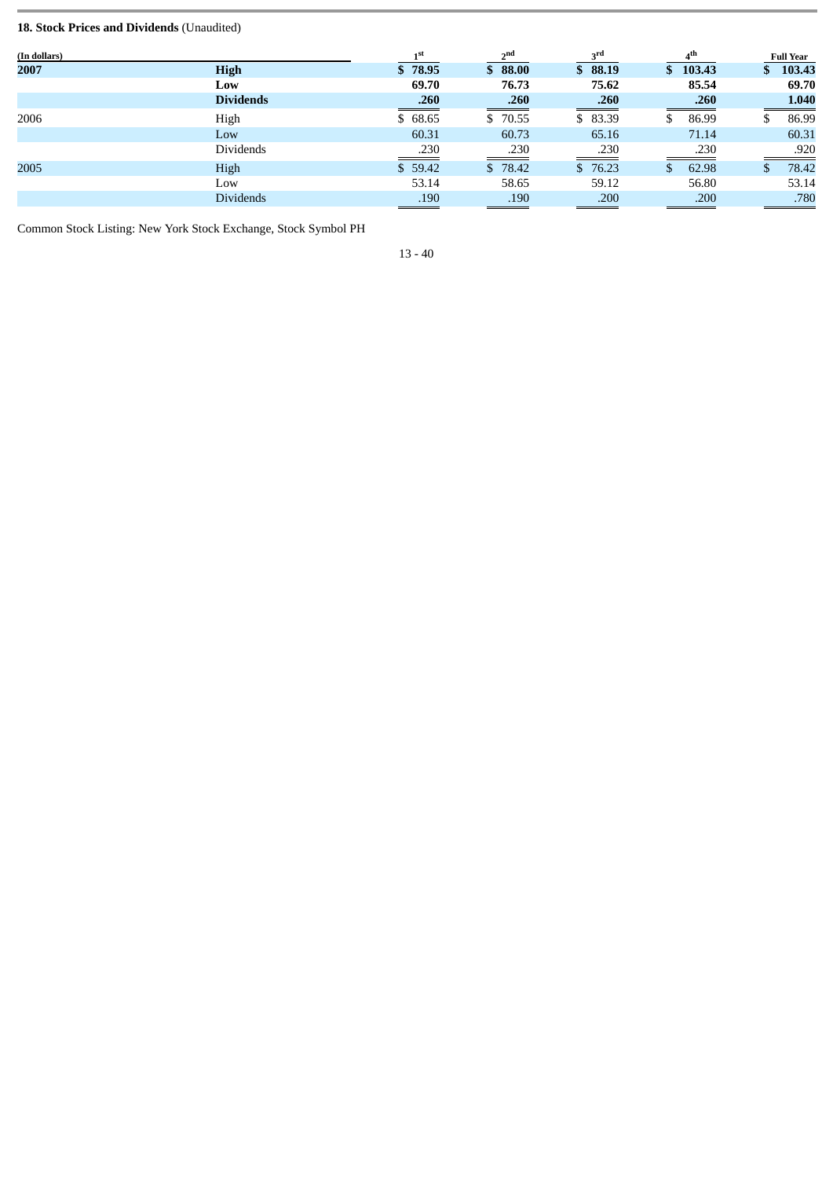## **18. Stock Prices and Dividends** (Unaudited)

| (In dollars) |                  | 1 <sup>st</sup> | 2 <sub>nd</sub> | 3 <sup>rd</sup> | 4 <sup>th</sup> | <b>Full Year</b>       |
|--------------|------------------|-----------------|-----------------|-----------------|-----------------|------------------------|
| 2007         | <b>High</b>      | \$78.95         | \$88.00         | \$88.19         | \$103.43        | 103.43<br>$\mathbf{s}$ |
|              | Low              | 69.70           | 76.73           | 75.62           | 85.54           | 69.70                  |
|              | <b>Dividends</b> | .260            | .260            | .260            | .260            | 1.040                  |
| 2006         | High             | \$68.65         | \$70.55         | \$83.39         | 86.99<br>S.     | 86.99                  |
|              | Low              | 60.31           | 60.73           | 65.16           | 71.14           | 60.31                  |
|              | Dividends        | .230            | .230            | .230            | .230            | .920                   |
| 2005         | High             | \$59.42         | \$78.42         | \$76.23         | 62.98           | 78.42                  |
|              | Low              | 53.14           | 58.65           | 59.12           | 56.80           | 53.14                  |
|              | <b>Dividends</b> | .190            | .190            | .200            | .200            | .780                   |

Common Stock Listing: New York Stock Exchange, Stock Symbol PH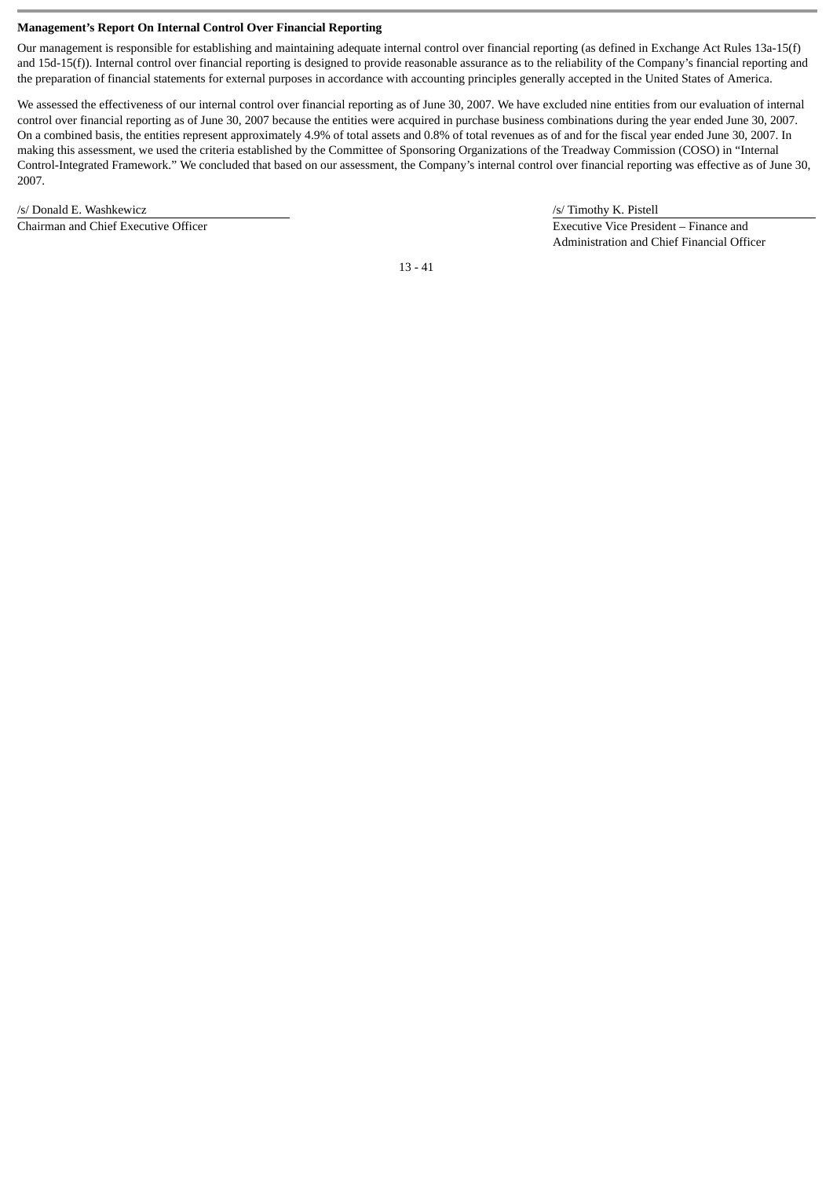## **Management's Report On Internal Control Over Financial Reporting**

Our management is responsible for establishing and maintaining adequate internal control over financial reporting (as defined in Exchange Act Rules 13a-15(f) and 15d-15(f)). Internal control over financial reporting is designed to provide reasonable assurance as to the reliability of the Company's financial reporting and the preparation of financial statements for external purposes in accordance with accounting principles generally accepted in the United States of America.

We assessed the effectiveness of our internal control over financial reporting as of June 30, 2007. We have excluded nine entities from our evaluation of internal control over financial reporting as of June 30, 2007 because the entities were acquired in purchase business combinations during the year ended June 30, 2007. On a combined basis, the entities represent approximately 4.9% of total assets and 0.8% of total revenues as of and for the fiscal year ended June 30, 2007. In making this assessment, we used the criteria established by the Committee of Sponsoring Organizations of the Treadway Commission (COSO) in "Internal Control-Integrated Framework." We concluded that based on our assessment, the Company's internal control over financial reporting was effective as of June 30, 2007.

/s/ Donald E. Washkewicz

Chairman and Chief Executive Officer

/s/ Timothy K. Pistell Executive Vice President – Finance and Administration and Chief Financial Officer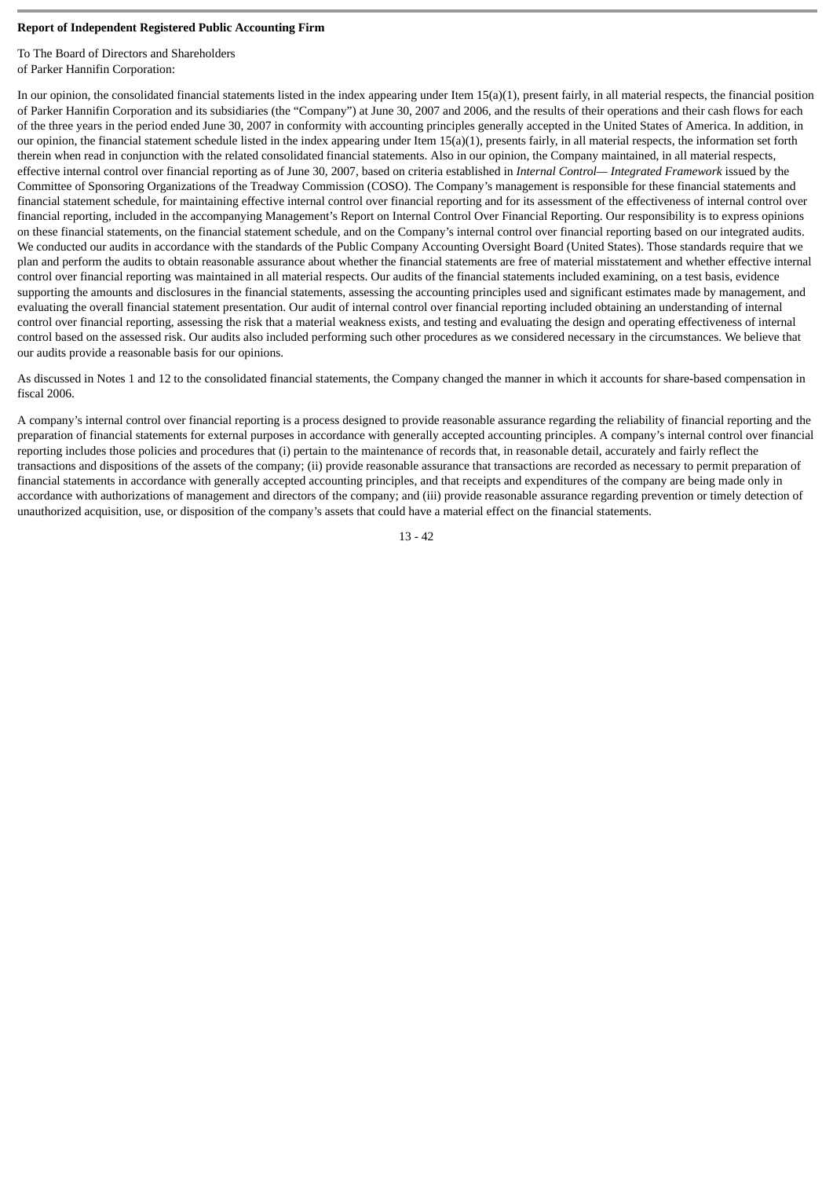#### **Report of Independent Registered Public Accounting Firm**

To The Board of Directors and Shareholders of Parker Hannifin Corporation:

In our opinion, the consolidated financial statements listed in the index appearing under Item 15(a)(1), present fairly, in all material respects, the financial position of Parker Hannifin Corporation and its subsidiaries (the "Company") at June 30, 2007 and 2006, and the results of their operations and their cash flows for each of the three years in the period ended June 30, 2007 in conformity with accounting principles generally accepted in the United States of America. In addition, in our opinion, the financial statement schedule listed in the index appearing under Item 15(a)(1), presents fairly, in all material respects, the information set forth therein when read in conjunction with the related consolidated financial statements. Also in our opinion, the Company maintained, in all material respects, effective internal control over financial reporting as of June 30, 2007, based on criteria established in *Internal Control— Integrated Framework* issued by the Committee of Sponsoring Organizations of the Treadway Commission (COSO). The Company's management is responsible for these financial statements and financial statement schedule, for maintaining effective internal control over financial reporting and for its assessment of the effectiveness of internal control over financial reporting, included in the accompanying Management's Report on Internal Control Over Financial Reporting. Our responsibility is to express opinions on these financial statements, on the financial statement schedule, and on the Company's internal control over financial reporting based on our integrated audits. We conducted our audits in accordance with the standards of the Public Company Accounting Oversight Board (United States). Those standards require that we plan and perform the audits to obtain reasonable assurance about whether the financial statements are free of material misstatement and whether effective internal control over financial reporting was maintained in all material respects. Our audits of the financial statements included examining, on a test basis, evidence supporting the amounts and disclosures in the financial statements, assessing the accounting principles used and significant estimates made by management, and evaluating the overall financial statement presentation. Our audit of internal control over financial reporting included obtaining an understanding of internal control over financial reporting, assessing the risk that a material weakness exists, and testing and evaluating the design and operating effectiveness of internal control based on the assessed risk. Our audits also included performing such other procedures as we considered necessary in the circumstances. We believe that our audits provide a reasonable basis for our opinions.

As discussed in Notes 1 and 12 to the consolidated financial statements, the Company changed the manner in which it accounts for share-based compensation in fiscal 2006.

A company's internal control over financial reporting is a process designed to provide reasonable assurance regarding the reliability of financial reporting and the preparation of financial statements for external purposes in accordance with generally accepted accounting principles. A company's internal control over financial reporting includes those policies and procedures that (i) pertain to the maintenance of records that, in reasonable detail, accurately and fairly reflect the transactions and dispositions of the assets of the company; (ii) provide reasonable assurance that transactions are recorded as necessary to permit preparation of financial statements in accordance with generally accepted accounting principles, and that receipts and expenditures of the company are being made only in accordance with authorizations of management and directors of the company; and (iii) provide reasonable assurance regarding prevention or timely detection of unauthorized acquisition, use, or disposition of the company's assets that could have a material effect on the financial statements.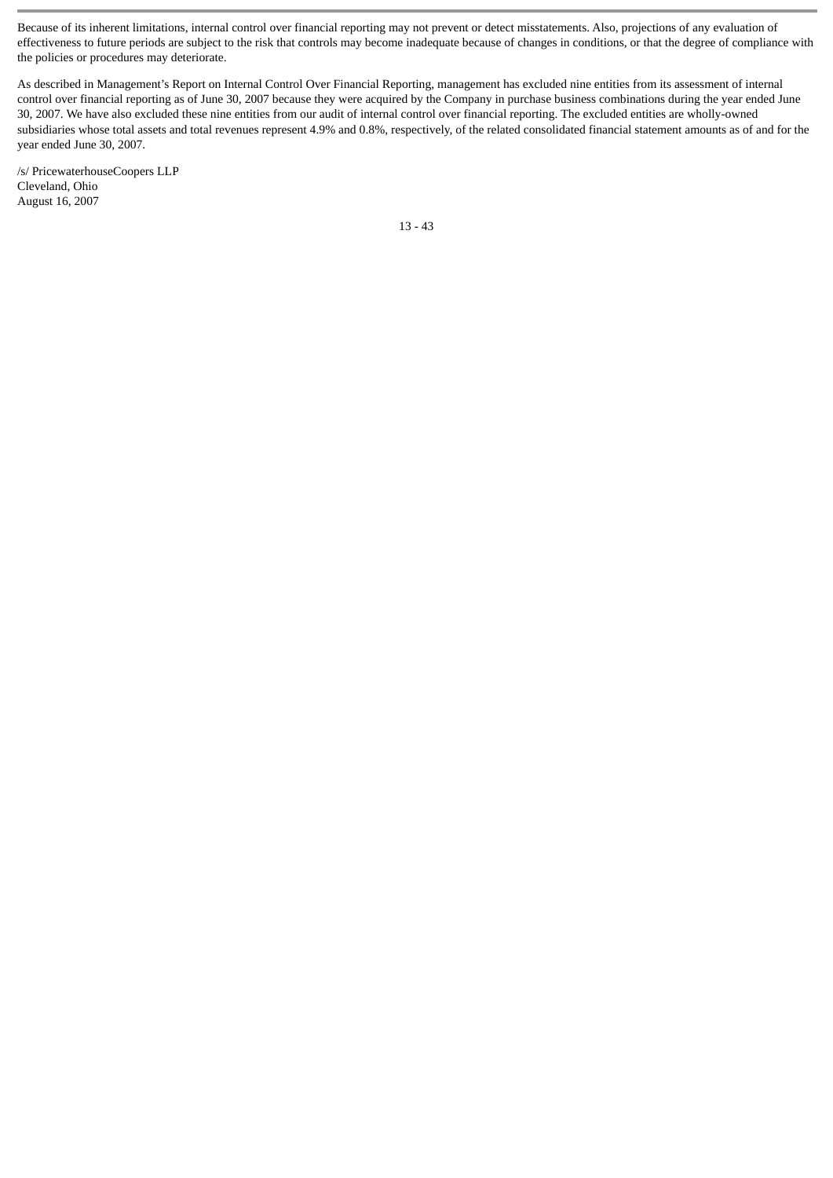Because of its inherent limitations, internal control over financial reporting may not prevent or detect misstatements. Also, projections of any evaluation of effectiveness to future periods are subject to the risk that controls may become inadequate because of changes in conditions, or that the degree of compliance with the policies or procedures may deteriorate.

As described in Management's Report on Internal Control Over Financial Reporting, management has excluded nine entities from its assessment of internal control over financial reporting as of June 30, 2007 because they were acquired by the Company in purchase business combinations during the year ended June 30, 2007. We have also excluded these nine entities from our audit of internal control over financial reporting. The excluded entities are wholly-owned subsidiaries whose total assets and total revenues represent 4.9% and 0.8%, respectively, of the related consolidated financial statement amounts as of and for the year ended June 30, 2007.

/s/ PricewaterhouseCoopers LLP Cleveland, Ohio August 16, 2007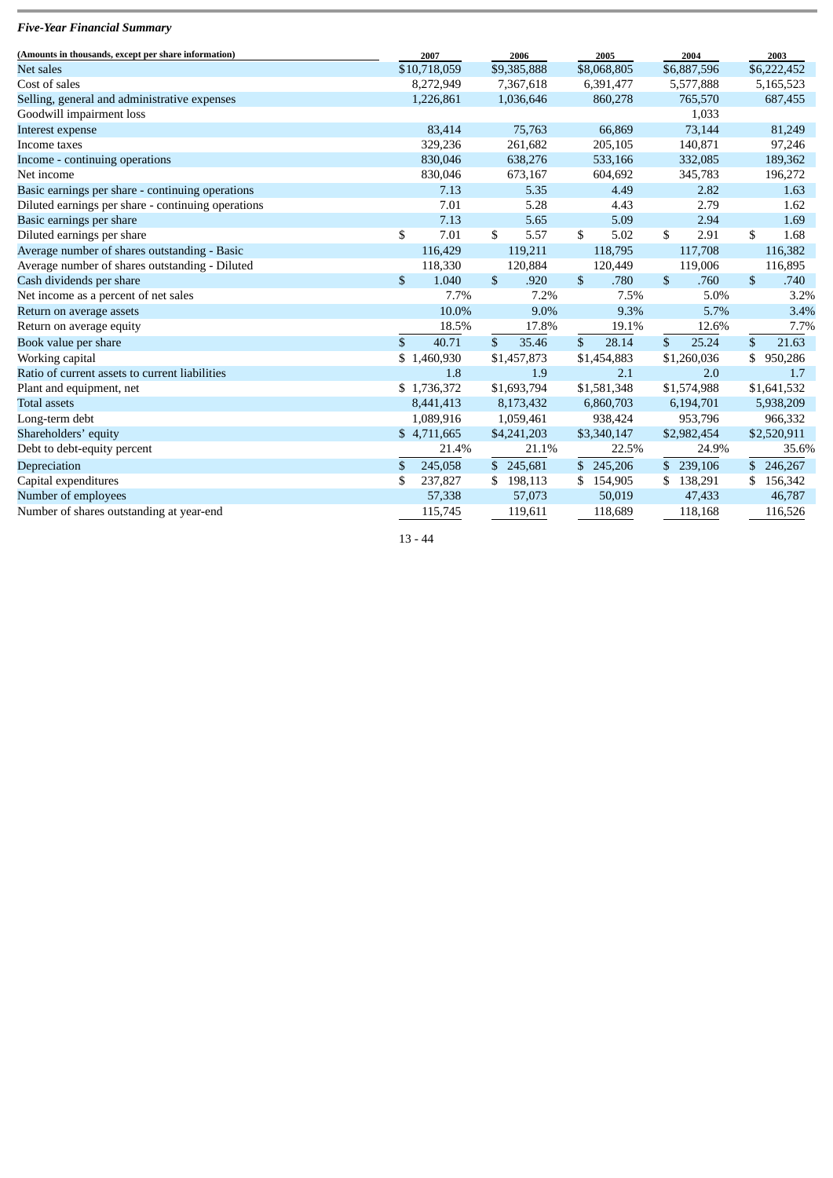## *Five-Year Financial Summary*

| (Amounts in thousands, except per share information) | 2007         |                    | 2006         |             | 2005         |             | 2004         |             | 2003           |             |  |
|------------------------------------------------------|--------------|--------------------|--------------|-------------|--------------|-------------|--------------|-------------|----------------|-------------|--|
| <b>Net sales</b>                                     |              | \$10,718,059       |              | \$9,385,888 |              | \$8,068,805 |              | \$6,887,596 |                | \$6,222,452 |  |
| Cost of sales                                        | 8,272,949    |                    | 7,367,618    |             | 6,391,477    |             | 5,577,888    |             | 5,165,523      |             |  |
| Selling, general and administrative expenses         | 1,226,861    |                    | 1,036,646    |             | 860,278      |             | 765,570      |             | 687,455        |             |  |
| Goodwill impairment loss                             |              |                    |              |             |              |             | 1,033        |             |                |             |  |
| Interest expense                                     |              | 83,414             |              | 75,763      |              | 66,869      |              | 73.144      |                | 81,249      |  |
| Income taxes                                         |              | 329,236<br>261,682 |              | 205,105     | 140,871      |             | 97,246       |             |                |             |  |
| Income - continuing operations                       |              | 830,046            | 638,276      |             | 533,166      |             | 332,085      |             | 189,362        |             |  |
| Net income                                           |              | 830,046            | 673,167      |             | 604,692      |             | 345,783      |             | 196,272        |             |  |
| Basic earnings per share - continuing operations     |              | 7.13               |              | 5.35        |              | 4.49        |              | 2.82        |                | 1.63        |  |
| Diluted earnings per share - continuing operations   |              | 7.01               |              | 5.28        |              | 4.43        |              | 2.79        |                | 1.62        |  |
| Basic earnings per share                             |              | 7.13               |              | 5.65        |              | 5.09        |              | 2.94        |                | 1.69        |  |
| Diluted earnings per share                           | \$           | 7.01               | \$.          | 5.57        | \$.          | 5.02        | \$.          | 2.91        | \$.            | 1.68        |  |
| Average number of shares outstanding - Basic         |              | 116,429            |              | 119,211     |              | 118,795     |              | 117,708     |                | 116,382     |  |
| Average number of shares outstanding - Diluted       |              | 118,330            |              | 120,884     |              | 120,449     |              | 119,006     |                | 116,895     |  |
| Cash dividends per share                             | $\mathbb{S}$ | 1.040              | $\mathbb{S}$ | .920        | $\mathbb{S}$ | .780        | $\mathbb{S}$ | .760        | $\mathfrak{S}$ | .740        |  |
| Net income as a percent of net sales                 |              | 7.7%               |              | 7.2%        |              | 7.5%        |              | 5.0%        |                | 3.2%        |  |
| Return on average assets                             |              | 10.0%              |              | 9.0%        |              | 9.3%        |              | 5.7%        |                | 3.4%        |  |
| Return on average equity                             |              | 18.5%              |              | 17.8%       |              | 19.1%       |              | 12.6%       |                | 7.7%        |  |
| Book value per share                                 | \$           | 40.71              | \$           | 35.46       | $\mathbb{S}$ | 28.14       | $\mathbb{S}$ | 25.24       | $\mathbb{S}$   | 21.63       |  |
| Working capital                                      |              | \$1,460,930        | \$1,457,873  |             | \$1,454,883  |             | \$1,260,036  |             |                | \$950,286   |  |
| Ratio of current assets to current liabilities       |              | 1.8                |              | 1.9         |              | 2.1         |              | 2.0         |                | 1.7         |  |
| Plant and equipment, net                             |              | \$1,736,372        | \$1,693,794  |             | \$1,581,348  |             | \$1,574,988  |             | \$1,641,532    |             |  |
| <b>Total assets</b>                                  |              | 8,441,413          | 8,173,432    |             | 6,860,703    |             | 6,194,701    |             | 5,938,209      |             |  |
| Long-term debt                                       | 1,089,916    |                    | 1,059,461    |             | 938,424      |             | 953,796      |             | 966,332        |             |  |
| Shareholders' equity                                 | \$4,711,665  |                    | \$4,241,203  |             | \$3,340,147  |             | \$2,982,454  |             | \$2,520,911    |             |  |
| Debt to debt-equity percent                          |              | 21.4%              |              | 21.1%       |              | 22.5%       |              | 24.9%       |                | 35.6%       |  |
| Depreciation                                         | \$           | 245,058            |              | \$245,681   |              | \$245,206   |              | \$ 239,106  |                | \$246,267   |  |
| Capital expenditures                                 | \$           | 237,827            |              | 198,113     |              | \$154,905   |              | \$ 138,291  |                | 156,342     |  |
| Number of employees                                  |              | 57,338             |              | 57,073      |              | 50,019      |              | 47,433      |                | 46,787      |  |
| Number of shares outstanding at year-end             |              | 115,745            |              | 119,611     |              | 118,689     |              | 118,168     |                | 116,526     |  |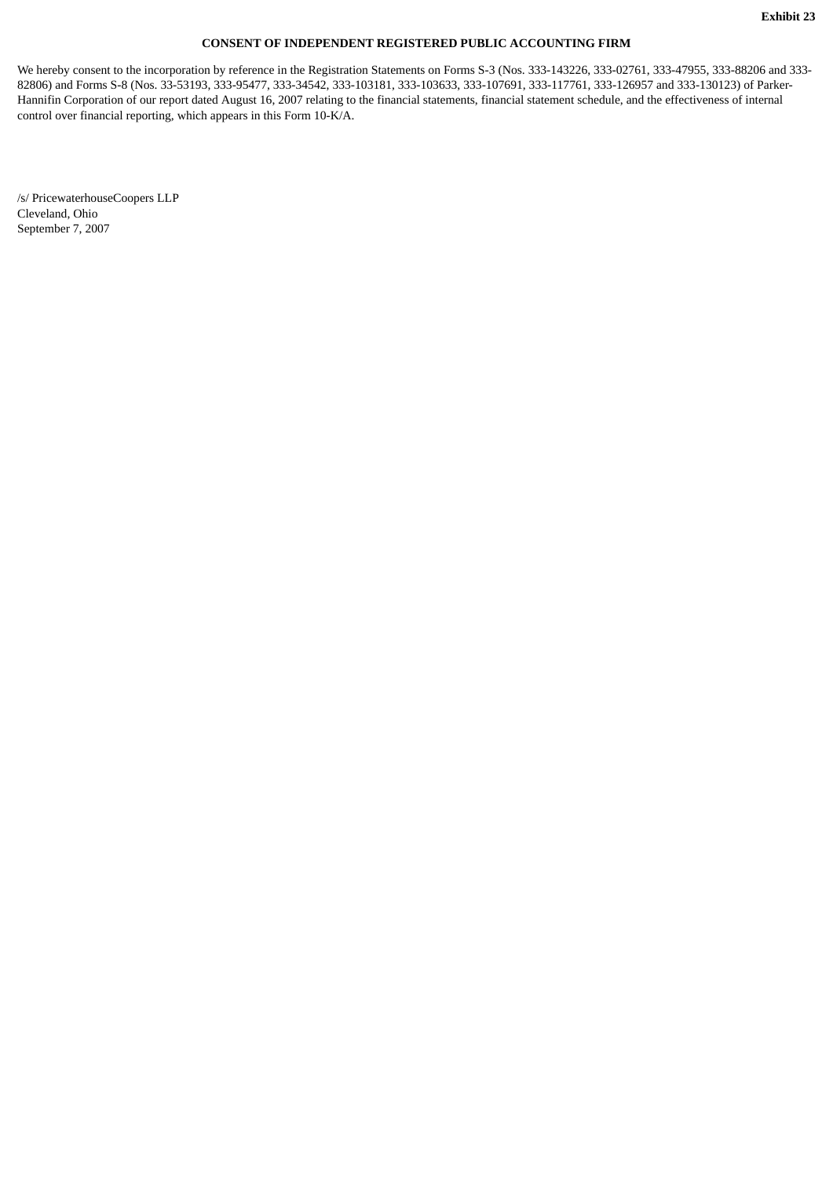## **CONSENT OF INDEPENDENT REGISTERED PUBLIC ACCOUNTING FIRM**

We hereby consent to the incorporation by reference in the Registration Statements on Forms S-3 (Nos. 333-143226, 333-02761, 333-47955, 333-88206 and 333- 82806) and Forms S-8 (Nos. 33-53193, 333-95477, 333-34542, 333-103181, 333-103633, 333-107691, 333-117761, 333-126957 and 333-130123) of Parker-Hannifin Corporation of our report dated August 16, 2007 relating to the financial statements, financial statement schedule, and the effectiveness of internal control over financial reporting, which appears in this Form 10-K/A.

/s/ PricewaterhouseCoopers LLP Cleveland, Ohio September 7, 2007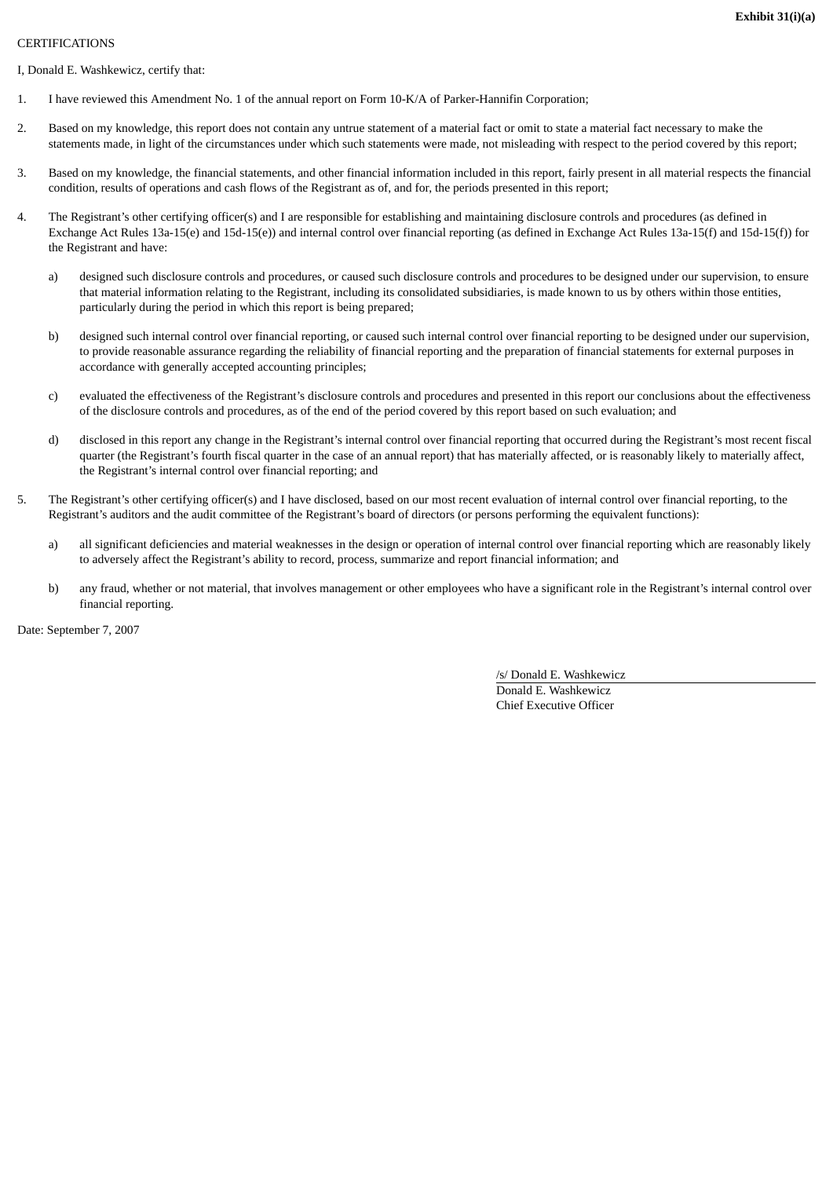#### CERTIFICATIONS

I, Donald E. Washkewicz, certify that:

- 1. I have reviewed this Amendment No. 1 of the annual report on Form 10-K/A of Parker-Hannifin Corporation;
- 2. Based on my knowledge, this report does not contain any untrue statement of a material fact or omit to state a material fact necessary to make the statements made, in light of the circumstances under which such statements were made, not misleading with respect to the period covered by this report;
- 3. Based on my knowledge, the financial statements, and other financial information included in this report, fairly present in all material respects the financial condition, results of operations and cash flows of the Registrant as of, and for, the periods presented in this report;
- 4. The Registrant's other certifying officer(s) and I are responsible for establishing and maintaining disclosure controls and procedures (as defined in Exchange Act Rules 13a-15(e) and 15d-15(e)) and internal control over financial reporting (as defined in Exchange Act Rules 13a-15(f) and 15d-15(f)) for the Registrant and have:
	- a) designed such disclosure controls and procedures, or caused such disclosure controls and procedures to be designed under our supervision, to ensure that material information relating to the Registrant, including its consolidated subsidiaries, is made known to us by others within those entities, particularly during the period in which this report is being prepared;
	- b) designed such internal control over financial reporting, or caused such internal control over financial reporting to be designed under our supervision, to provide reasonable assurance regarding the reliability of financial reporting and the preparation of financial statements for external purposes in accordance with generally accepted accounting principles;
	- c) evaluated the effectiveness of the Registrant's disclosure controls and procedures and presented in this report our conclusions about the effectiveness of the disclosure controls and procedures, as of the end of the period covered by this report based on such evaluation; and
	- d) disclosed in this report any change in the Registrant's internal control over financial reporting that occurred during the Registrant's most recent fiscal quarter (the Registrant's fourth fiscal quarter in the case of an annual report) that has materially affected, or is reasonably likely to materially affect, the Registrant's internal control over financial reporting; and
- 5. The Registrant's other certifying officer(s) and I have disclosed, based on our most recent evaluation of internal control over financial reporting, to the Registrant's auditors and the audit committee of the Registrant's board of directors (or persons performing the equivalent functions):
	- a) all significant deficiencies and material weaknesses in the design or operation of internal control over financial reporting which are reasonably likely to adversely affect the Registrant's ability to record, process, summarize and report financial information; and
	- b) any fraud, whether or not material, that involves management or other employees who have a significant role in the Registrant's internal control over financial reporting.

Date: September 7, 2007

/s/ Donald E. Washkewicz Donald E. Washkewicz Chief Executive Officer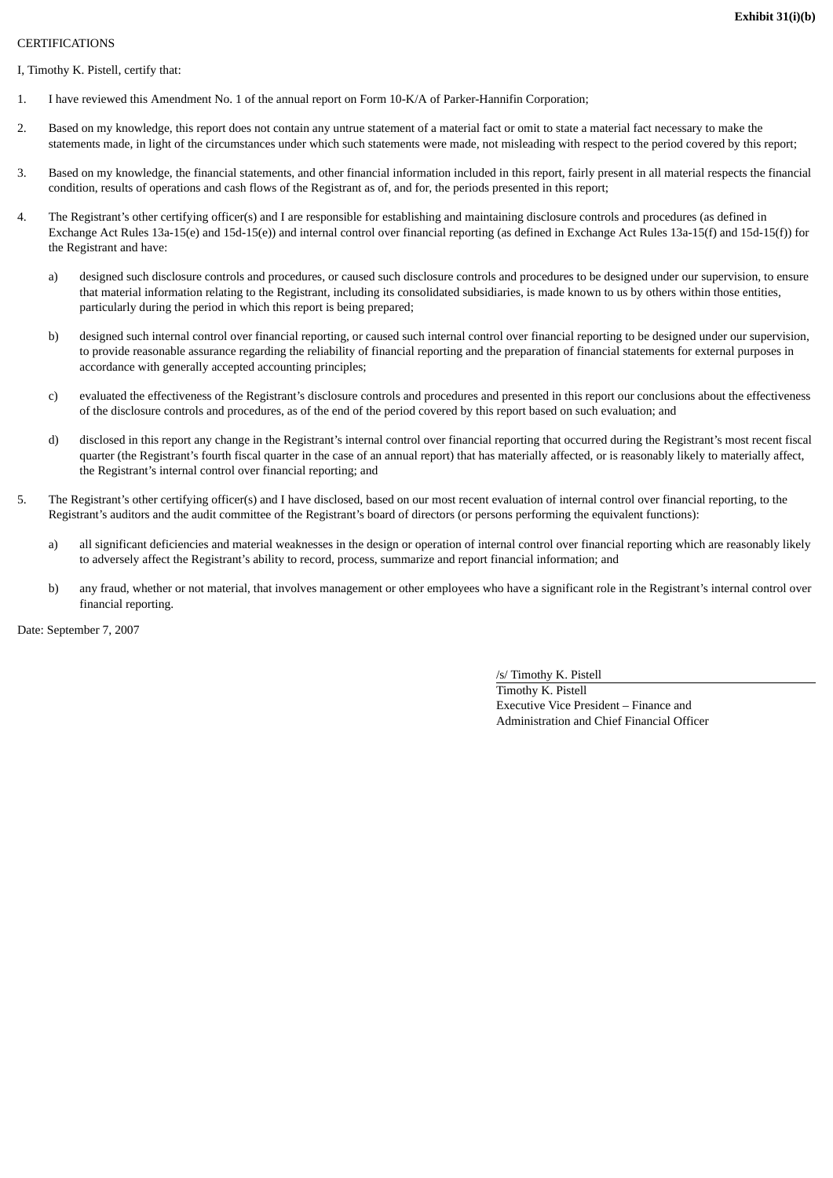#### CERTIFICATIONS

I, Timothy K. Pistell, certify that:

- 1. I have reviewed this Amendment No. 1 of the annual report on Form 10-K/A of Parker-Hannifin Corporation;
- 2. Based on my knowledge, this report does not contain any untrue statement of a material fact or omit to state a material fact necessary to make the statements made, in light of the circumstances under which such statements were made, not misleading with respect to the period covered by this report;
- 3. Based on my knowledge, the financial statements, and other financial information included in this report, fairly present in all material respects the financial condition, results of operations and cash flows of the Registrant as of, and for, the periods presented in this report;
- 4. The Registrant's other certifying officer(s) and I are responsible for establishing and maintaining disclosure controls and procedures (as defined in Exchange Act Rules 13a-15(e) and 15d-15(e)) and internal control over financial reporting (as defined in Exchange Act Rules 13a-15(f) and 15d-15(f)) for the Registrant and have:
	- a) designed such disclosure controls and procedures, or caused such disclosure controls and procedures to be designed under our supervision, to ensure that material information relating to the Registrant, including its consolidated subsidiaries, is made known to us by others within those entities, particularly during the period in which this report is being prepared;
	- b) designed such internal control over financial reporting, or caused such internal control over financial reporting to be designed under our supervision, to provide reasonable assurance regarding the reliability of financial reporting and the preparation of financial statements for external purposes in accordance with generally accepted accounting principles;
	- c) evaluated the effectiveness of the Registrant's disclosure controls and procedures and presented in this report our conclusions about the effectiveness of the disclosure controls and procedures, as of the end of the period covered by this report based on such evaluation; and
	- d) disclosed in this report any change in the Registrant's internal control over financial reporting that occurred during the Registrant's most recent fiscal quarter (the Registrant's fourth fiscal quarter in the case of an annual report) that has materially affected, or is reasonably likely to materially affect, the Registrant's internal control over financial reporting; and
- 5. The Registrant's other certifying officer(s) and I have disclosed, based on our most recent evaluation of internal control over financial reporting, to the Registrant's auditors and the audit committee of the Registrant's board of directors (or persons performing the equivalent functions):
	- a) all significant deficiencies and material weaknesses in the design or operation of internal control over financial reporting which are reasonably likely to adversely affect the Registrant's ability to record, process, summarize and report financial information; and
	- b) any fraud, whether or not material, that involves management or other employees who have a significant role in the Registrant's internal control over financial reporting.

Date: September 7, 2007

/s/ Timothy K. Pistell

Timothy K. Pistell Executive Vice President – Finance and Administration and Chief Financial Officer